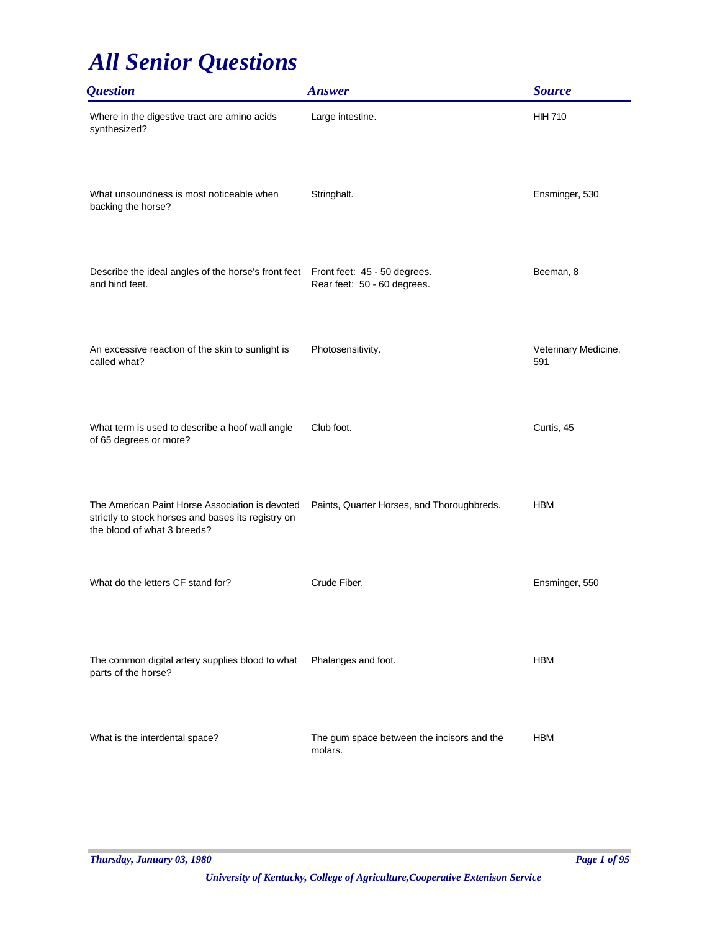| <b>Question</b>                                                                                                                      | <b>Answer</b>                                         | <b>Source</b>               |
|--------------------------------------------------------------------------------------------------------------------------------------|-------------------------------------------------------|-----------------------------|
| Where in the digestive tract are amino acids<br>synthesized?                                                                         | Large intestine.                                      | <b>HIH 710</b>              |
| What unsoundness is most noticeable when<br>backing the horse?                                                                       | Stringhalt.                                           | Ensminger, 530              |
| Describe the ideal angles of the horse's front feet Front feet: 45 - 50 degrees.<br>and hind feet.                                   | Rear feet: 50 - 60 degrees.                           | Beeman, 8                   |
| An excessive reaction of the skin to sunlight is<br>called what?                                                                     | Photosensitivity.                                     | Veterinary Medicine,<br>591 |
| What term is used to describe a hoof wall angle<br>of 65 degrees or more?                                                            | Club foot.                                            | Curtis, 45                  |
| The American Paint Horse Association is devoted<br>strictly to stock horses and bases its registry on<br>the blood of what 3 breeds? | Paints, Quarter Horses, and Thoroughbreds.            | <b>HBM</b>                  |
| What do the letters CF stand for?                                                                                                    | Crude Fiber.                                          | Ensminger, 550              |
| The common digital artery supplies blood to what<br>parts of the horse?                                                              | Phalanges and foot.                                   | <b>HBM</b>                  |
| What is the interdental space?                                                                                                       | The gum space between the incisors and the<br>molars. | <b>HBM</b>                  |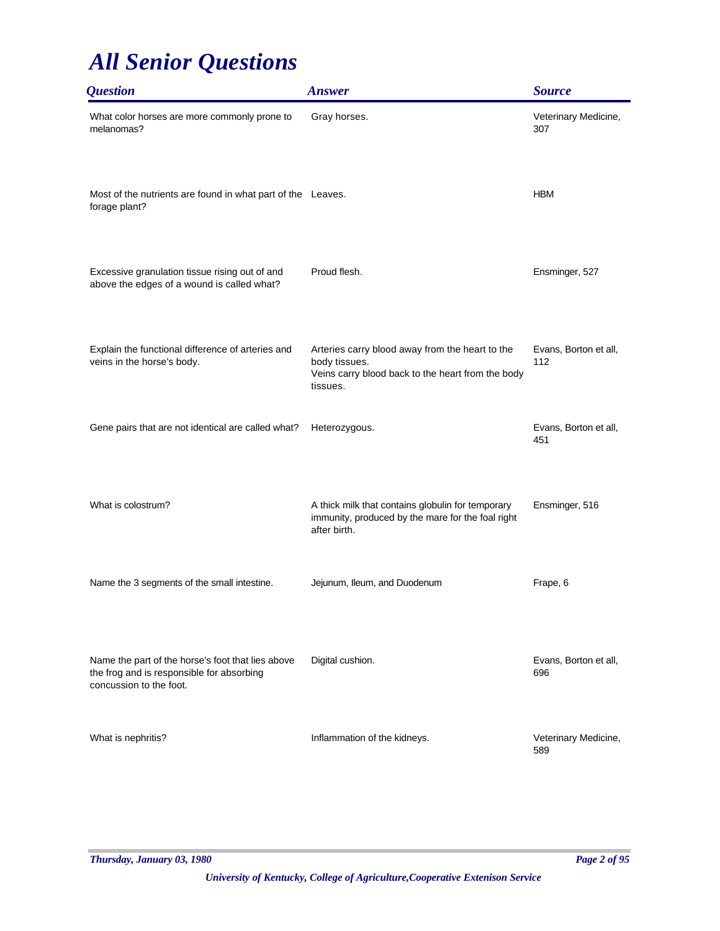| <i><b>Question</b></i>                                                                                                    | <b>Answer</b>                                                                                                                     | <b>Source</b>                |
|---------------------------------------------------------------------------------------------------------------------------|-----------------------------------------------------------------------------------------------------------------------------------|------------------------------|
| What color horses are more commonly prone to<br>melanomas?                                                                | Gray horses.                                                                                                                      | Veterinary Medicine,<br>307  |
| Most of the nutrients are found in what part of the Leaves.<br>forage plant?                                              |                                                                                                                                   | <b>HBM</b>                   |
| Excessive granulation tissue rising out of and<br>above the edges of a wound is called what?                              | Proud flesh.                                                                                                                      | Ensminger, 527               |
| Explain the functional difference of arteries and<br>veins in the horse's body.                                           | Arteries carry blood away from the heart to the<br>body tissues.<br>Veins carry blood back to the heart from the body<br>tissues. | Evans, Borton et all,<br>112 |
| Gene pairs that are not identical are called what?                                                                        | Heterozygous.                                                                                                                     | Evans, Borton et all,<br>451 |
| What is colostrum?                                                                                                        | A thick milk that contains globulin for temporary<br>immunity, produced by the mare for the foal right<br>after birth.            | Ensminger, 516               |
| Name the 3 segments of the small intestine.                                                                               | Jejunum, Ileum, and Duodenum                                                                                                      | Frape, 6                     |
| Name the part of the horse's foot that lies above<br>the frog and is responsible for absorbing<br>concussion to the foot. | Digital cushion.                                                                                                                  | Evans, Borton et all,<br>696 |
| What is nephritis?                                                                                                        | Inflammation of the kidneys.                                                                                                      | Veterinary Medicine,<br>589  |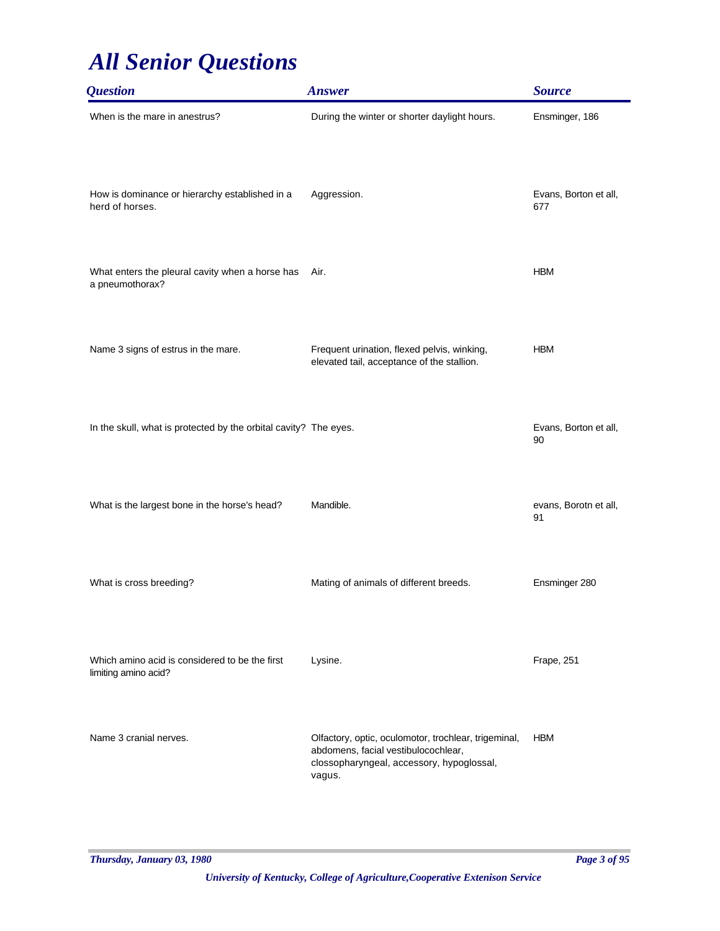| <i><b>Question</b></i>                                                 | <b>Answer</b>                                                                                                                                      | <b>Source</b>                |
|------------------------------------------------------------------------|----------------------------------------------------------------------------------------------------------------------------------------------------|------------------------------|
| When is the mare in anestrus?                                          | During the winter or shorter daylight hours.                                                                                                       | Ensminger, 186               |
| How is dominance or hierarchy established in a<br>herd of horses.      | Aggression.                                                                                                                                        | Evans, Borton et all,<br>677 |
| What enters the pleural cavity when a horse has<br>a pneumothorax?     | Air.                                                                                                                                               | <b>HBM</b>                   |
| Name 3 signs of estrus in the mare.                                    | Frequent urination, flexed pelvis, winking,<br>elevated tail, acceptance of the stallion.                                                          | <b>HBM</b>                   |
| In the skull, what is protected by the orbital cavity? The eyes.       |                                                                                                                                                    | Evans, Borton et all,<br>90  |
| What is the largest bone in the horse's head?                          | Mandible.                                                                                                                                          | evans, Borotn et all,<br>91  |
| What is cross breeding?                                                | Mating of animals of different breeds.                                                                                                             | Ensminger 280                |
| Which amino acid is considered to be the first<br>limiting amino acid? | Lysine.                                                                                                                                            | Frape, 251                   |
| Name 3 cranial nerves.                                                 | Olfactory, optic, oculomotor, trochlear, trigeminal,<br>abdomens, facial vestibulocochlear,<br>clossopharyngeal, accessory, hypoglossal,<br>vagus. | <b>HBM</b>                   |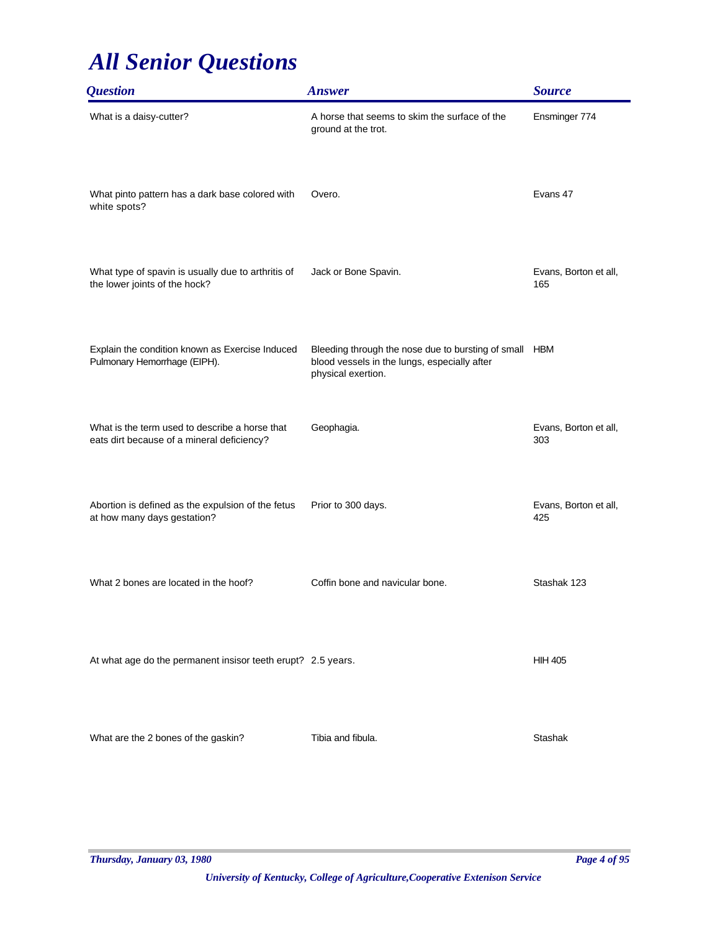| <i><b>Question</b></i>                                                                       | <b>Answer</b>                                                                                                            | <b>Source</b>                |
|----------------------------------------------------------------------------------------------|--------------------------------------------------------------------------------------------------------------------------|------------------------------|
| What is a daisy-cutter?                                                                      | A horse that seems to skim the surface of the<br>ground at the trot.                                                     | Ensminger 774                |
| What pinto pattern has a dark base colored with<br>white spots?                              | Overo.                                                                                                                   | Evans 47                     |
| What type of spavin is usually due to arthritis of<br>the lower joints of the hock?          | Jack or Bone Spavin.                                                                                                     | Evans, Borton et all,<br>165 |
| Explain the condition known as Exercise Induced<br>Pulmonary Hemorrhage (EIPH).              | Bleeding through the nose due to bursting of small<br>blood vessels in the lungs, especially after<br>physical exertion. | <b>HBM</b>                   |
| What is the term used to describe a horse that<br>eats dirt because of a mineral deficiency? | Geophagia.                                                                                                               | Evans, Borton et all,<br>303 |
| Abortion is defined as the expulsion of the fetus<br>at how many days gestation?             | Prior to 300 days.                                                                                                       | Evans, Borton et all,<br>425 |
| What 2 bones are located in the hoof?                                                        | Coffin bone and navicular bone.                                                                                          | Stashak 123                  |
| At what age do the permanent insisor teeth erupt? 2.5 years.                                 |                                                                                                                          | <b>HIH 405</b>               |
| What are the 2 bones of the gaskin?                                                          | Tibia and fibula.                                                                                                        | <b>Stashak</b>               |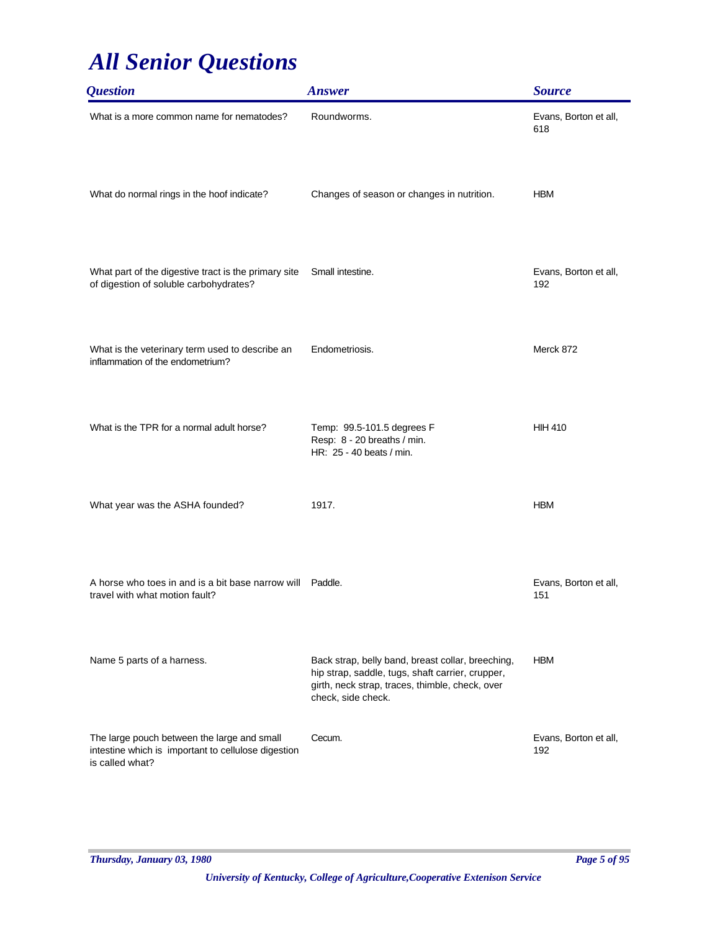| <i><b>Question</b></i>                                                                                                | <b>Answer</b>                                                                                                                                                                  | <b>Source</b>                |
|-----------------------------------------------------------------------------------------------------------------------|--------------------------------------------------------------------------------------------------------------------------------------------------------------------------------|------------------------------|
| What is a more common name for nematodes?                                                                             | Roundworms.                                                                                                                                                                    | Evans, Borton et all,<br>618 |
| What do normal rings in the hoof indicate?                                                                            | Changes of season or changes in nutrition.                                                                                                                                     | <b>HBM</b>                   |
| What part of the digestive tract is the primary site<br>of digestion of soluble carbohydrates?                        | Small intestine.                                                                                                                                                               | Evans, Borton et all,<br>192 |
| What is the veterinary term used to describe an<br>inflammation of the endometrium?                                   | Endometriosis.                                                                                                                                                                 | Merck 872                    |
| What is the TPR for a normal adult horse?                                                                             | Temp: 99.5-101.5 degrees F<br>Resp: 8 - 20 breaths / min.<br>HR: 25 - 40 beats / min.                                                                                          | <b>HIH 410</b>               |
| What year was the ASHA founded?                                                                                       | 1917.                                                                                                                                                                          | <b>HBM</b>                   |
| A horse who toes in and is a bit base narrow will<br>travel with what motion fault?                                   | Paddle.                                                                                                                                                                        | Evans, Borton et all,<br>151 |
| Name 5 parts of a harness.                                                                                            | Back strap, belly band, breast collar, breeching,<br>hip strap, saddle, tugs, shaft carrier, crupper,<br>girth, neck strap, traces, thimble, check, over<br>check, side check. | <b>HBM</b>                   |
| The large pouch between the large and small<br>intestine which is important to cellulose digestion<br>is called what? | Cecum.                                                                                                                                                                         | Evans, Borton et all,<br>192 |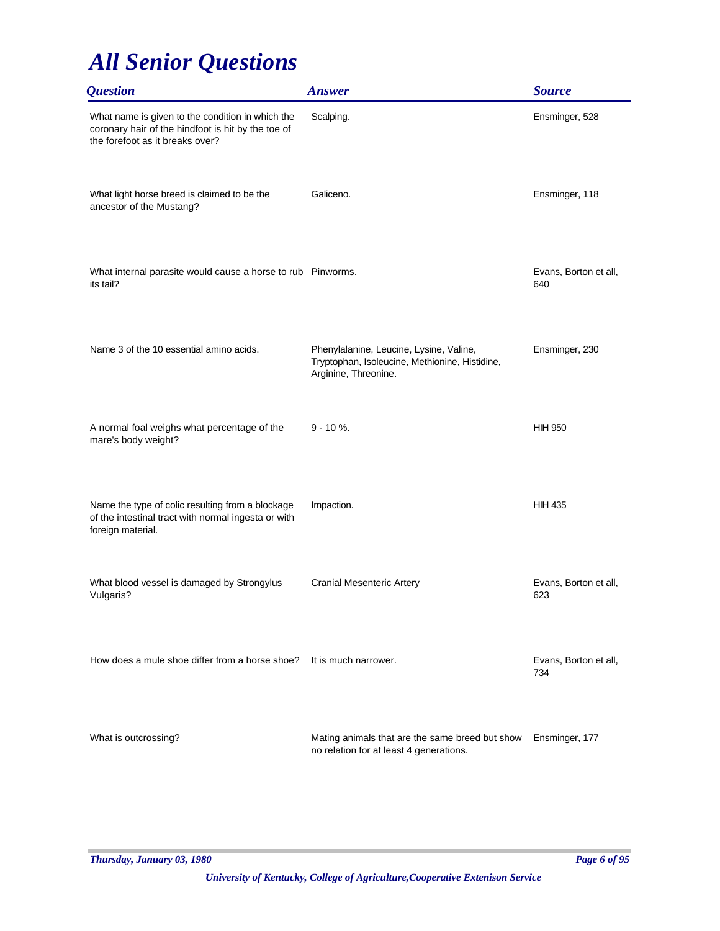| <i><b>Question</b></i>                                                                                                                    | <b>Answer</b>                                                                                                     | <b>Source</b>                |
|-------------------------------------------------------------------------------------------------------------------------------------------|-------------------------------------------------------------------------------------------------------------------|------------------------------|
| What name is given to the condition in which the<br>coronary hair of the hindfoot is hit by the toe of<br>the forefoot as it breaks over? | Scalping.                                                                                                         | Ensminger, 528               |
| What light horse breed is claimed to be the<br>ancestor of the Mustang?                                                                   | Galiceno.                                                                                                         | Ensminger, 118               |
| What internal parasite would cause a horse to rub Pinworms.<br>its tail?                                                                  |                                                                                                                   | Evans, Borton et all,<br>640 |
| Name 3 of the 10 essential amino acids.                                                                                                   | Phenylalanine, Leucine, Lysine, Valine,<br>Tryptophan, Isoleucine, Methionine, Histidine,<br>Arginine, Threonine. | Ensminger, 230               |
| A normal foal weighs what percentage of the<br>mare's body weight?                                                                        | $9 - 10 \%$ .                                                                                                     | <b>HIH 950</b>               |
| Name the type of colic resulting from a blockage<br>of the intestinal tract with normal ingesta or with<br>foreign material.              | Impaction.                                                                                                        | <b>HIH 435</b>               |
| What blood vessel is damaged by Strongylus<br>Vulgaris?                                                                                   | <b>Cranial Mesenteric Artery</b>                                                                                  | Evans, Borton et all,<br>623 |
| How does a mule shoe differ from a horse shoe?                                                                                            | It is much narrower.                                                                                              | Evans, Borton et all,<br>734 |
| What is outcrossing?                                                                                                                      | Mating animals that are the same breed but show<br>no relation for at least 4 generations.                        | Ensminger, 177               |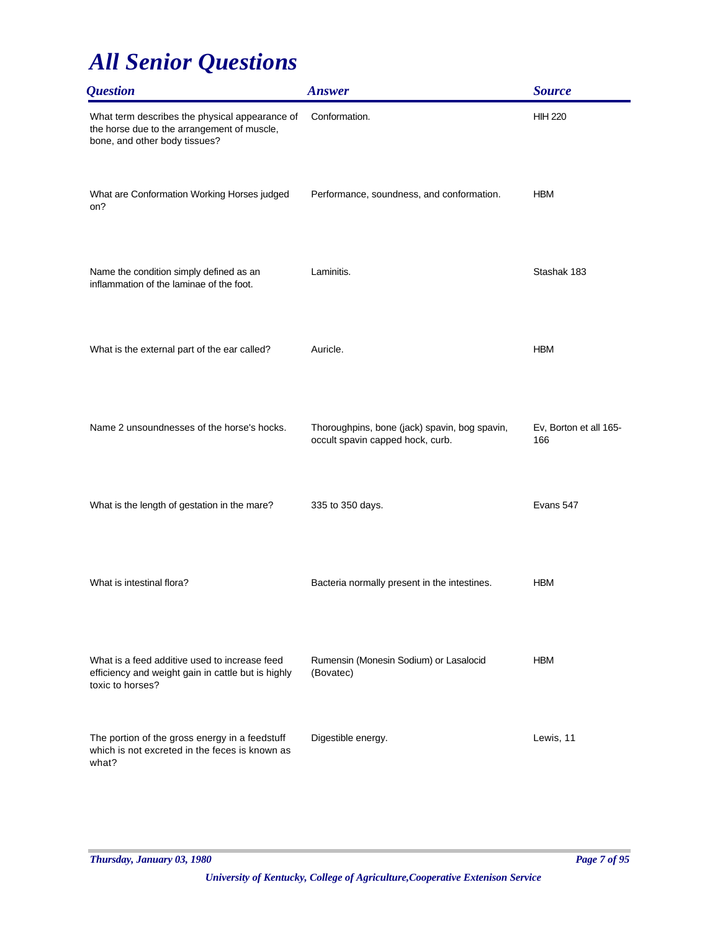| <b>Question</b>                                                                                                                | <b>Answer</b>                                                                     | <b>Source</b>                 |
|--------------------------------------------------------------------------------------------------------------------------------|-----------------------------------------------------------------------------------|-------------------------------|
| What term describes the physical appearance of<br>the horse due to the arrangement of muscle,<br>bone, and other body tissues? | Conformation.                                                                     | <b>HIH 220</b>                |
| What are Conformation Working Horses judged<br>on?                                                                             | Performance, soundness, and conformation.                                         | <b>HBM</b>                    |
| Name the condition simply defined as an<br>inflammation of the laminae of the foot.                                            | Laminitis.                                                                        | Stashak 183                   |
| What is the external part of the ear called?                                                                                   | Auricle.                                                                          | <b>HBM</b>                    |
| Name 2 unsoundnesses of the horse's hocks.                                                                                     | Thoroughpins, bone (jack) spavin, bog spavin,<br>occult spavin capped hock, curb. | Ev, Borton et all 165-<br>166 |
| What is the length of gestation in the mare?                                                                                   | 335 to 350 days.                                                                  | Evans 547                     |
| What is intestinal flora?                                                                                                      | Bacteria normally present in the intestines.                                      | <b>HBM</b>                    |
| What is a feed additive used to increase feed<br>efficiency and weight gain in cattle but is highly<br>toxic to horses?        | Rumensin (Monesin Sodium) or Lasalocid<br>(Bovatec)                               | <b>HBM</b>                    |
| The portion of the gross energy in a feedstuff<br>which is not excreted in the feces is known as<br>what?                      | Digestible energy.                                                                | Lewis, 11                     |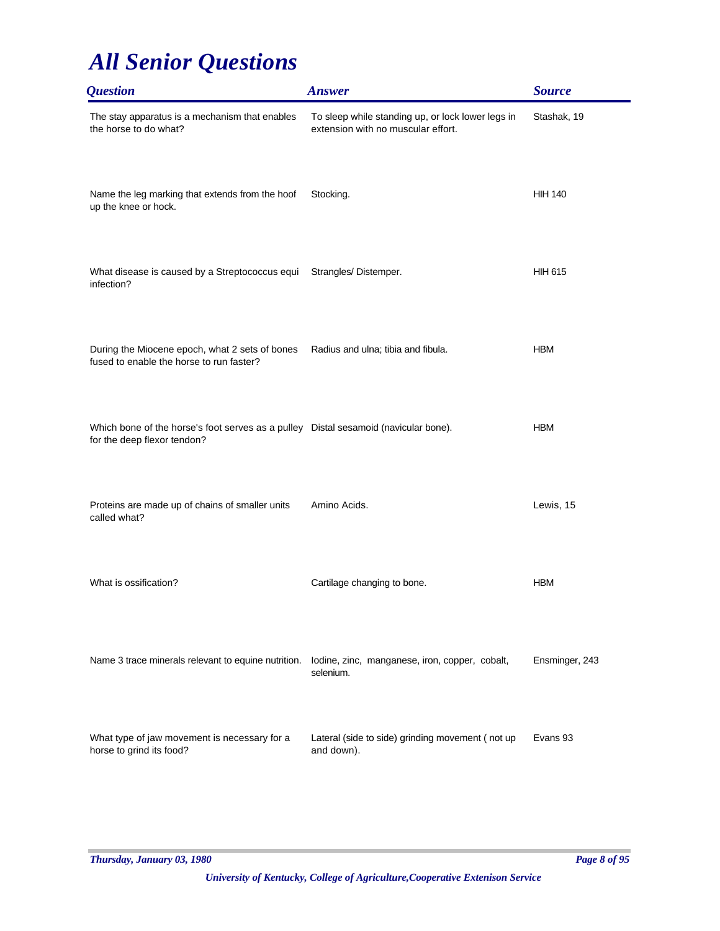| <i><b>Question</b></i>                                                                                             | <b>Answer</b>                                                                           | <b>Source</b>  |
|--------------------------------------------------------------------------------------------------------------------|-----------------------------------------------------------------------------------------|----------------|
| The stay apparatus is a mechanism that enables<br>the horse to do what?                                            | To sleep while standing up, or lock lower legs in<br>extension with no muscular effort. | Stashak, 19    |
| Name the leg marking that extends from the hoof<br>up the knee or hock.                                            | Stocking.                                                                               | <b>HIH 140</b> |
| What disease is caused by a Streptococcus equi<br>infection?                                                       | Strangles/Distemper.                                                                    | <b>HIH 615</b> |
| During the Miocene epoch, what 2 sets of bones<br>fused to enable the horse to run faster?                         | Radius and ulna; tibia and fibula.                                                      | <b>HBM</b>     |
| Which bone of the horse's foot serves as a pulley Distal sesamoid (navicular bone).<br>for the deep flexor tendon? |                                                                                         | <b>HBM</b>     |
| Proteins are made up of chains of smaller units<br>called what?                                                    | Amino Acids.                                                                            | Lewis, 15      |
| What is ossification?                                                                                              | Cartilage changing to bone.                                                             | <b>HBM</b>     |
| Name 3 trace minerals relevant to equine nutrition.                                                                | lodine, zinc, manganese, iron, copper, cobalt,<br>selenium.                             | Ensminger, 243 |
| What type of jaw movement is necessary for a<br>horse to grind its food?                                           | Lateral (side to side) grinding movement (not up<br>and down).                          | Evans 93       |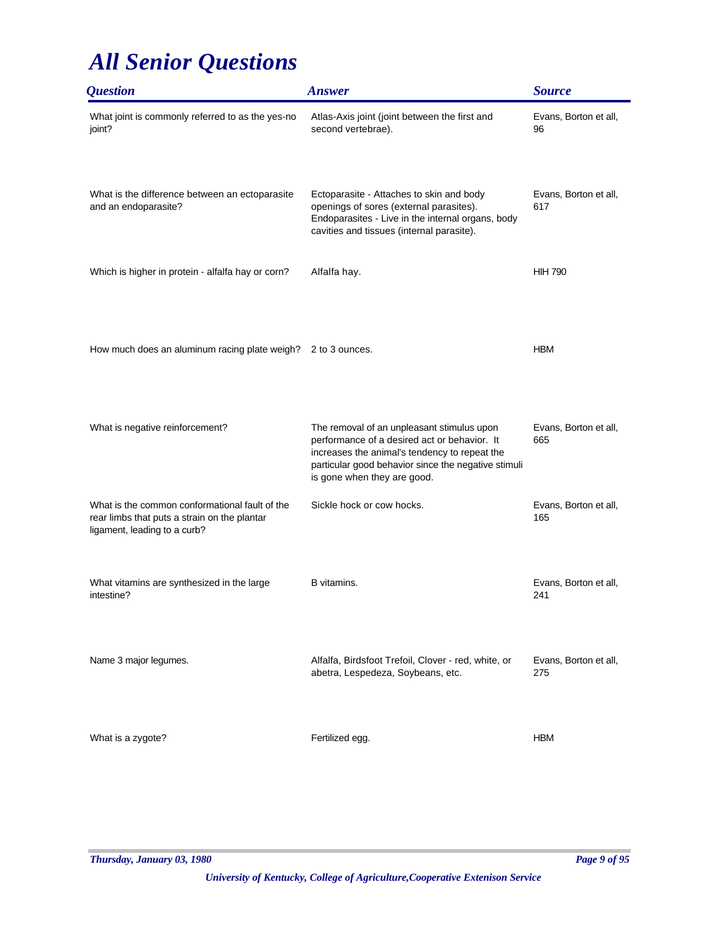| <i><b>Question</b></i>                                                                                                         | <b>Answer</b>                                                                                                                                                                                                                     | <b>Source</b>                |
|--------------------------------------------------------------------------------------------------------------------------------|-----------------------------------------------------------------------------------------------------------------------------------------------------------------------------------------------------------------------------------|------------------------------|
| What joint is commonly referred to as the yes-no<br>joint?                                                                     | Atlas-Axis joint (joint between the first and<br>second vertebrae).                                                                                                                                                               | Evans, Borton et all,<br>96  |
| What is the difference between an ectoparasite<br>and an endoparasite?                                                         | Ectoparasite - Attaches to skin and body<br>openings of sores (external parasites).<br>Endoparasites - Live in the internal organs, body<br>cavities and tissues (internal parasite).                                             | Evans, Borton et all,<br>617 |
| Which is higher in protein - alfalfa hay or corn?                                                                              | Alfalfa hay.                                                                                                                                                                                                                      | <b>HIH 790</b>               |
| How much does an aluminum racing plate weigh? 2 to 3 ounces.                                                                   |                                                                                                                                                                                                                                   | <b>HBM</b>                   |
| What is negative reinforcement?                                                                                                | The removal of an unpleasant stimulus upon<br>performance of a desired act or behavior. It<br>increases the animal's tendency to repeat the<br>particular good behavior since the negative stimuli<br>is gone when they are good. | Evans, Borton et all,<br>665 |
| What is the common conformational fault of the<br>rear limbs that puts a strain on the plantar<br>ligament, leading to a curb? | Sickle hock or cow hocks.                                                                                                                                                                                                         | Evans, Borton et all,<br>165 |
| What vitamins are synthesized in the large<br>intestine?                                                                       | B vitamins.                                                                                                                                                                                                                       | Evans, Borton et all,<br>241 |
| Name 3 major legumes.                                                                                                          | Alfalfa, Birdsfoot Trefoil, Clover - red, white, or<br>abetra, Lespedeza, Soybeans, etc.                                                                                                                                          | Evans, Borton et all,<br>275 |
| What is a zygote?                                                                                                              | Fertilized egg.                                                                                                                                                                                                                   | <b>HBM</b>                   |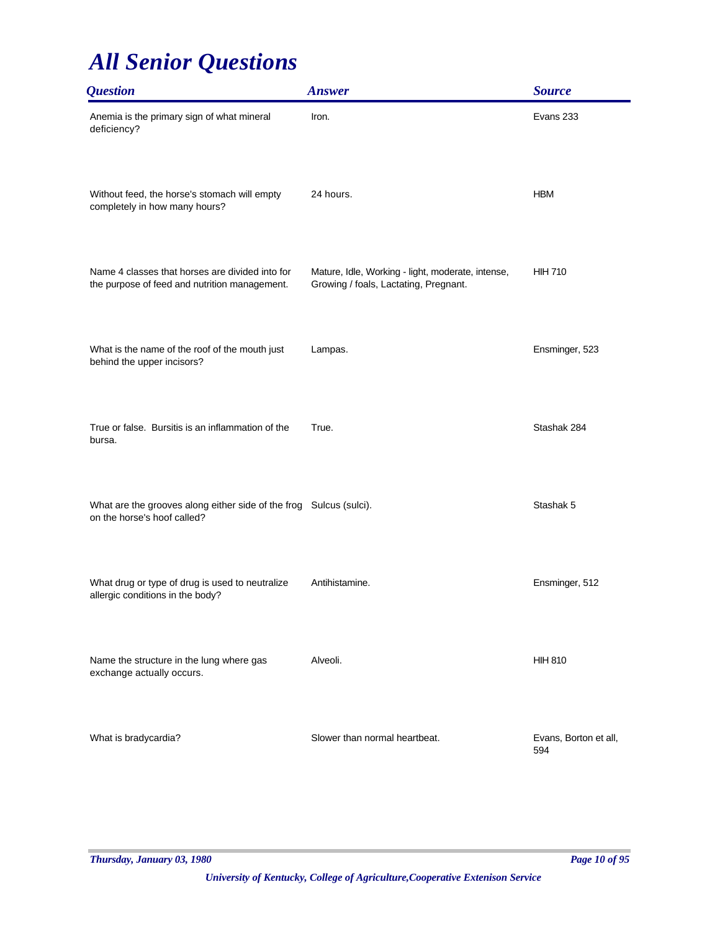| <b>Question</b>                                                                                   | <b>Answer</b>                                                                              | <b>Source</b>                |
|---------------------------------------------------------------------------------------------------|--------------------------------------------------------------------------------------------|------------------------------|
| Anemia is the primary sign of what mineral<br>deficiency?                                         | Iron.                                                                                      | Evans 233                    |
| Without feed, the horse's stomach will empty<br>completely in how many hours?                     | 24 hours.                                                                                  | <b>HBM</b>                   |
| Name 4 classes that horses are divided into for<br>the purpose of feed and nutrition management.  | Mature, Idle, Working - light, moderate, intense,<br>Growing / foals, Lactating, Pregnant. | <b>HIH 710</b>               |
| What is the name of the roof of the mouth just<br>behind the upper incisors?                      | Lampas.                                                                                    | Ensminger, 523               |
| True or false. Bursitis is an inflammation of the<br>bursa.                                       | True.                                                                                      | Stashak 284                  |
| What are the grooves along either side of the frog Sulcus (sulci).<br>on the horse's hoof called? |                                                                                            | Stashak 5                    |
| What drug or type of drug is used to neutralize<br>allergic conditions in the body?               | Antihistamine.                                                                             | Ensminger, 512               |
| Name the structure in the lung where gas<br>exchange actually occurs.                             | Alveoli.                                                                                   | <b>HIH 810</b>               |
| What is bradycardia?                                                                              | Slower than normal heartbeat.                                                              | Evans, Borton et all,<br>594 |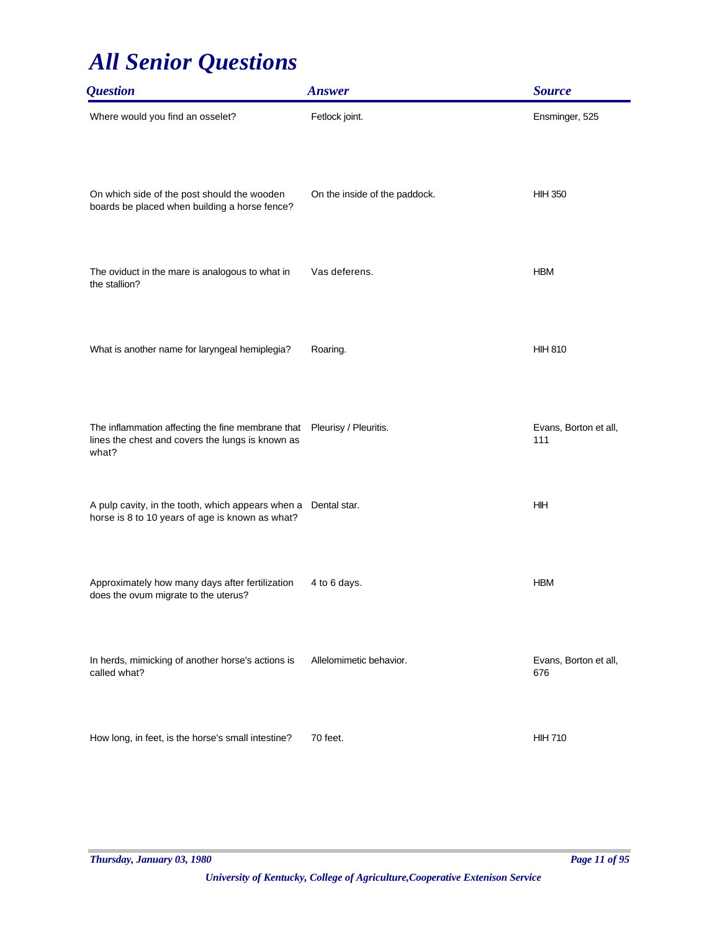| <i><b>Question</b></i>                                                                                                                | <b>Answer</b>                 | <b>Source</b>                |
|---------------------------------------------------------------------------------------------------------------------------------------|-------------------------------|------------------------------|
| Where would you find an osselet?                                                                                                      | Fetlock joint.                | Ensminger, 525               |
| On which side of the post should the wooden<br>boards be placed when building a horse fence?                                          | On the inside of the paddock. | <b>HIH 350</b>               |
| The oviduct in the mare is analogous to what in<br>the stallion?                                                                      | Vas deferens.                 | <b>HBM</b>                   |
| What is another name for laryngeal hemiplegia?                                                                                        | Roaring.                      | <b>HIH 810</b>               |
| The inflammation affecting the fine membrane that  Pleurisy / Pleuritis.<br>lines the chest and covers the lungs is known as<br>what? |                               | Evans, Borton et all,<br>111 |
| A pulp cavity, in the tooth, which appears when a Dental star.<br>horse is 8 to 10 years of age is known as what?                     |                               | HIH                          |
| Approximately how many days after fertilization<br>does the ovum migrate to the uterus?                                               | 4 to 6 days.                  | <b>HBM</b>                   |
| In herds, mimicking of another horse's actions is<br>called what?                                                                     | Allelomimetic behavior.       | Evans, Borton et all,<br>676 |
| How long, in feet, is the horse's small intestine?                                                                                    | 70 feet.                      | <b>HIH 710</b>               |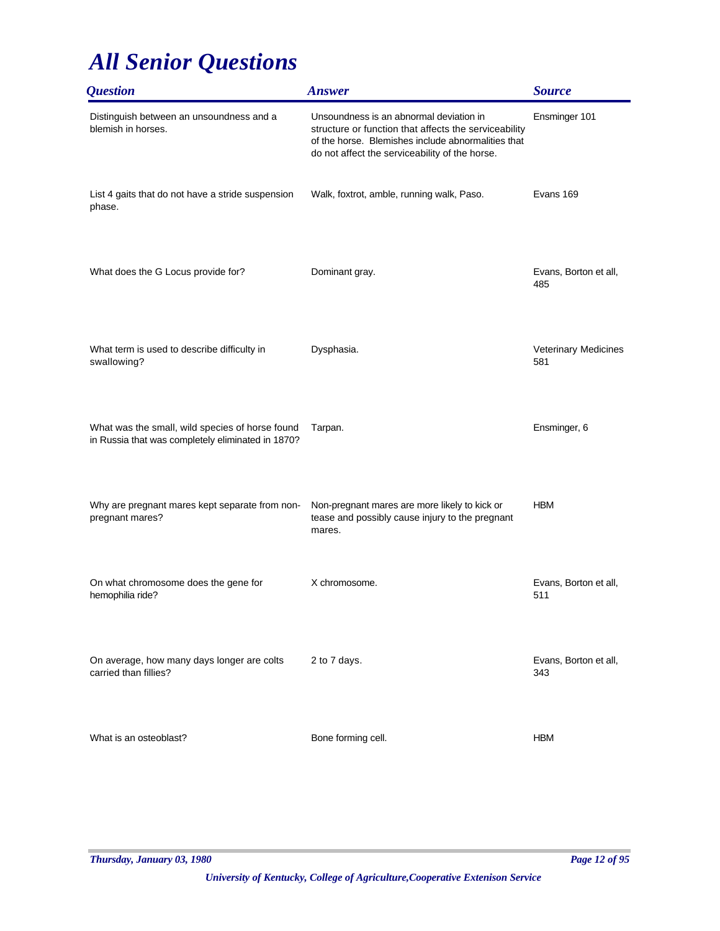| <i><b>Question</b></i>                                                                               | <b>Answer</b>                                                                                                                                                                                            | <b>Source</b>                |
|------------------------------------------------------------------------------------------------------|----------------------------------------------------------------------------------------------------------------------------------------------------------------------------------------------------------|------------------------------|
| Distinguish between an unsoundness and a<br>blemish in horses.                                       | Unsoundness is an abnormal deviation in<br>structure or function that affects the serviceability<br>of the horse. Blemishes include abnormalities that<br>do not affect the serviceability of the horse. | Ensminger 101                |
| List 4 gaits that do not have a stride suspension<br>phase.                                          | Walk, foxtrot, amble, running walk, Paso.                                                                                                                                                                | Evans 169                    |
| What does the G Locus provide for?                                                                   | Dominant gray.                                                                                                                                                                                           | Evans, Borton et all,<br>485 |
| What term is used to describe difficulty in<br>swallowing?                                           | Dysphasia.                                                                                                                                                                                               | Veterinary Medicines<br>581  |
| What was the small, wild species of horse found<br>in Russia that was completely eliminated in 1870? | Tarpan.                                                                                                                                                                                                  | Ensminger, 6                 |
| Why are pregnant mares kept separate from non-<br>pregnant mares?                                    | Non-pregnant mares are more likely to kick or<br>tease and possibly cause injury to the pregnant<br>mares.                                                                                               | <b>HBM</b>                   |
| On what chromosome does the gene for<br>hemophilia ride?                                             | X chromosome.                                                                                                                                                                                            | Evans, Borton et all,<br>511 |
| On average, how many days longer are colts<br>carried than fillies?                                  | 2 to 7 days.                                                                                                                                                                                             | Evans, Borton et all,<br>343 |
| What is an osteoblast?                                                                               | Bone forming cell.                                                                                                                                                                                       | <b>HBM</b>                   |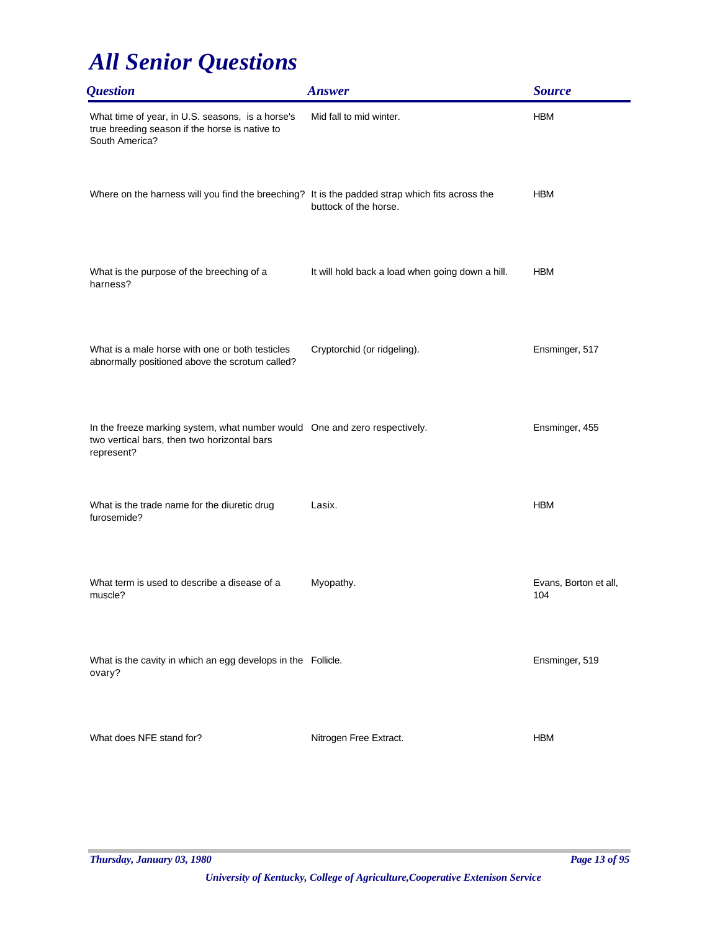| <i><b>Question</b></i>                                                                                                                  | <b>Answer</b>                                    | <b>Source</b>                |
|-----------------------------------------------------------------------------------------------------------------------------------------|--------------------------------------------------|------------------------------|
| What time of year, in U.S. seasons, is a horse's<br>true breeding season if the horse is native to<br>South America?                    | Mid fall to mid winter.                          | <b>HBM</b>                   |
| Where on the harness will you find the breeching? It is the padded strap which fits across the                                          | buttock of the horse.                            | <b>HBM</b>                   |
| What is the purpose of the breeching of a<br>harness?                                                                                   | It will hold back a load when going down a hill. | <b>HBM</b>                   |
| What is a male horse with one or both testicles<br>abnormally positioned above the scrotum called?                                      | Cryptorchid (or ridgeling).                      | Ensminger, 517               |
| In the freeze marking system, what number would One and zero respectively.<br>two vertical bars, then two horizontal bars<br>represent? |                                                  | Ensminger, 455               |
| What is the trade name for the diuretic drug<br>furosemide?                                                                             | Lasix.                                           | <b>HBM</b>                   |
| What term is used to describe a disease of a<br>muscle?                                                                                 | Myopathy.                                        | Evans, Borton et all,<br>104 |
| What is the cavity in which an egg develops in the Follicle.<br>ovary?                                                                  |                                                  | Ensminger, 519               |
| What does NFE stand for?                                                                                                                | Nitrogen Free Extract.                           | <b>HBM</b>                   |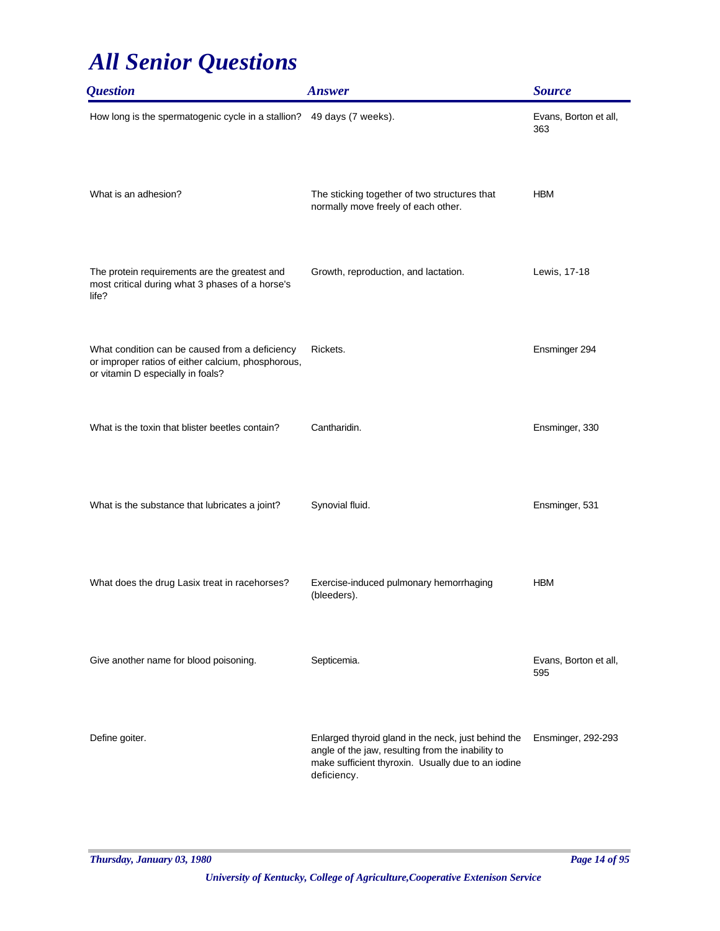| <i><b>Question</b></i>                                                                                                                    | <b>Answer</b>                                                                                                                                                                 | <b>Source</b>                |
|-------------------------------------------------------------------------------------------------------------------------------------------|-------------------------------------------------------------------------------------------------------------------------------------------------------------------------------|------------------------------|
| How long is the spermatogenic cycle in a stallion? 49 days (7 weeks).                                                                     |                                                                                                                                                                               | Evans, Borton et all,<br>363 |
| What is an adhesion?                                                                                                                      | The sticking together of two structures that<br>normally move freely of each other.                                                                                           | <b>HBM</b>                   |
| The protein requirements are the greatest and<br>most critical during what 3 phases of a horse's<br>life?                                 | Growth, reproduction, and lactation.                                                                                                                                          | Lewis, 17-18                 |
| What condition can be caused from a deficiency<br>or improper ratios of either calcium, phosphorous,<br>or vitamin D especially in foals? | Rickets.                                                                                                                                                                      | Ensminger 294                |
| What is the toxin that blister beetles contain?                                                                                           | Cantharidin.                                                                                                                                                                  | Ensminger, 330               |
| What is the substance that lubricates a joint?                                                                                            | Synovial fluid.                                                                                                                                                               | Ensminger, 531               |
| What does the drug Lasix treat in racehorses?                                                                                             | Exercise-induced pulmonary hemorrhaging<br>(bleeders).                                                                                                                        | <b>HBM</b>                   |
| Give another name for blood poisoning.                                                                                                    | Septicemia.                                                                                                                                                                   | Evans, Borton et all,<br>595 |
| Define goiter.                                                                                                                            | Enlarged thyroid gland in the neck, just behind the<br>angle of the jaw, resulting from the inability to<br>make sufficient thyroxin. Usually due to an iodine<br>deficiency. | Ensminger, 292-293           |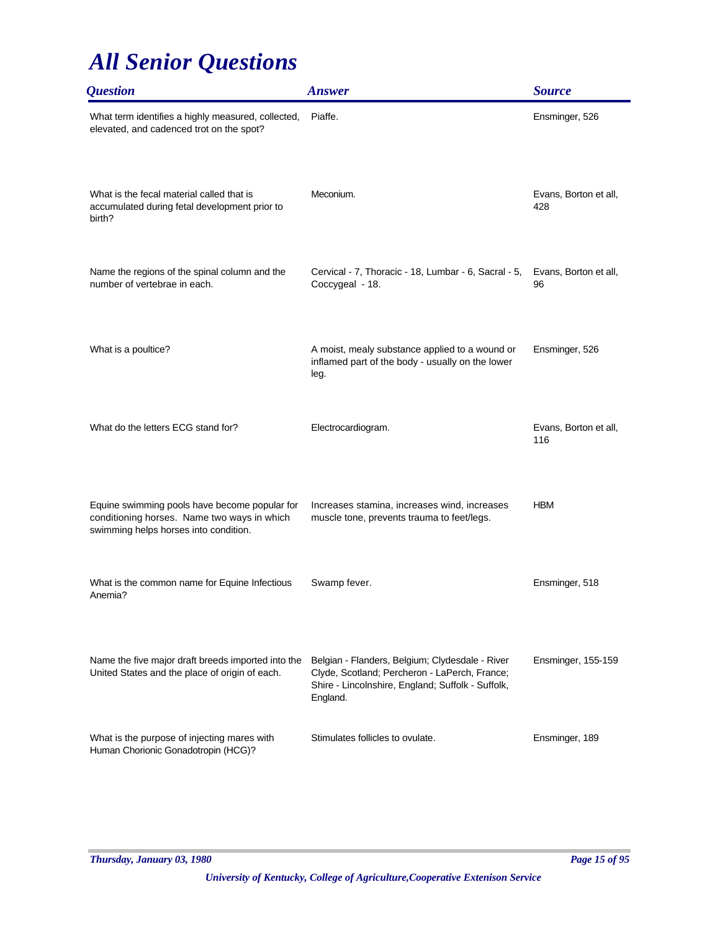| <i><b>Question</b></i>                                                                                                                | <b>Answer</b>                                                                                                                                                     | <b>Source</b>                |
|---------------------------------------------------------------------------------------------------------------------------------------|-------------------------------------------------------------------------------------------------------------------------------------------------------------------|------------------------------|
| What term identifies a highly measured, collected,<br>elevated, and cadenced trot on the spot?                                        | Piaffe.                                                                                                                                                           | Ensminger, 526               |
| What is the fecal material called that is<br>accumulated during fetal development prior to<br>birth?                                  | Meconium.                                                                                                                                                         | Evans, Borton et all,<br>428 |
| Name the regions of the spinal column and the<br>number of vertebrae in each.                                                         | Cervical - 7, Thoracic - 18, Lumbar - 6, Sacral - 5,<br>Coccygeal - 18.                                                                                           | Evans, Borton et all,<br>96  |
| What is a poultice?                                                                                                                   | A moist, mealy substance applied to a wound or<br>inflamed part of the body - usually on the lower<br>leg.                                                        | Ensminger, 526               |
| What do the letters ECG stand for?                                                                                                    | Electrocardiogram.                                                                                                                                                | Evans, Borton et all,<br>116 |
| Equine swimming pools have become popular for<br>conditioning horses. Name two ways in which<br>swimming helps horses into condition. | Increases stamina, increases wind, increases<br>muscle tone, prevents trauma to feet/legs.                                                                        | <b>HBM</b>                   |
| What is the common name for Equine Infectious<br>Anemia?                                                                              | Swamp fever.                                                                                                                                                      | Ensminger, 518               |
| Name the five major draft breeds imported into the<br>United States and the place of origin of each.                                  | Belgian - Flanders, Belgium; Clydesdale - River<br>Clyde, Scotland; Percheron - LaPerch, France;<br>Shire - Lincolnshire, England; Suffolk - Suffolk,<br>England. | Ensminger, 155-159           |
| What is the purpose of injecting mares with<br>Human Chorionic Gonadotropin (HCG)?                                                    | Stimulates follicles to ovulate.                                                                                                                                  | Ensminger, 189               |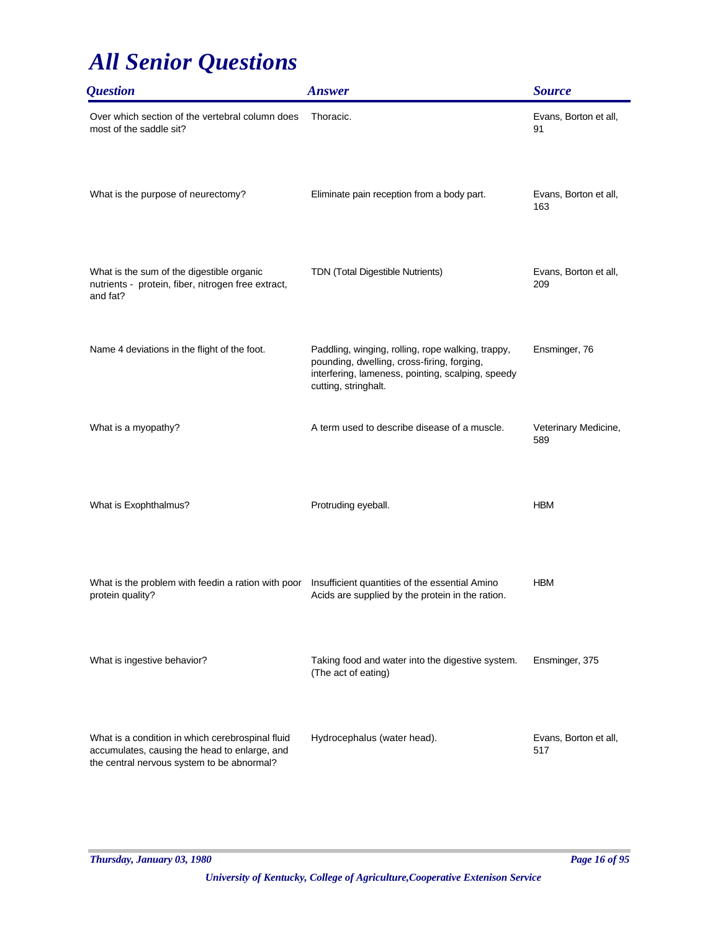| <i><b>Question</b></i>                                                                                                                          | <b>Answer</b>                                                                                                                                                                | <b>Source</b>                |
|-------------------------------------------------------------------------------------------------------------------------------------------------|------------------------------------------------------------------------------------------------------------------------------------------------------------------------------|------------------------------|
| Over which section of the vertebral column does<br>most of the saddle sit?                                                                      | Thoracic.                                                                                                                                                                    | Evans, Borton et all,<br>91  |
| What is the purpose of neurectomy?                                                                                                              | Eliminate pain reception from a body part.                                                                                                                                   | Evans, Borton et all,<br>163 |
| What is the sum of the digestible organic<br>nutrients - protein, fiber, nitrogen free extract,<br>and fat?                                     | TDN (Total Digestible Nutrients)                                                                                                                                             | Evans, Borton et all,<br>209 |
| Name 4 deviations in the flight of the foot.                                                                                                    | Paddling, winging, rolling, rope walking, trappy,<br>pounding, dwelling, cross-firing, forging,<br>interfering, lameness, pointing, scalping, speedy<br>cutting, stringhalt. | Ensminger, 76                |
| What is a myopathy?                                                                                                                             | A term used to describe disease of a muscle.                                                                                                                                 | Veterinary Medicine,<br>589  |
| What is Exophthalmus?                                                                                                                           | Protruding eyeball.                                                                                                                                                          | <b>HBM</b>                   |
| What is the problem with feedin a ration with poor<br>protein quality?                                                                          | Insufficient quantities of the essential Amino<br>Acids are supplied by the protein in the ration.                                                                           | <b>HBM</b>                   |
| What is ingestive behavior?                                                                                                                     | Taking food and water into the digestive system.<br>(The act of eating)                                                                                                      | Ensminger, 375               |
| What is a condition in which cerebrospinal fluid<br>accumulates, causing the head to enlarge, and<br>the central nervous system to be abnormal? | Hydrocephalus (water head).                                                                                                                                                  | Evans, Borton et all,<br>517 |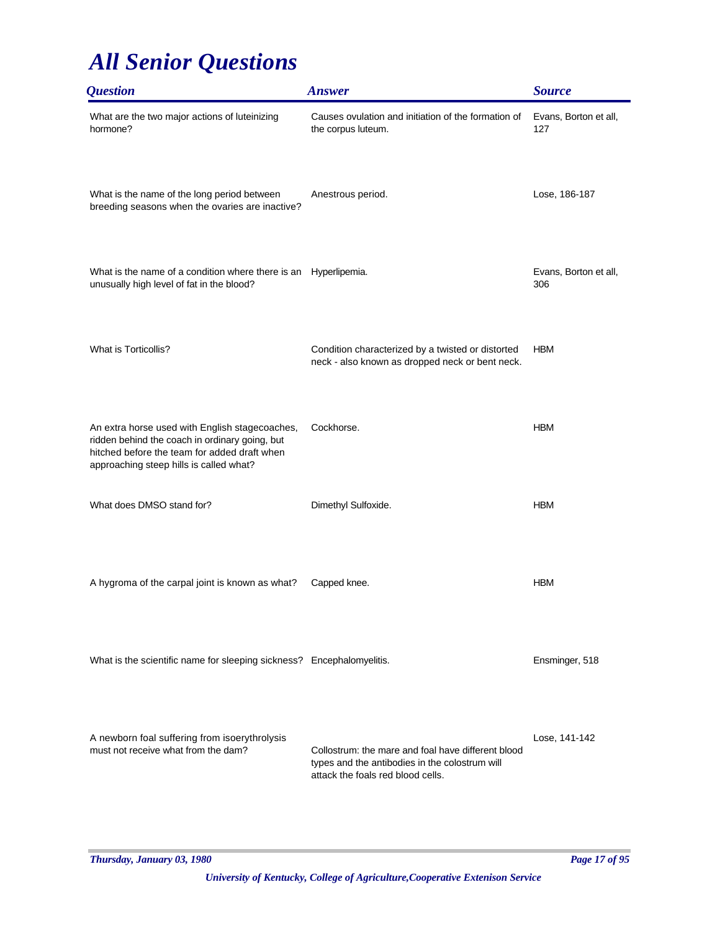| <i><b>Question</b></i>                                                                                                                                                                      | <b>Answer</b>                                                                                                                             | <b>Source</b>                |
|---------------------------------------------------------------------------------------------------------------------------------------------------------------------------------------------|-------------------------------------------------------------------------------------------------------------------------------------------|------------------------------|
| What are the two major actions of luteinizing<br>hormone?                                                                                                                                   | Causes ovulation and initiation of the formation of<br>the corpus luteum.                                                                 | Evans, Borton et all,<br>127 |
| What is the name of the long period between<br>breeding seasons when the ovaries are inactive?                                                                                              | Anestrous period.                                                                                                                         | Lose, 186-187                |
| What is the name of a condition where there is an<br>unusually high level of fat in the blood?                                                                                              | Hyperlipemia.                                                                                                                             | Evans, Borton et all,<br>306 |
| What is Torticollis?                                                                                                                                                                        | Condition characterized by a twisted or distorted<br>neck - also known as dropped neck or bent neck.                                      | <b>HBM</b>                   |
| An extra horse used with English stagecoaches,<br>ridden behind the coach in ordinary going, but<br>hitched before the team for added draft when<br>approaching steep hills is called what? | Cockhorse.                                                                                                                                | <b>HBM</b>                   |
| What does DMSO stand for?                                                                                                                                                                   | Dimethyl Sulfoxide.                                                                                                                       | <b>HBM</b>                   |
| A hygroma of the carpal joint is known as what?                                                                                                                                             | Capped knee.                                                                                                                              | <b>HBM</b>                   |
| What is the scientific name for sleeping sickness? Encephalomyelitis.                                                                                                                       |                                                                                                                                           | Ensminger, 518               |
| A newborn foal suffering from isoerythrolysis<br>must not receive what from the dam?                                                                                                        | Collostrum: the mare and foal have different blood<br>types and the antibodies in the colostrum will<br>attack the foals red blood cells. | Lose, 141-142                |

*Thursday, January 03, 1980 Page 17 of 95*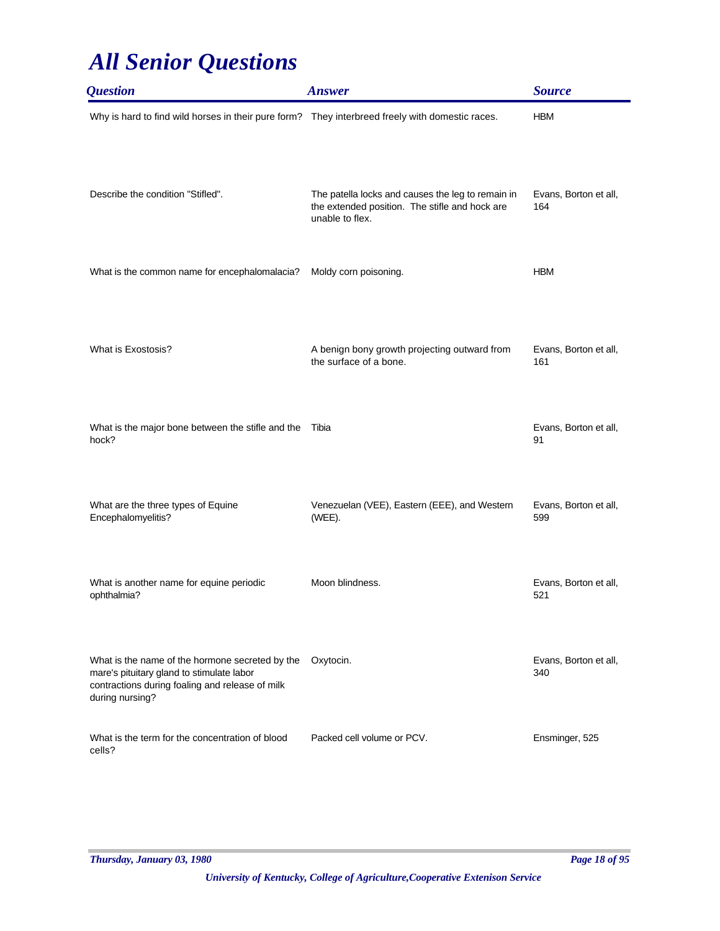| <i><b>Question</b></i>                                                                                                                                             | <b>Answer</b>                                                                                                          | <b>Source</b>                |
|--------------------------------------------------------------------------------------------------------------------------------------------------------------------|------------------------------------------------------------------------------------------------------------------------|------------------------------|
| Why is hard to find wild horses in their pure form? They interbreed freely with domestic races.                                                                    |                                                                                                                        | <b>HBM</b>                   |
| Describe the condition "Stifled".                                                                                                                                  | The patella locks and causes the leg to remain in<br>the extended position. The stifle and hock are<br>unable to flex. | Evans, Borton et all,<br>164 |
| What is the common name for encephalomalacia?                                                                                                                      | Moldy corn poisoning.                                                                                                  | <b>HBM</b>                   |
| What is Exostosis?                                                                                                                                                 | A benign bony growth projecting outward from<br>the surface of a bone.                                                 | Evans, Borton et all,<br>161 |
| What is the major bone between the stifle and the<br>hock?                                                                                                         | Tibia                                                                                                                  | Evans, Borton et all,<br>91  |
| What are the three types of Equine<br>Encephalomyelitis?                                                                                                           | Venezuelan (VEE), Eastern (EEE), and Western<br>(WEE).                                                                 | Evans, Borton et all,<br>599 |
| What is another name for equine periodic<br>ophthalmia?                                                                                                            | Moon blindness.                                                                                                        | Evans, Borton et all,<br>521 |
| What is the name of the hormone secreted by the<br>mare's pituitary gland to stimulate labor<br>contractions during foaling and release of milk<br>during nursing? | Oxytocin.                                                                                                              | Evans, Borton et all,<br>340 |
| What is the term for the concentration of blood<br>cells?                                                                                                          | Packed cell volume or PCV.                                                                                             | Ensminger, 525               |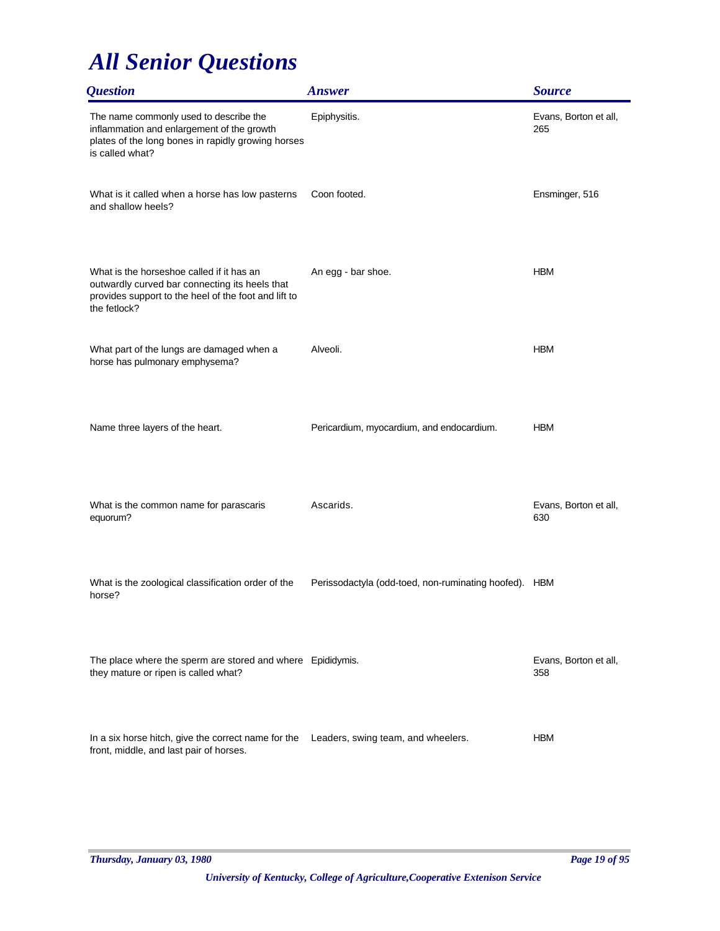| <i><b>Question</b></i>                                                                                                                                              | <b>Answer</b>                                         | <b>Source</b>                |
|---------------------------------------------------------------------------------------------------------------------------------------------------------------------|-------------------------------------------------------|------------------------------|
| The name commonly used to describe the<br>inflammation and enlargement of the growth<br>plates of the long bones in rapidly growing horses<br>is called what?       | Epiphysitis.                                          | Evans, Borton et all,<br>265 |
| What is it called when a horse has low pasterns<br>and shallow heels?                                                                                               | Coon footed.                                          | Ensminger, 516               |
| What is the horseshoe called if it has an<br>outwardly curved bar connecting its heels that<br>provides support to the heel of the foot and lift to<br>the fetlock? | An egg - bar shoe.                                    | <b>HBM</b>                   |
| What part of the lungs are damaged when a<br>horse has pulmonary emphysema?                                                                                         | Alveoli.                                              | <b>HBM</b>                   |
| Name three layers of the heart.                                                                                                                                     | Pericardium, myocardium, and endocardium.             | <b>HBM</b>                   |
| What is the common name for parascaris<br>equorum?                                                                                                                  | Ascarids.                                             | Evans, Borton et all,<br>630 |
| What is the zoological classification order of the<br>horse?                                                                                                        | Perissodactyla (odd-toed, non-ruminating hoofed). HBM |                              |
| The place where the sperm are stored and where Epididymis.<br>they mature or ripen is called what?                                                                  |                                                       | Evans, Borton et all,<br>358 |
| In a six horse hitch, give the correct name for the<br>front, middle, and last pair of horses.                                                                      | Leaders, swing team, and wheelers.                    | <b>HBM</b>                   |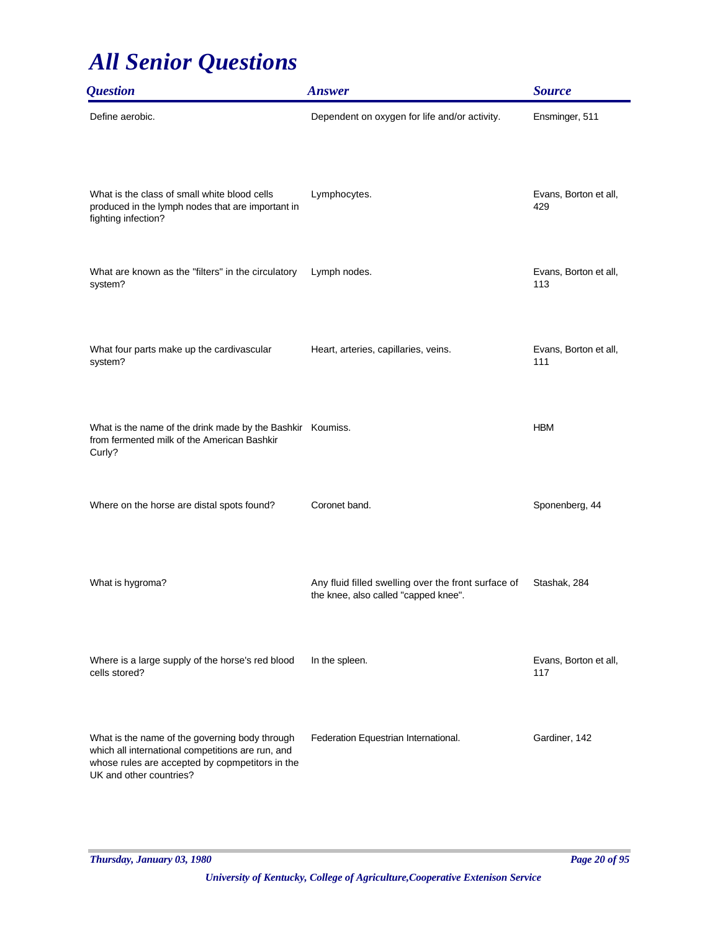| <i><b>Question</b></i>                                                                                                                                                            | <b>Answer</b>                                                                               | <b>Source</b>                |
|-----------------------------------------------------------------------------------------------------------------------------------------------------------------------------------|---------------------------------------------------------------------------------------------|------------------------------|
| Define aerobic.                                                                                                                                                                   | Dependent on oxygen for life and/or activity.                                               | Ensminger, 511               |
| What is the class of small white blood cells<br>produced in the lymph nodes that are important in<br>fighting infection?                                                          | Lymphocytes.                                                                                | Evans, Borton et all,<br>429 |
| What are known as the "filters" in the circulatory<br>system?                                                                                                                     | Lymph nodes.                                                                                | Evans, Borton et all,<br>113 |
| What four parts make up the cardivascular<br>system?                                                                                                                              | Heart, arteries, capillaries, veins.                                                        | Evans, Borton et all,<br>111 |
| What is the name of the drink made by the Bashkir Koumiss.<br>from fermented milk of the American Bashkir<br>Curly?                                                               |                                                                                             | <b>HBM</b>                   |
| Where on the horse are distal spots found?                                                                                                                                        | Coronet band.                                                                               | Sponenberg, 44               |
| What is hygroma?                                                                                                                                                                  | Any fluid filled swelling over the front surface of<br>the knee, also called "capped knee". | Stashak, 284                 |
| Where is a large supply of the horse's red blood<br>cells stored?                                                                                                                 | In the spleen.                                                                              | Evans, Borton et all,<br>117 |
| What is the name of the governing body through<br>which all international competitions are run, and<br>whose rules are accepted by copmpetitors in the<br>UK and other countries? | Federation Equestrian International.                                                        | Gardiner, 142                |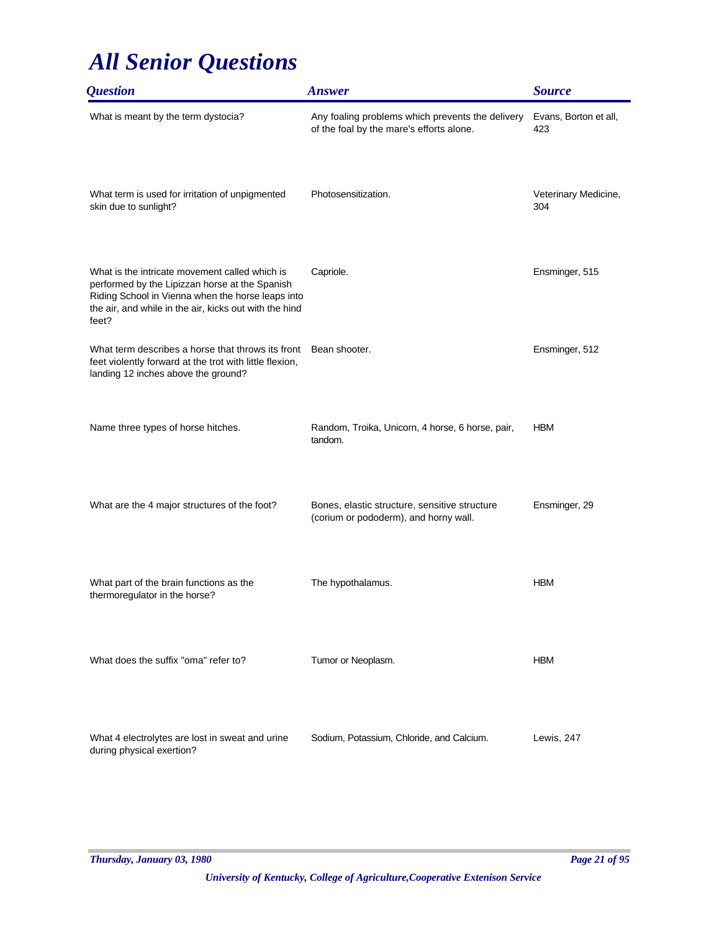| <i><b>Question</b></i>                                                                                                                                                                                                   | <b>Answer</b>                                                                                | <b>Source</b>                |
|--------------------------------------------------------------------------------------------------------------------------------------------------------------------------------------------------------------------------|----------------------------------------------------------------------------------------------|------------------------------|
| What is meant by the term dystocia?                                                                                                                                                                                      | Any foaling problems which prevents the delivery<br>of the foal by the mare's efforts alone. | Evans, Borton et all,<br>423 |
| What term is used for irritation of unpigmented<br>skin due to sunlight?                                                                                                                                                 | Photosensitization.                                                                          | Veterinary Medicine,<br>304  |
| What is the intricate movement called which is<br>performed by the Lipizzan horse at the Spanish<br>Riding School in Vienna when the horse leaps into<br>the air, and while in the air, kicks out with the hind<br>feet? | Capriole.                                                                                    | Ensminger, 515               |
| What term describes a horse that throws its front<br>feet violently forward at the trot with little flexion,<br>landing 12 inches above the ground?                                                                      | Bean shooter.                                                                                | Ensminger, 512               |
| Name three types of horse hitches.                                                                                                                                                                                       | Random, Troika, Unicorn, 4 horse, 6 horse, pair,<br>tandom.                                  | <b>HBM</b>                   |
| What are the 4 major structures of the foot?                                                                                                                                                                             | Bones, elastic structure, sensitive structure<br>(corium or pododerm), and horny wall.       | Ensminger, 29                |
| What part of the brain functions as the<br>thermoregulator in the horse?                                                                                                                                                 | The hypothalamus.                                                                            | <b>HBM</b>                   |
| What does the suffix "oma" refer to?                                                                                                                                                                                     | Tumor or Neoplasm.                                                                           | <b>HBM</b>                   |
| What 4 electrolytes are lost in sweat and urine<br>during physical exertion?                                                                                                                                             | Sodium, Potassium, Chloride, and Calcium.                                                    | Lewis, 247                   |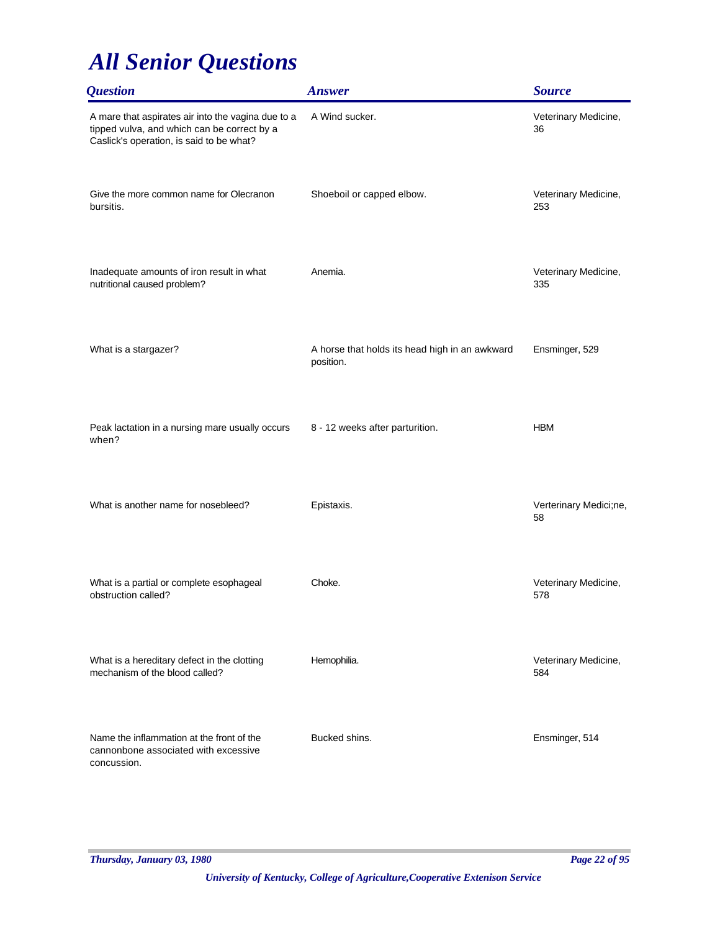| <b>Question</b>                                                                                                                               | <b>Answer</b>                                               | <b>Source</b>                |
|-----------------------------------------------------------------------------------------------------------------------------------------------|-------------------------------------------------------------|------------------------------|
| A mare that aspirates air into the vagina due to a<br>tipped vulva, and which can be correct by a<br>Caslick's operation, is said to be what? | A Wind sucker.                                              | Veterinary Medicine,<br>36   |
| Give the more common name for Olecranon<br>bursitis.                                                                                          | Shoeboil or capped elbow.                                   | Veterinary Medicine,<br>253  |
| Inadequate amounts of iron result in what<br>nutritional caused problem?                                                                      | Anemia.                                                     | Veterinary Medicine,<br>335  |
| What is a stargazer?                                                                                                                          | A horse that holds its head high in an awkward<br>position. | Ensminger, 529               |
| Peak lactation in a nursing mare usually occurs<br>when?                                                                                      | 8 - 12 weeks after parturition.                             | <b>HBM</b>                   |
| What is another name for nosebleed?                                                                                                           | Epistaxis.                                                  | Verterinary Medici;ne,<br>58 |
| What is a partial or complete esophageal<br>obstruction called?                                                                               | Choke.                                                      | Veterinary Medicine,<br>578  |
| What is a hereditary defect in the clotting<br>mechanism of the blood called?                                                                 | Hemophilia.                                                 | Veterinary Medicine,<br>584  |
| Name the inflammation at the front of the<br>cannonbone associated with excessive<br>concussion.                                              | Bucked shins.                                               | Ensminger, 514               |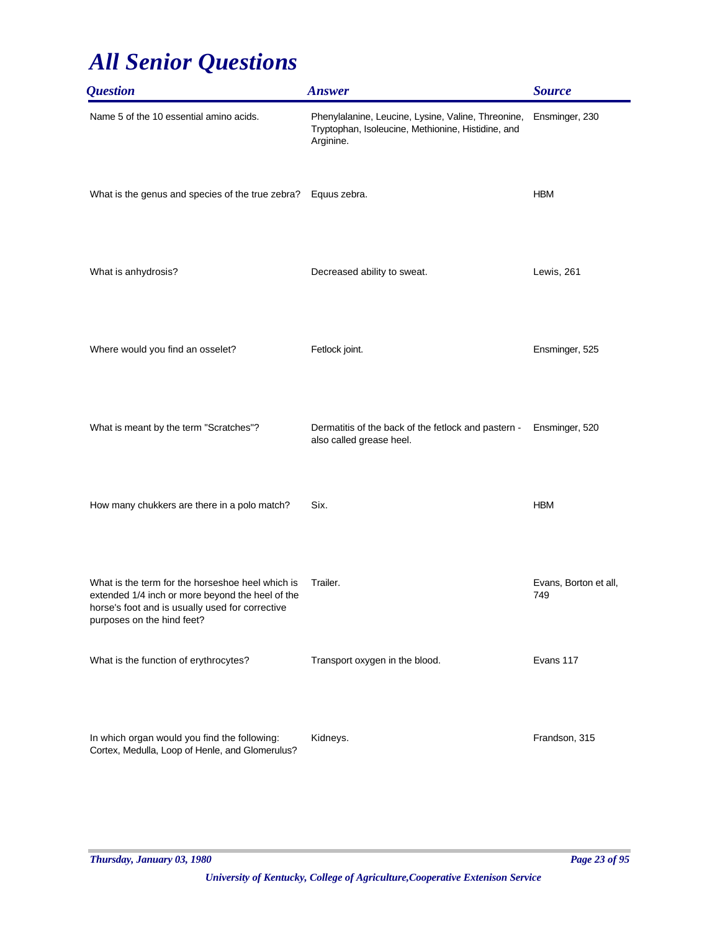| <i><b>Question</b></i>                                                                                                                                                                | <b>Answer</b>                                                                                                         | <b>Source</b>                |
|---------------------------------------------------------------------------------------------------------------------------------------------------------------------------------------|-----------------------------------------------------------------------------------------------------------------------|------------------------------|
| Name 5 of the 10 essential amino acids.                                                                                                                                               | Phenylalanine, Leucine, Lysine, Valine, Threonine,<br>Tryptophan, Isoleucine, Methionine, Histidine, and<br>Arginine. | Ensminger, 230               |
| What is the genus and species of the true zebra? Equus zebra.                                                                                                                         |                                                                                                                       | <b>HBM</b>                   |
| What is anhydrosis?                                                                                                                                                                   | Decreased ability to sweat.                                                                                           | Lewis, 261                   |
| Where would you find an osselet?                                                                                                                                                      | Fetlock joint.                                                                                                        | Ensminger, 525               |
| What is meant by the term "Scratches"?                                                                                                                                                | Dermatitis of the back of the fetlock and pastern -<br>also called grease heel.                                       | Ensminger, 520               |
| How many chukkers are there in a polo match?                                                                                                                                          | Six.                                                                                                                  | <b>HBM</b>                   |
| What is the term for the horseshoe heel which is<br>extended 1/4 inch or more beyond the heel of the<br>horse's foot and is usually used for corrective<br>purposes on the hind feet? | Trailer.                                                                                                              | Evans, Borton et all,<br>749 |
| What is the function of erythrocytes?                                                                                                                                                 | Transport oxygen in the blood.                                                                                        | Evans 117                    |
| In which organ would you find the following:<br>Cortex, Medulla, Loop of Henle, and Glomerulus?                                                                                       | Kidneys.                                                                                                              | Frandson, 315                |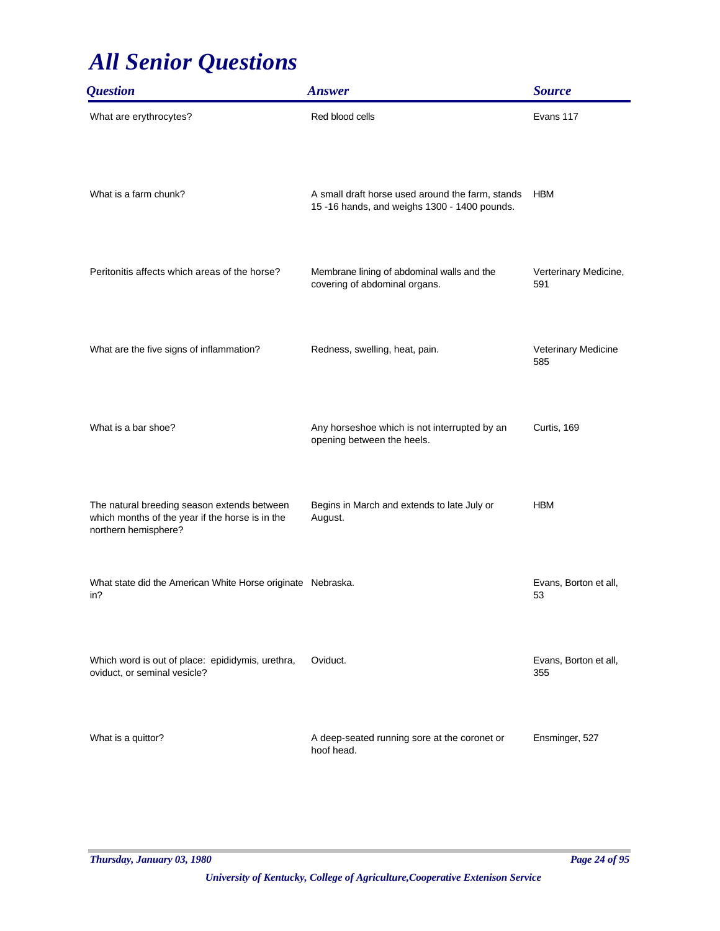| <i><b>Question</b></i>                                                                                                 | <b>Answer</b>                                                                                    | <b>Source</b>                |
|------------------------------------------------------------------------------------------------------------------------|--------------------------------------------------------------------------------------------------|------------------------------|
| What are erythrocytes?                                                                                                 | Red blood cells                                                                                  | Evans 117                    |
| What is a farm chunk?                                                                                                  | A small draft horse used around the farm, stands<br>15 -16 hands, and weighs 1300 - 1400 pounds. | <b>HBM</b>                   |
| Peritonitis affects which areas of the horse?                                                                          | Membrane lining of abdominal walls and the<br>covering of abdominal organs.                      | Verterinary Medicine,<br>591 |
| What are the five signs of inflammation?                                                                               | Redness, swelling, heat, pain.                                                                   | Veterinary Medicine<br>585   |
| What is a bar shoe?                                                                                                    | Any horseshoe which is not interrupted by an<br>opening between the heels.                       | Curtis, 169                  |
| The natural breeding season extends between<br>which months of the year if the horse is in the<br>northern hemisphere? | Begins in March and extends to late July or<br>August.                                           | <b>HBM</b>                   |
| What state did the American White Horse originate Nebraska.<br>in?                                                     |                                                                                                  | Evans, Borton et all,<br>53  |
| Which word is out of place: epididymis, urethra,<br>oviduct, or seminal vesicle?                                       | Oviduct.                                                                                         | Evans, Borton et all,<br>355 |
| What is a quittor?                                                                                                     | A deep-seated running sore at the coronet or<br>hoof head.                                       | Ensminger, 527               |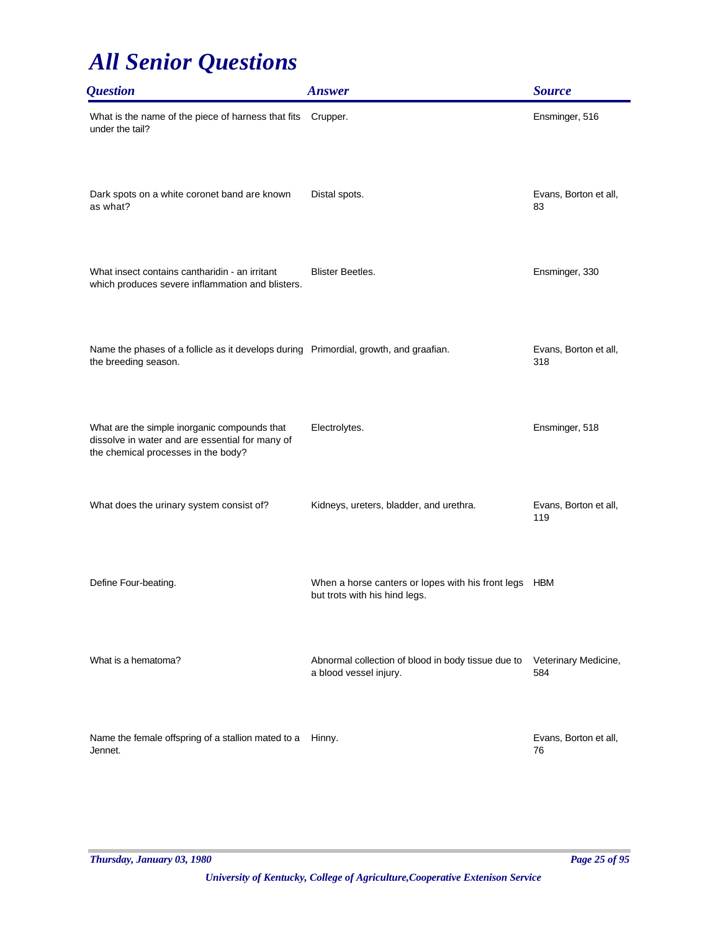| <i><b>Question</b></i>                                                                                                                 | <b>Answer</b>                                                                          | <b>Source</b>                |
|----------------------------------------------------------------------------------------------------------------------------------------|----------------------------------------------------------------------------------------|------------------------------|
| What is the name of the piece of harness that fits<br>under the tail?                                                                  | Crupper.                                                                               | Ensminger, 516               |
| Dark spots on a white coronet band are known<br>as what?                                                                               | Distal spots.                                                                          | Evans, Borton et all,<br>83  |
| What insect contains cantharidin - an irritant<br>which produces severe inflammation and blisters.                                     | <b>Blister Beetles.</b>                                                                | Ensminger, 330               |
| Name the phases of a follicle as it develops during Primordial, growth, and graafian.<br>the breeding season.                          |                                                                                        | Evans, Borton et all,<br>318 |
| What are the simple inorganic compounds that<br>dissolve in water and are essential for many of<br>the chemical processes in the body? | Electrolytes.                                                                          | Ensminger, 518               |
| What does the urinary system consist of?                                                                                               | Kidneys, ureters, bladder, and urethra.                                                | Evans, Borton et all,<br>119 |
| Define Four-beating.                                                                                                                   | When a horse canters or lopes with his front legs HBM<br>but trots with his hind legs. |                              |
| What is a hematoma?                                                                                                                    | Abnormal collection of blood in body tissue due to<br>a blood vessel injury.           | Veterinary Medicine,<br>584  |
| Name the female offspring of a stallion mated to a<br>Jennet.                                                                          | Hinny.                                                                                 | Evans, Borton et all,<br>76  |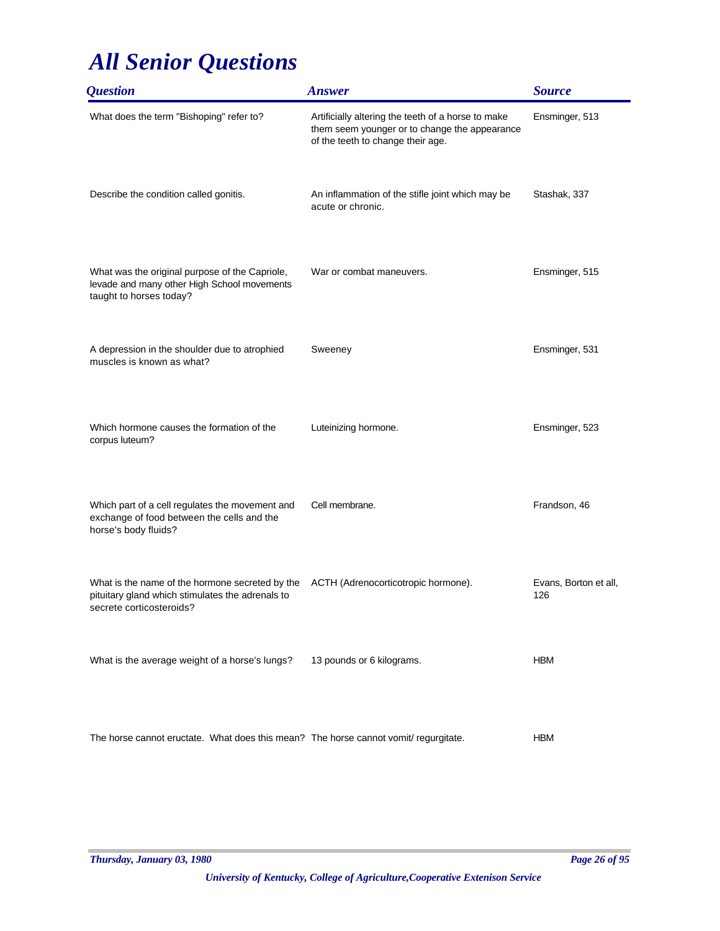| <i><b>Question</b></i>                                                                                                          | <b>Answer</b>                                                                                                                            | <b>Source</b>                |
|---------------------------------------------------------------------------------------------------------------------------------|------------------------------------------------------------------------------------------------------------------------------------------|------------------------------|
| What does the term "Bishoping" refer to?                                                                                        | Artificially altering the teeth of a horse to make<br>them seem younger or to change the appearance<br>of the teeth to change their age. | Ensminger, 513               |
| Describe the condition called gonitis.                                                                                          | An inflammation of the stifle joint which may be<br>acute or chronic.                                                                    | Stashak, 337                 |
| What was the original purpose of the Capriole,<br>levade and many other High School movements<br>taught to horses today?        | War or combat maneuvers.                                                                                                                 | Ensminger, 515               |
| A depression in the shoulder due to atrophied<br>muscles is known as what?                                                      | Sweeney                                                                                                                                  | Ensminger, 531               |
| Which hormone causes the formation of the<br>corpus luteum?                                                                     | Luteinizing hormone.                                                                                                                     | Ensminger, 523               |
| Which part of a cell regulates the movement and<br>exchange of food between the cells and the<br>horse's body fluids?           | Cell membrane.                                                                                                                           | Frandson, 46                 |
| What is the name of the hormone secreted by the<br>pituitary gland which stimulates the adrenals to<br>secrete corticosteroids? | ACTH (Adrenocorticotropic hormone).                                                                                                      | Evans, Borton et all,<br>126 |
| What is the average weight of a horse's lungs?                                                                                  | 13 pounds or 6 kilograms.                                                                                                                | <b>HBM</b>                   |
| The horse cannot eructate. What does this mean? The horse cannot vomit/ regurgitate.                                            |                                                                                                                                          | <b>HBM</b>                   |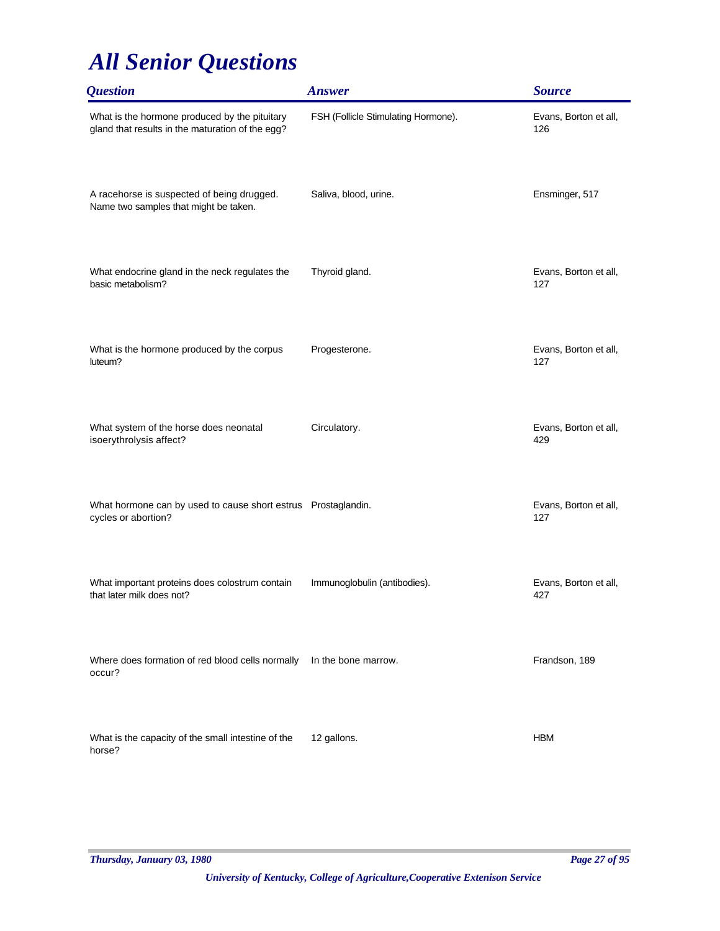| <i><b>Question</b></i>                                                                            | <b>Answer</b>                       | <b>Source</b>                |
|---------------------------------------------------------------------------------------------------|-------------------------------------|------------------------------|
| What is the hormone produced by the pituitary<br>gland that results in the maturation of the egg? | FSH (Follicle Stimulating Hormone). | Evans, Borton et all,<br>126 |
| A racehorse is suspected of being drugged.<br>Name two samples that might be taken.               | Saliva, blood, urine.               | Ensminger, 517               |
| What endocrine gland in the neck regulates the<br>basic metabolism?                               | Thyroid gland.                      | Evans, Borton et all,<br>127 |
| What is the hormone produced by the corpus<br>luteum?                                             | Progesterone.                       | Evans, Borton et all,<br>127 |
| What system of the horse does neonatal<br>isoerythrolysis affect?                                 | Circulatory.                        | Evans, Borton et all,<br>429 |
| What hormone can by used to cause short estrus Prostaglandin.<br>cycles or abortion?              |                                     | Evans, Borton et all,<br>127 |
| What important proteins does colostrum contain<br>that later milk does not?                       | Immunoglobulin (antibodies).        | Evans, Borton et all,<br>427 |
| Where does formation of red blood cells normally<br>occur?                                        | In the bone marrow.                 | Frandson, 189                |
| What is the capacity of the small intestine of the<br>horse?                                      | 12 gallons.                         | <b>HBM</b>                   |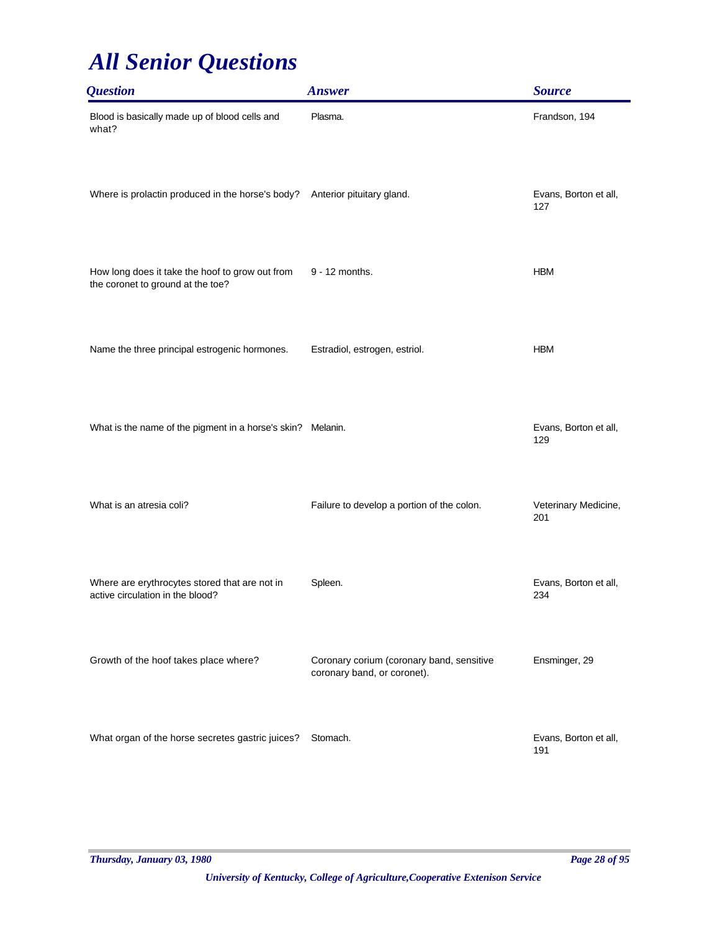| <i><b>Question</b></i>                                                               | <b>Answer</b>                                                            | <b>Source</b>                |
|--------------------------------------------------------------------------------------|--------------------------------------------------------------------------|------------------------------|
| Blood is basically made up of blood cells and<br>what?                               | Plasma.                                                                  | Frandson, 194                |
| Where is prolactin produced in the horse's body? Anterior pituitary gland.           |                                                                          | Evans, Borton et all,<br>127 |
| How long does it take the hoof to grow out from<br>the coronet to ground at the toe? | 9 - 12 months.                                                           | <b>HBM</b>                   |
| Name the three principal estrogenic hormones.                                        | Estradiol, estrogen, estriol.                                            | <b>HBM</b>                   |
| What is the name of the pigment in a horse's skin? Melanin.                          |                                                                          | Evans, Borton et all,<br>129 |
| What is an atresia coli?                                                             | Failure to develop a portion of the colon.                               | Veterinary Medicine,<br>201  |
| Where are erythrocytes stored that are not in<br>active circulation in the blood?    | Spleen.                                                                  | Evans, Borton et all,<br>234 |
| Growth of the hoof takes place where?                                                | Coronary corium (coronary band, sensitive<br>coronary band, or coronet). | Ensminger, 29                |
| What organ of the horse secretes gastric juices?                                     | Stomach.                                                                 | Evans, Borton et all,<br>191 |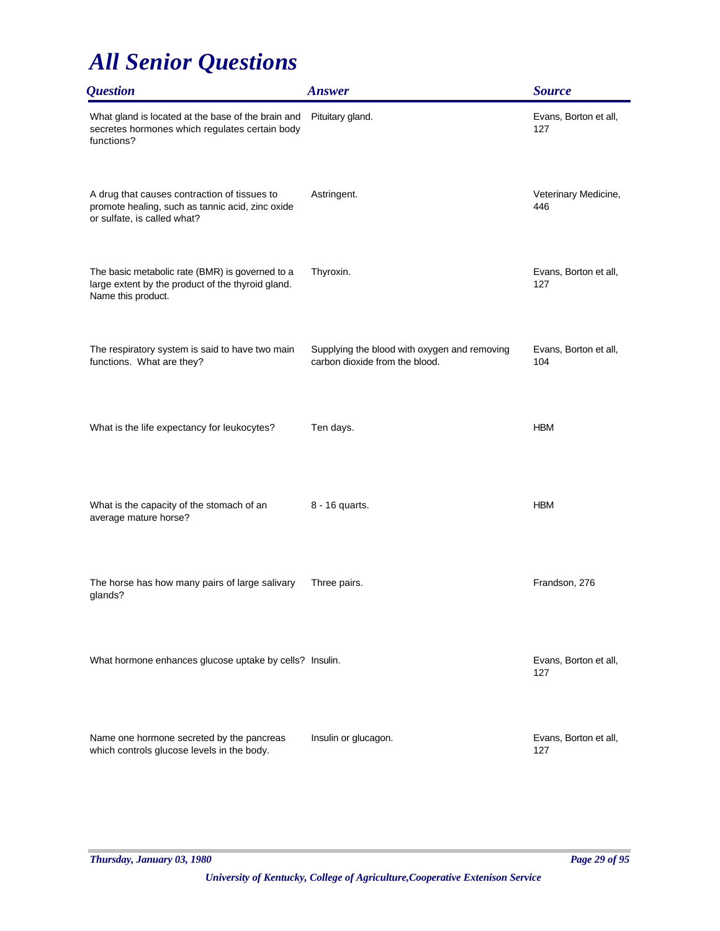| <b>Question</b>                                                                                                                 | <b>Answer</b>                                                                  | <b>Source</b>                |
|---------------------------------------------------------------------------------------------------------------------------------|--------------------------------------------------------------------------------|------------------------------|
| What gland is located at the base of the brain and<br>secretes hormones which regulates certain body<br>functions?              | Pituitary gland.                                                               | Evans, Borton et all,<br>127 |
| A drug that causes contraction of tissues to<br>promote healing, such as tannic acid, zinc oxide<br>or sulfate, is called what? | Astringent.                                                                    | Veterinary Medicine,<br>446  |
| The basic metabolic rate (BMR) is governed to a<br>large extent by the product of the thyroid gland.<br>Name this product.      | Thyroxin.                                                                      | Evans, Borton et all,<br>127 |
| The respiratory system is said to have two main<br>functions. What are they?                                                    | Supplying the blood with oxygen and removing<br>carbon dioxide from the blood. | Evans, Borton et all,<br>104 |
| What is the life expectancy for leukocytes?                                                                                     | Ten days.                                                                      | <b>HBM</b>                   |
| What is the capacity of the stomach of an<br>average mature horse?                                                              | 8 - 16 quarts.                                                                 | <b>HBM</b>                   |
| The horse has how many pairs of large salivary<br>glands?                                                                       | Three pairs.                                                                   | Frandson, 276                |
| What hormone enhances glucose uptake by cells? Insulin.                                                                         |                                                                                | Evans, Borton et all,<br>127 |
| Name one hormone secreted by the pancreas<br>which controls glucose levels in the body.                                         | Insulin or glucagon.                                                           | Evans, Borton et all,<br>127 |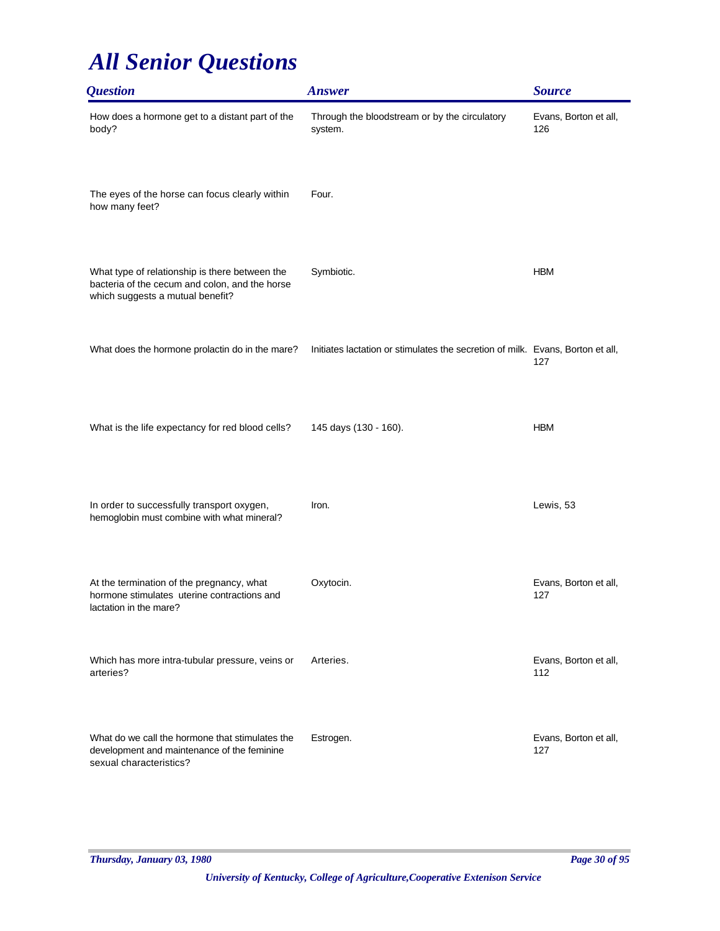| <i><b>Question</b></i>                                                                                                               | <b>Answer</b>                                                                  | <b>Source</b>                |
|--------------------------------------------------------------------------------------------------------------------------------------|--------------------------------------------------------------------------------|------------------------------|
| How does a hormone get to a distant part of the<br>body?                                                                             | Through the bloodstream or by the circulatory<br>system.                       | Evans, Borton et all,<br>126 |
| The eyes of the horse can focus clearly within<br>how many feet?                                                                     | Four.                                                                          |                              |
| What type of relationship is there between the<br>bacteria of the cecum and colon, and the horse<br>which suggests a mutual benefit? | Symbiotic.                                                                     | <b>HBM</b>                   |
| What does the hormone prolactin do in the mare?                                                                                      | Initiates lactation or stimulates the secretion of milk. Evans, Borton et all, | 127                          |
| What is the life expectancy for red blood cells?                                                                                     | 145 days (130 - 160).                                                          | <b>HBM</b>                   |
| In order to successfully transport oxygen,<br>hemoglobin must combine with what mineral?                                             | Iron.                                                                          | Lewis, 53                    |
| At the termination of the pregnancy, what<br>hormone stimulates uterine contractions and<br>lactation in the mare?                   | Oxytocin.                                                                      | Evans, Borton et all,<br>127 |
| Which has more intra-tubular pressure, veins or<br>arteries?                                                                         | Arteries.                                                                      | Evans, Borton et all,<br>112 |
| What do we call the hormone that stimulates the<br>development and maintenance of the feminine<br>sexual characteristics?            | Estrogen.                                                                      | Evans, Borton et all,<br>127 |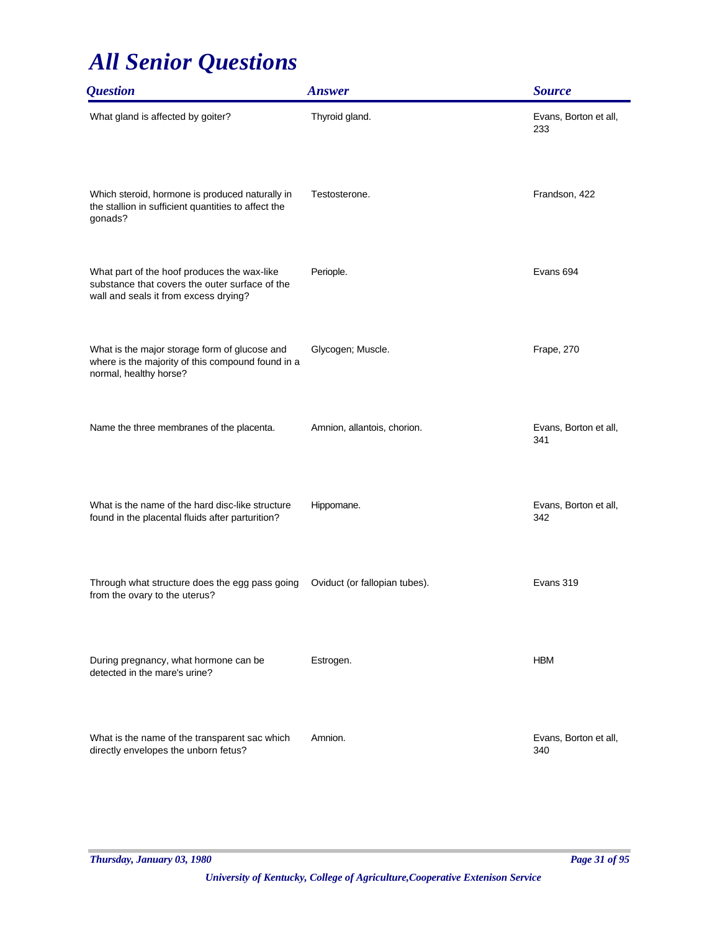| <i><b>Question</b></i>                                                                                                                 | <b>Answer</b>                 | <b>Source</b>                |
|----------------------------------------------------------------------------------------------------------------------------------------|-------------------------------|------------------------------|
| What gland is affected by goiter?                                                                                                      | Thyroid gland.                | Evans, Borton et all,<br>233 |
| Which steroid, hormone is produced naturally in<br>the stallion in sufficient quantities to affect the<br>gonads?                      | Testosterone.                 | Frandson, 422                |
| What part of the hoof produces the wax-like<br>substance that covers the outer surface of the<br>wall and seals it from excess drying? | Periople.                     | Evans 694                    |
| What is the major storage form of glucose and<br>where is the majority of this compound found in a<br>normal, healthy horse?           | Glycogen; Muscle.             | Frape, 270                   |
| Name the three membranes of the placenta.                                                                                              | Amnion, allantois, chorion.   | Evans, Borton et all,<br>341 |
| What is the name of the hard disc-like structure<br>found in the placental fluids after parturition?                                   | Hippomane.                    | Evans, Borton et all,<br>342 |
| Through what structure does the egg pass going<br>from the ovary to the uterus?                                                        | Oviduct (or fallopian tubes). | Evans 319                    |
| During pregnancy, what hormone can be<br>detected in the mare's urine?                                                                 | Estrogen.                     | <b>HBM</b>                   |
| What is the name of the transparent sac which<br>directly envelopes the unborn fetus?                                                  | Amnion.                       | Evans, Borton et all,<br>340 |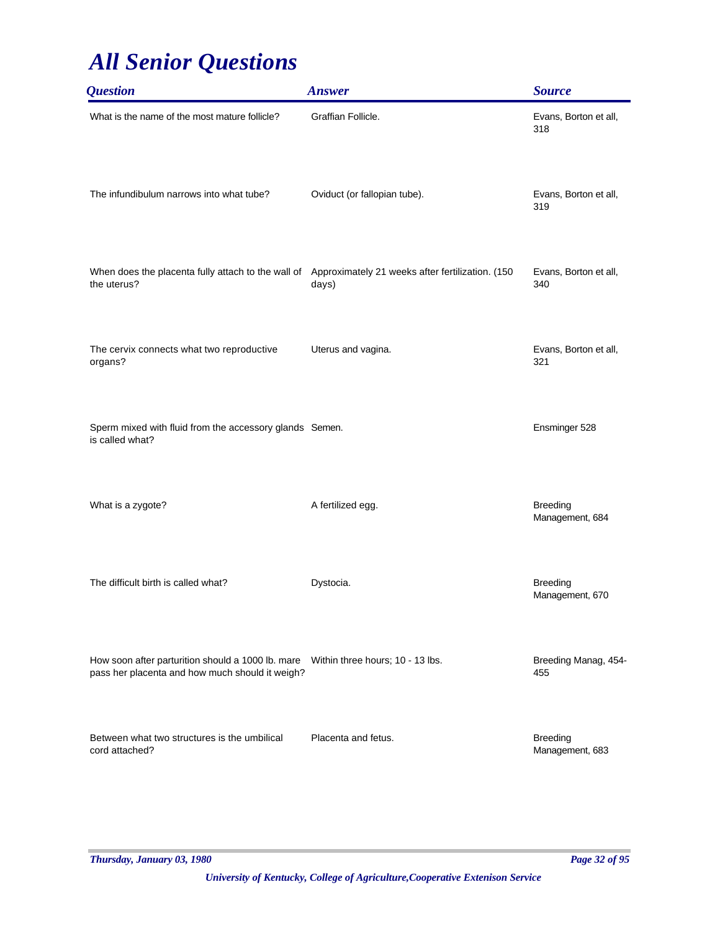| <i><b>Question</b></i>                                                                                                                | <b>Answer</b>                | <b>Source</b>                      |
|---------------------------------------------------------------------------------------------------------------------------------------|------------------------------|------------------------------------|
| What is the name of the most mature follicle?                                                                                         | Graffian Follicle.           | Evans, Borton et all,<br>318       |
| The infundibulum narrows into what tube?                                                                                              | Oviduct (or fallopian tube). | Evans, Borton et all,<br>319       |
| When does the placenta fully attach to the wall of Approximately 21 weeks after fertilization. (150<br>the uterus?                    | days)                        | Evans, Borton et all,<br>340       |
| The cervix connects what two reproductive<br>organs?                                                                                  | Uterus and vagina.           | Evans, Borton et all,<br>321       |
| Sperm mixed with fluid from the accessory glands Semen.<br>is called what?                                                            |                              | Ensminger 528                      |
| What is a zygote?                                                                                                                     | A fertilized egg.            | <b>Breeding</b><br>Management, 684 |
| The difficult birth is called what?                                                                                                   | Dystocia.                    | <b>Breeding</b><br>Management, 670 |
| How soon after parturition should a 1000 lb. mare Within three hours; 10 - 13 lbs.<br>pass her placenta and how much should it weigh? |                              | Breeding Manag, 454-<br>455        |
| Between what two structures is the umbilical<br>cord attached?                                                                        | Placenta and fetus.          | <b>Breeding</b><br>Management, 683 |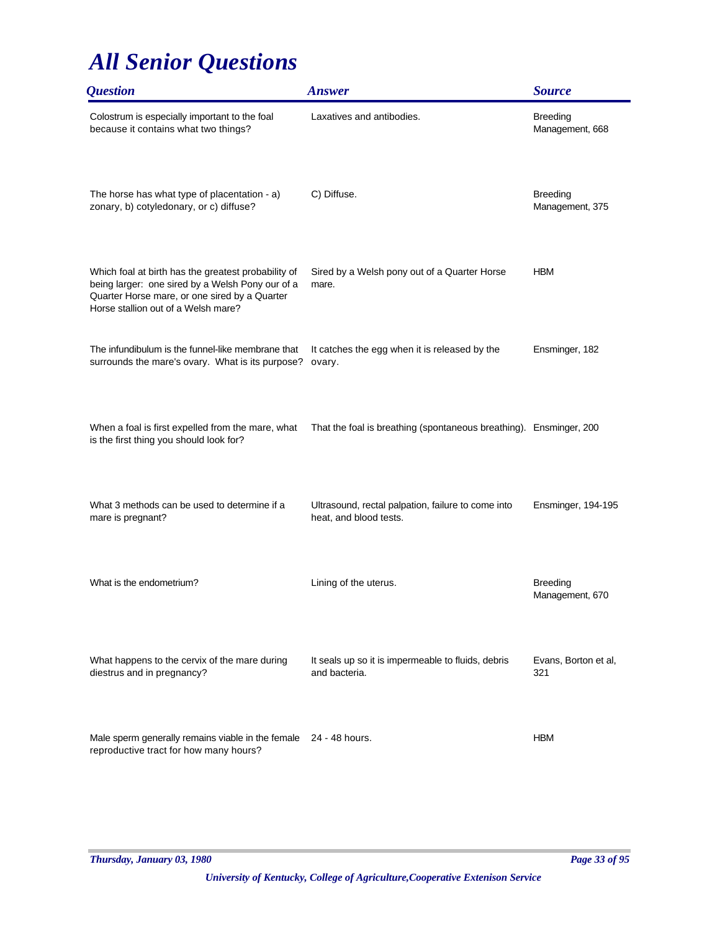| <i><b>Question</b></i>                                                                                                                                                                          | <b>Answer</b>                                                                | <b>Source</b>                      |
|-------------------------------------------------------------------------------------------------------------------------------------------------------------------------------------------------|------------------------------------------------------------------------------|------------------------------------|
| Colostrum is especially important to the foal<br>because it contains what two things?                                                                                                           | Laxatives and antibodies.                                                    | <b>Breeding</b><br>Management, 668 |
| The horse has what type of placentation - a)<br>zonary, b) cotyledonary, or c) diffuse?                                                                                                         | C) Diffuse.                                                                  | <b>Breeding</b><br>Management, 375 |
| Which foal at birth has the greatest probability of<br>being larger: one sired by a Welsh Pony our of a<br>Quarter Horse mare, or one sired by a Quarter<br>Horse stallion out of a Welsh mare? | Sired by a Welsh pony out of a Quarter Horse<br>mare.                        | <b>HBM</b>                         |
| The infundibulum is the funnel-like membrane that<br>surrounds the mare's ovary. What is its purpose?                                                                                           | It catches the egg when it is released by the<br>ovary.                      | Ensminger, 182                     |
| When a foal is first expelled from the mare, what<br>is the first thing you should look for?                                                                                                    | That the foal is breathing (spontaneous breathing). Ensminger, 200           |                                    |
| What 3 methods can be used to determine if a<br>mare is pregnant?                                                                                                                               | Ultrasound, rectal palpation, failure to come into<br>heat, and blood tests. | Ensminger, 194-195                 |
| What is the endometrium?                                                                                                                                                                        | Lining of the uterus.                                                        | <b>Breeding</b><br>Management, 670 |
| What happens to the cervix of the mare during<br>diestrus and in pregnancy?                                                                                                                     | It seals up so it is impermeable to fluids, debris<br>and bacteria.          | Evans, Borton et al,<br>321        |
| Male sperm generally remains viable in the female 24 - 48 hours.<br>reproductive tract for how many hours?                                                                                      |                                                                              | <b>HBM</b>                         |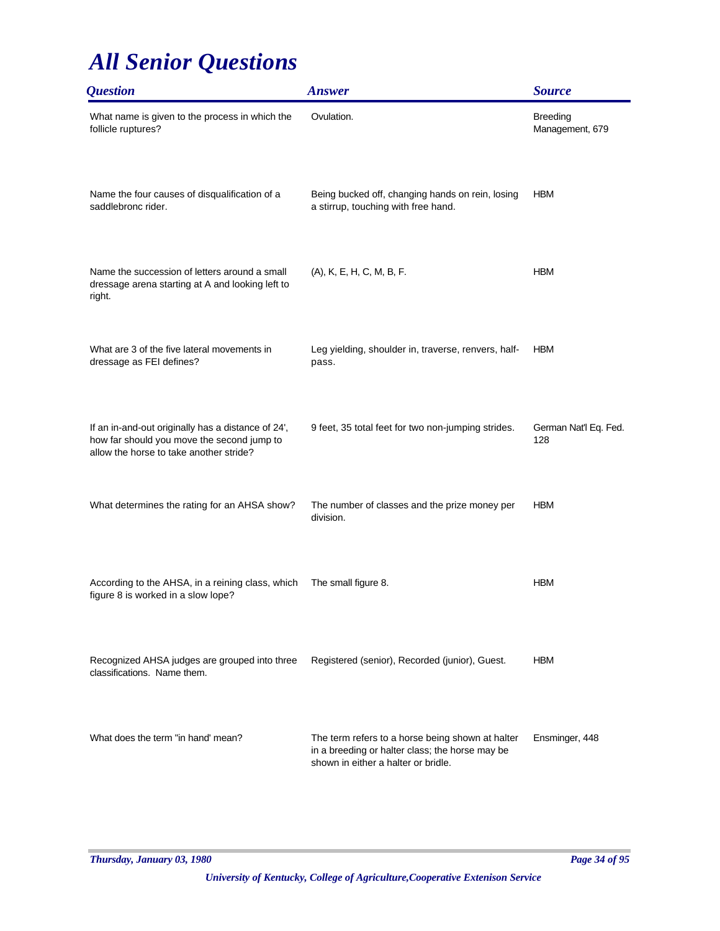| <i><b>Question</b></i>                                                                                                                      | <b>Answer</b>                                                                                                                              | <b>Source</b>                      |
|---------------------------------------------------------------------------------------------------------------------------------------------|--------------------------------------------------------------------------------------------------------------------------------------------|------------------------------------|
| What name is given to the process in which the<br>follicle ruptures?                                                                        | Ovulation.                                                                                                                                 | <b>Breeding</b><br>Management, 679 |
| Name the four causes of disqualification of a<br>saddlebronc rider.                                                                         | Being bucked off, changing hands on rein, losing<br>a stirrup, touching with free hand.                                                    | <b>HBM</b>                         |
| Name the succession of letters around a small<br>dressage arena starting at A and looking left to<br>right.                                 | (A), K, E, H, C, M, B, F.                                                                                                                  | <b>HBM</b>                         |
| What are 3 of the five lateral movements in<br>dressage as FEI defines?                                                                     | Leg yielding, shoulder in, traverse, renvers, half-<br>pass.                                                                               | <b>HBM</b>                         |
| If an in-and-out originally has a distance of 24',<br>how far should you move the second jump to<br>allow the horse to take another stride? | 9 feet, 35 total feet for two non-jumping strides.                                                                                         | German Nat'l Eq. Fed.<br>128       |
| What determines the rating for an AHSA show?                                                                                                | The number of classes and the prize money per<br>division.                                                                                 | <b>HBM</b>                         |
| According to the AHSA, in a reining class, which<br>figure 8 is worked in a slow lope?                                                      | The small figure 8.                                                                                                                        | <b>HBM</b>                         |
| Recognized AHSA judges are grouped into three<br>classifications. Name them.                                                                | Registered (senior), Recorded (junior), Guest.                                                                                             | <b>HBM</b>                         |
| What does the term "in hand' mean?                                                                                                          | The term refers to a horse being shown at halter<br>in a breeding or halter class; the horse may be<br>shown in either a halter or bridle. | Ensminger, 448                     |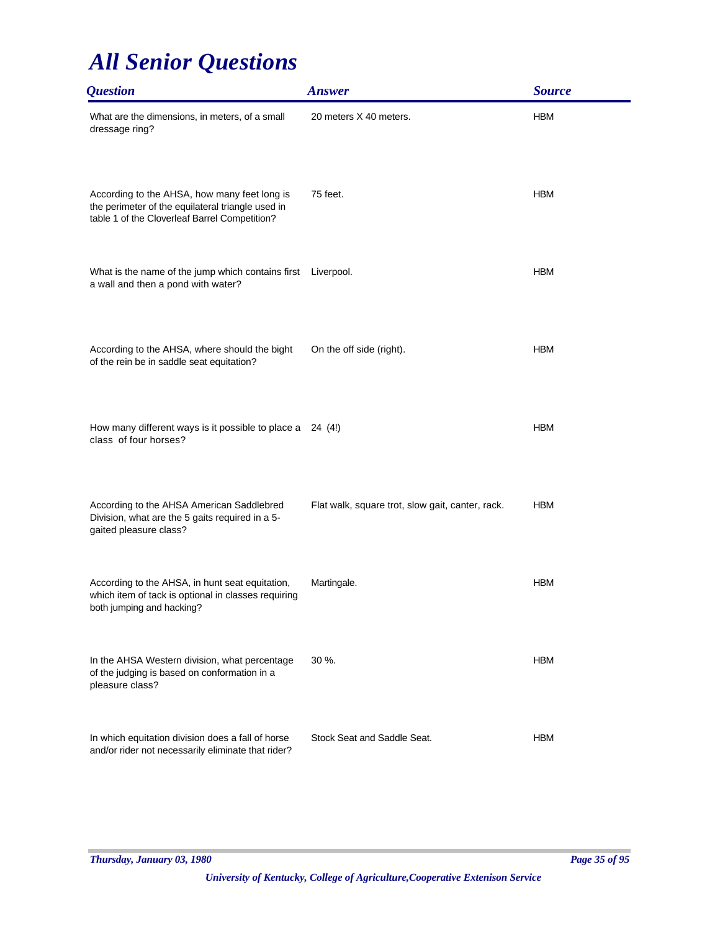| <i><b>Question</b></i>                                                                                                                             | <b>Answer</b>                                    | <b>Source</b> |
|----------------------------------------------------------------------------------------------------------------------------------------------------|--------------------------------------------------|---------------|
| What are the dimensions, in meters, of a small<br>dressage ring?                                                                                   | 20 meters X 40 meters.                           | <b>HBM</b>    |
| According to the AHSA, how many feet long is<br>the perimeter of the equilateral triangle used in<br>table 1 of the Cloverleaf Barrel Competition? | 75 feet.                                         | <b>HBM</b>    |
| What is the name of the jump which contains first<br>a wall and then a pond with water?                                                            | Liverpool.                                       | <b>HBM</b>    |
| According to the AHSA, where should the bight<br>of the rein be in saddle seat equitation?                                                         | On the off side (right).                         | <b>HBM</b>    |
| How many different ways is it possible to place a 24 (4!)<br>class of four horses?                                                                 |                                                  | <b>HBM</b>    |
| According to the AHSA American Saddlebred<br>Division, what are the 5 gaits required in a 5-<br>gaited pleasure class?                             | Flat walk, square trot, slow gait, canter, rack. | <b>HBM</b>    |
| According to the AHSA, in hunt seat equitation,<br>which item of tack is optional in classes requiring<br>both jumping and hacking?                | Martingale.                                      | <b>HBM</b>    |
| In the AHSA Western division, what percentage<br>of the judging is based on conformation in a<br>pleasure class?                                   | 30 %.                                            | <b>HBM</b>    |
| In which equitation division does a fall of horse<br>and/or rider not necessarily eliminate that rider?                                            | Stock Seat and Saddle Seat.                      | <b>HBM</b>    |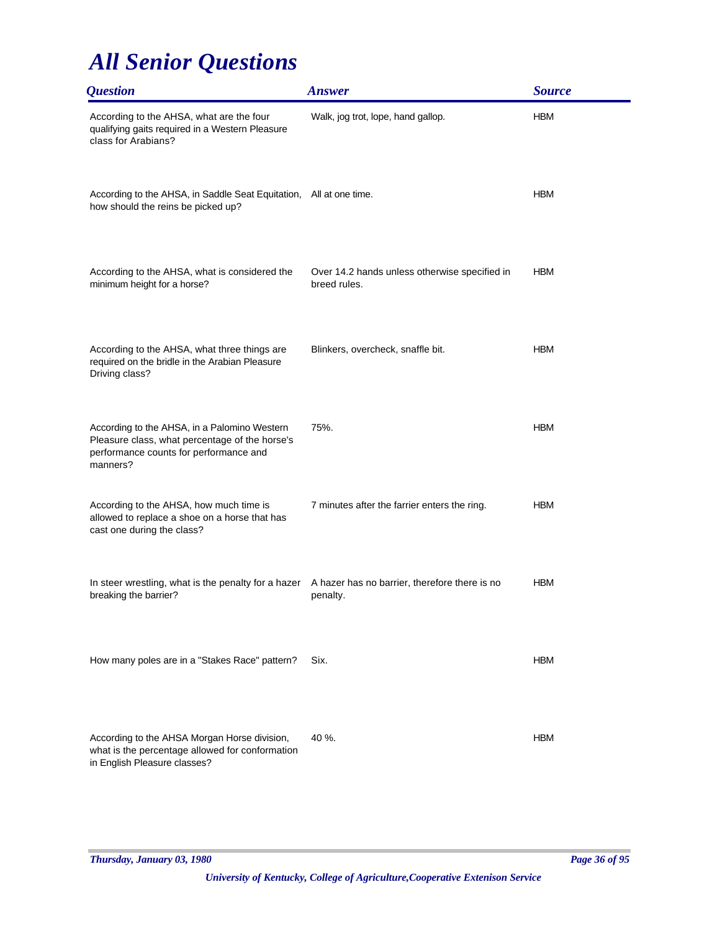| <i><b>Question</b></i>                                                                                                                               | <b>Answer</b>                                                 | <b>Source</b> |
|------------------------------------------------------------------------------------------------------------------------------------------------------|---------------------------------------------------------------|---------------|
| According to the AHSA, what are the four<br>qualifying gaits required in a Western Pleasure<br>class for Arabians?                                   | Walk, jog trot, lope, hand gallop.                            | <b>HBM</b>    |
| According to the AHSA, in Saddle Seat Equitation, All at one time.<br>how should the reins be picked up?                                             |                                                               | <b>HBM</b>    |
| According to the AHSA, what is considered the<br>minimum height for a horse?                                                                         | Over 14.2 hands unless otherwise specified in<br>breed rules. | <b>HBM</b>    |
| According to the AHSA, what three things are<br>required on the bridle in the Arabian Pleasure<br>Driving class?                                     | Blinkers, overcheck, snaffle bit.                             | <b>HBM</b>    |
| According to the AHSA, in a Palomino Western<br>Pleasure class, what percentage of the horse's<br>performance counts for performance and<br>manners? | 75%.                                                          | <b>HBM</b>    |
| According to the AHSA, how much time is<br>allowed to replace a shoe on a horse that has<br>cast one during the class?                               | 7 minutes after the farrier enters the ring.                  | <b>HBM</b>    |
| In steer wrestling, what is the penalty for a hazer<br>breaking the barrier?                                                                         | A hazer has no barrier, therefore there is no<br>penalty.     | <b>HBM</b>    |
| How many poles are in a "Stakes Race" pattern?                                                                                                       | Six.                                                          | <b>HBM</b>    |
| According to the AHSA Morgan Horse division,<br>what is the percentage allowed for conformation<br>in English Pleasure classes?                      | 40 %.                                                         | <b>HBM</b>    |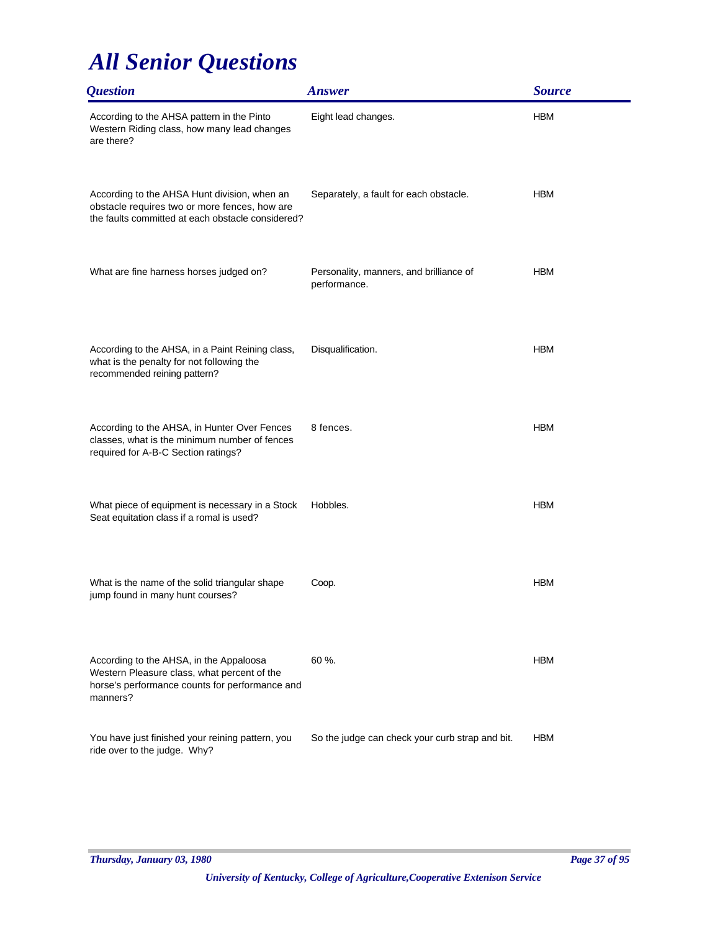| <i><b>Question</b></i>                                                                                                                               | <b>Answer</b>                                           | <b>Source</b> |
|------------------------------------------------------------------------------------------------------------------------------------------------------|---------------------------------------------------------|---------------|
| According to the AHSA pattern in the Pinto<br>Western Riding class, how many lead changes<br>are there?                                              | Eight lead changes.                                     | <b>HBM</b>    |
| According to the AHSA Hunt division, when an<br>obstacle requires two or more fences, how are<br>the faults committed at each obstacle considered?   | Separately, a fault for each obstacle.                  | <b>HBM</b>    |
| What are fine harness horses judged on?                                                                                                              | Personality, manners, and brilliance of<br>performance. | <b>HBM</b>    |
| According to the AHSA, in a Paint Reining class,<br>what is the penalty for not following the<br>recommended reining pattern?                        | Disqualification.                                       | <b>HBM</b>    |
| According to the AHSA, in Hunter Over Fences<br>classes, what is the minimum number of fences<br>required for A-B-C Section ratings?                 | 8 fences.                                               | <b>HBM</b>    |
| What piece of equipment is necessary in a Stock<br>Seat equitation class if a romal is used?                                                         | Hobbles.                                                | <b>HBM</b>    |
| What is the name of the solid triangular shape<br>jump found in many hunt courses?                                                                   | Coop.                                                   | <b>HBM</b>    |
| According to the AHSA, in the Appaloosa<br>Western Pleasure class, what percent of the<br>horse's performance counts for performance and<br>manners? | 60 %.                                                   | <b>HBM</b>    |
| You have just finished your reining pattern, you<br>ride over to the judge. Why?                                                                     | So the judge can check your curb strap and bit.         | <b>HBM</b>    |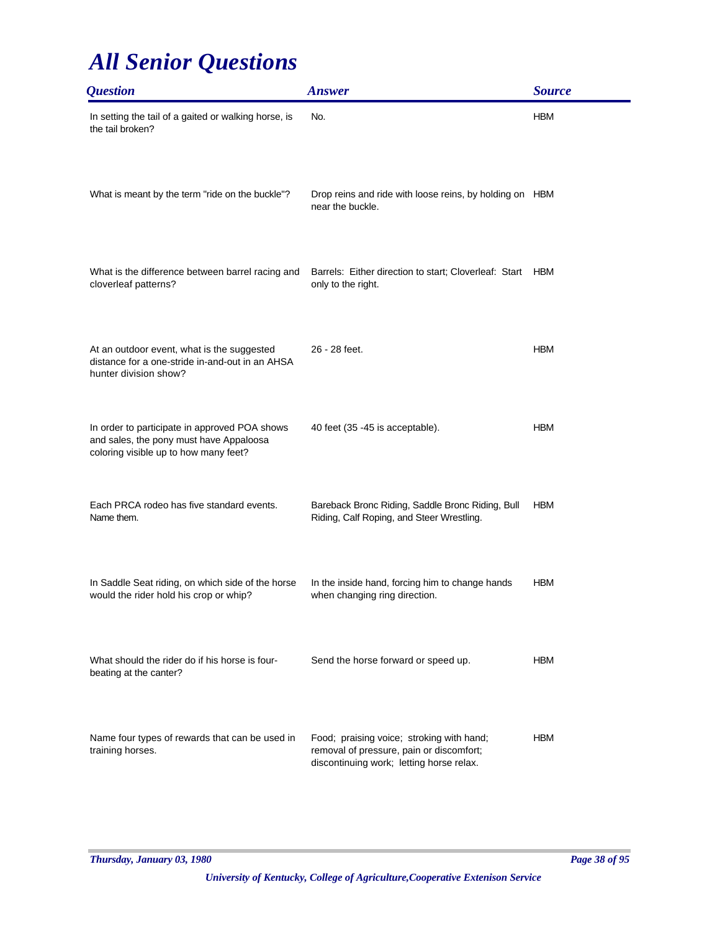| <i><b>Question</b></i>                                                                                                            | <b>Answer</b>                                                                                                                     | <b>Source</b> |
|-----------------------------------------------------------------------------------------------------------------------------------|-----------------------------------------------------------------------------------------------------------------------------------|---------------|
| In setting the tail of a gaited or walking horse, is<br>the tail broken?                                                          | No.                                                                                                                               | <b>HBM</b>    |
| What is meant by the term "ride on the buckle"?                                                                                   | Drop reins and ride with loose reins, by holding on HBM<br>near the buckle.                                                       |               |
| What is the difference between barrel racing and<br>cloverleaf patterns?                                                          | Barrels: Either direction to start; Cloverleaf: Start<br>only to the right.                                                       | <b>HBM</b>    |
| At an outdoor event, what is the suggested<br>distance for a one-stride in-and-out in an AHSA<br>hunter division show?            | 26 - 28 feet.                                                                                                                     | <b>HBM</b>    |
| In order to participate in approved POA shows<br>and sales, the pony must have Appaloosa<br>coloring visible up to how many feet? | 40 feet (35 - 45 is acceptable).                                                                                                  | <b>HBM</b>    |
| Each PRCA rodeo has five standard events.<br>Name them.                                                                           | Bareback Bronc Riding, Saddle Bronc Riding, Bull<br>Riding, Calf Roping, and Steer Wrestling.                                     | <b>HBM</b>    |
| In Saddle Seat riding, on which side of the horse<br>would the rider hold his crop or whip?                                       | In the inside hand, forcing him to change hands<br>when changing ring direction.                                                  | <b>HBM</b>    |
| What should the rider do if his horse is four-<br>beating at the canter?                                                          | Send the horse forward or speed up.                                                                                               | <b>HBM</b>    |
| Name four types of rewards that can be used in<br>training horses.                                                                | Food; praising voice; stroking with hand;<br>removal of pressure, pain or discomfort;<br>discontinuing work; letting horse relax. | <b>HBM</b>    |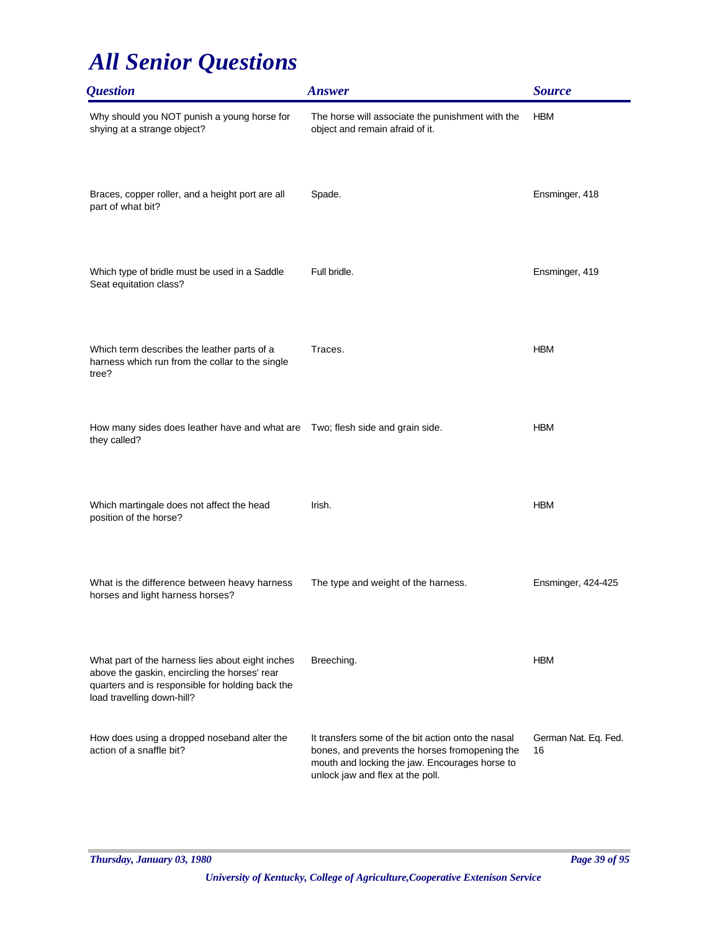| <b>Question</b>                                                                                                                                                                     | <b>Answer</b>                                                                                                                                                                              | <b>Source</b>              |
|-------------------------------------------------------------------------------------------------------------------------------------------------------------------------------------|--------------------------------------------------------------------------------------------------------------------------------------------------------------------------------------------|----------------------------|
| Why should you NOT punish a young horse for<br>shying at a strange object?                                                                                                          | The horse will associate the punishment with the<br>object and remain afraid of it.                                                                                                        | <b>HBM</b>                 |
| Braces, copper roller, and a height port are all<br>part of what bit?                                                                                                               | Spade.                                                                                                                                                                                     | Ensminger, 418             |
| Which type of bridle must be used in a Saddle<br>Seat equitation class?                                                                                                             | Full bridle.                                                                                                                                                                               | Ensminger, 419             |
| Which term describes the leather parts of a<br>harness which run from the collar to the single<br>tree?                                                                             | Traces.                                                                                                                                                                                    | <b>HBM</b>                 |
| How many sides does leather have and what are Two; flesh side and grain side.<br>they called?                                                                                       |                                                                                                                                                                                            | <b>HBM</b>                 |
| Which martingale does not affect the head<br>position of the horse?                                                                                                                 | Irish.                                                                                                                                                                                     | <b>HBM</b>                 |
| What is the difference between heavy harness<br>horses and light harness horses?                                                                                                    | The type and weight of the harness.                                                                                                                                                        | Ensminger, 424-425         |
| What part of the harness lies about eight inches<br>above the gaskin, encircling the horses' rear<br>quarters and is responsible for holding back the<br>load travelling down-hill? | Breeching.                                                                                                                                                                                 | <b>HBM</b>                 |
| How does using a dropped noseband alter the<br>action of a snaffle bit?                                                                                                             | It transfers some of the bit action onto the nasal<br>bones, and prevents the horses fromopening the<br>mouth and locking the jaw. Encourages horse to<br>unlock jaw and flex at the poll. | German Nat. Eq. Fed.<br>16 |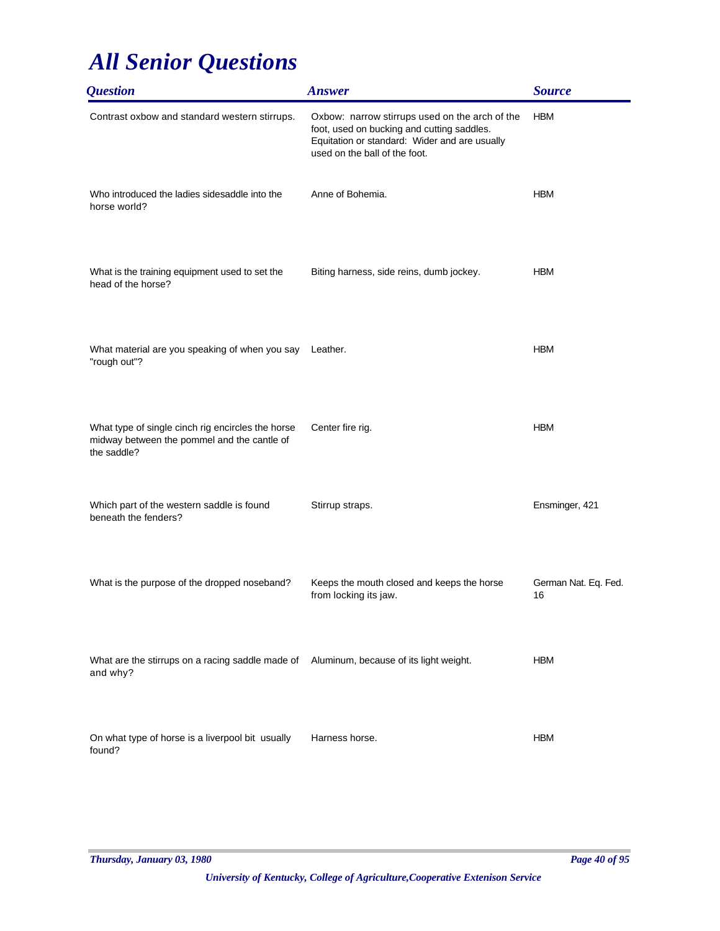| <i><b>Question</b></i>                                                                                          | <b>Answer</b>                                                                                                                                                                  | <b>Source</b>              |
|-----------------------------------------------------------------------------------------------------------------|--------------------------------------------------------------------------------------------------------------------------------------------------------------------------------|----------------------------|
| Contrast oxbow and standard western stirrups.                                                                   | Oxbow: narrow stirrups used on the arch of the<br>foot, used on bucking and cutting saddles.<br>Equitation or standard: Wider and are usually<br>used on the ball of the foot. | <b>HBM</b>                 |
| Who introduced the ladies sidesaddle into the<br>horse world?                                                   | Anne of Bohemia.                                                                                                                                                               | <b>HBM</b>                 |
| What is the training equipment used to set the<br>head of the horse?                                            | Biting harness, side reins, dumb jockey.                                                                                                                                       | <b>HBM</b>                 |
| What material are you speaking of when you say<br>"rough out"?                                                  | Leather.                                                                                                                                                                       | <b>HBM</b>                 |
| What type of single cinch rig encircles the horse<br>midway between the pommel and the cantle of<br>the saddle? | Center fire rig.                                                                                                                                                               | <b>HBM</b>                 |
| Which part of the western saddle is found<br>beneath the fenders?                                               | Stirrup straps.                                                                                                                                                                | Ensminger, 421             |
| What is the purpose of the dropped noseband?                                                                    | Keeps the mouth closed and keeps the horse<br>from locking its jaw.                                                                                                            | German Nat. Eq. Fed.<br>16 |
| What are the stirrups on a racing saddle made of Aluminum, because of its light weight.<br>and why?             |                                                                                                                                                                                | <b>HBM</b>                 |
| On what type of horse is a liverpool bit usually<br>found?                                                      | Harness horse.                                                                                                                                                                 | <b>HBM</b>                 |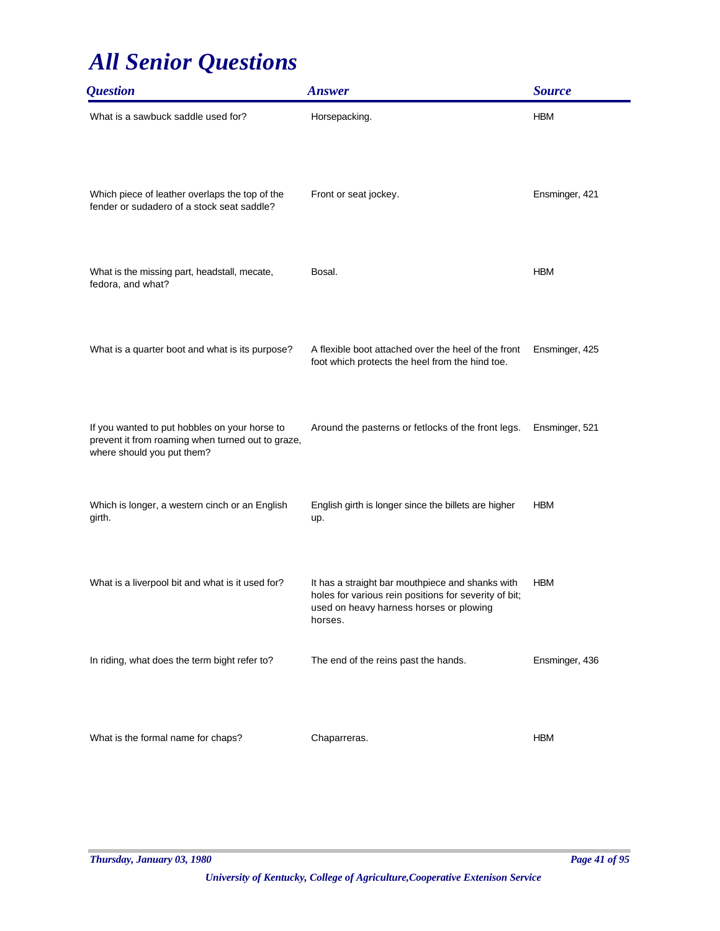| <i><b>Question</b></i>                                                                                                           | <b>Answer</b>                                                                                                                                                   | <b>Source</b>  |
|----------------------------------------------------------------------------------------------------------------------------------|-----------------------------------------------------------------------------------------------------------------------------------------------------------------|----------------|
| What is a sawbuck saddle used for?                                                                                               | Horsepacking.                                                                                                                                                   | <b>HBM</b>     |
| Which piece of leather overlaps the top of the<br>fender or sudadero of a stock seat saddle?                                     | Front or seat jockey.                                                                                                                                           | Ensminger, 421 |
| What is the missing part, headstall, mecate,<br>fedora, and what?                                                                | Bosal.                                                                                                                                                          | <b>HBM</b>     |
| What is a quarter boot and what is its purpose?                                                                                  | A flexible boot attached over the heel of the front<br>foot which protects the heel from the hind toe.                                                          | Ensminger, 425 |
| If you wanted to put hobbles on your horse to<br>prevent it from roaming when turned out to graze,<br>where should you put them? | Around the pasterns or fetlocks of the front legs.                                                                                                              | Ensminger, 521 |
| Which is longer, a western cinch or an English<br>girth.                                                                         | English girth is longer since the billets are higher<br>up.                                                                                                     | <b>HBM</b>     |
| What is a liverpool bit and what is it used for?                                                                                 | It has a straight bar mouthpiece and shanks with<br>holes for various rein positions for severity of bit;<br>used on heavy harness horses or plowing<br>horses. | <b>HBM</b>     |
| In riding, what does the term bight refer to?                                                                                    | The end of the reins past the hands.                                                                                                                            | Ensminger, 436 |
| What is the formal name for chaps?                                                                                               | Chaparreras.                                                                                                                                                    | <b>HBM</b>     |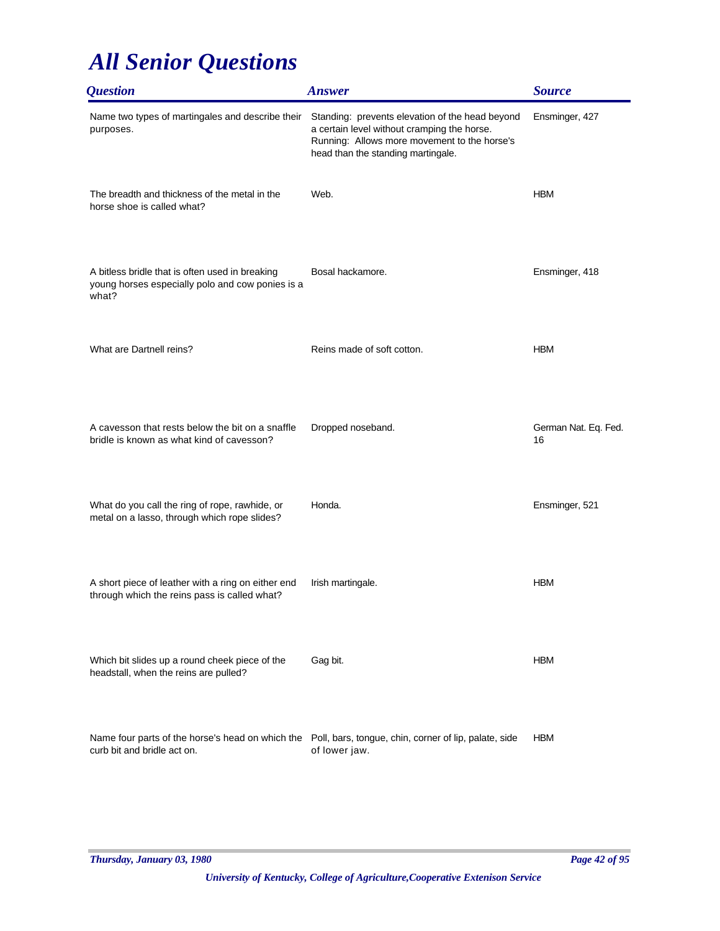| <b>Ouestion</b>                                                                                                                       | <b>Answer</b>                                                                                                                                                                        | <b>Source</b>              |
|---------------------------------------------------------------------------------------------------------------------------------------|--------------------------------------------------------------------------------------------------------------------------------------------------------------------------------------|----------------------------|
| Name two types of martingales and describe their<br>purposes.                                                                         | Standing: prevents elevation of the head beyond<br>a certain level without cramping the horse.<br>Running: Allows more movement to the horse's<br>head than the standing martingale. | Ensminger, 427             |
| The breadth and thickness of the metal in the<br>horse shoe is called what?                                                           | Web.                                                                                                                                                                                 | <b>HBM</b>                 |
| A bitless bridle that is often used in breaking<br>young horses especially polo and cow ponies is a<br>what?                          | Bosal hackamore.                                                                                                                                                                     | Ensminger, 418             |
| What are Dartnell reins?                                                                                                              | Reins made of soft cotton.                                                                                                                                                           | <b>HBM</b>                 |
| A cavesson that rests below the bit on a snaffle<br>bridle is known as what kind of cavesson?                                         | Dropped noseband.                                                                                                                                                                    | German Nat. Eq. Fed.<br>16 |
| What do you call the ring of rope, rawhide, or<br>metal on a lasso, through which rope slides?                                        | Honda.                                                                                                                                                                               | Ensminger, 521             |
| A short piece of leather with a ring on either end<br>through which the reins pass is called what?                                    | Irish martingale.                                                                                                                                                                    | <b>HBM</b>                 |
| Which bit slides up a round cheek piece of the<br>headstall, when the reins are pulled?                                               | Gag bit.                                                                                                                                                                             | <b>HBM</b>                 |
| Name four parts of the horse's head on which the Poll, bars, tongue, chin, corner of lip, palate, side<br>curb bit and bridle act on. | of lower jaw.                                                                                                                                                                        | <b>HBM</b>                 |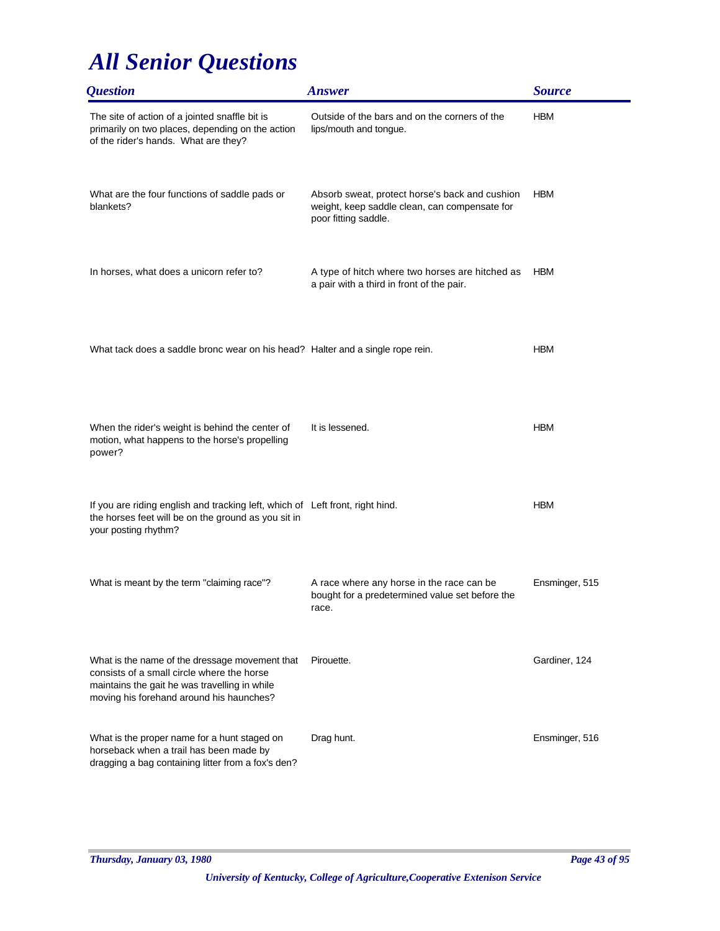| <i><b>Question</b></i>                                                                                                                                                                    | <b>Answer</b>                                                                                                           | <b>Source</b>  |
|-------------------------------------------------------------------------------------------------------------------------------------------------------------------------------------------|-------------------------------------------------------------------------------------------------------------------------|----------------|
| The site of action of a jointed snaffle bit is<br>primarily on two places, depending on the action<br>of the rider's hands. What are they?                                                | Outside of the bars and on the corners of the<br>lips/mouth and tongue.                                                 | <b>HBM</b>     |
| What are the four functions of saddle pads or<br>blankets?                                                                                                                                | Absorb sweat, protect horse's back and cushion<br>weight, keep saddle clean, can compensate for<br>poor fitting saddle. | <b>HBM</b>     |
| In horses, what does a unicorn refer to?                                                                                                                                                  | A type of hitch where two horses are hitched as<br>a pair with a third in front of the pair.                            | <b>HBM</b>     |
| What tack does a saddle bronc wear on his head? Halter and a single rope rein.                                                                                                            |                                                                                                                         | <b>HBM</b>     |
| When the rider's weight is behind the center of<br>motion, what happens to the horse's propelling<br>power?                                                                               | It is lessened.                                                                                                         | <b>HBM</b>     |
| If you are riding english and tracking left, which of Left front, right hind.<br>the horses feet will be on the ground as you sit in<br>your posting rhythm?                              |                                                                                                                         | <b>HBM</b>     |
| What is meant by the term "claiming race"?                                                                                                                                                | A race where any horse in the race can be<br>bought for a predetermined value set before the<br>race.                   | Ensminger, 515 |
| What is the name of the dressage movement that<br>consists of a small circle where the horse<br>maintains the gait he was travelling in while<br>moving his forehand around his haunches? | Pirouette.                                                                                                              | Gardiner, 124  |
| What is the proper name for a hunt staged on<br>horseback when a trail has been made by<br>dragging a bag containing litter from a fox's den?                                             | Drag hunt.                                                                                                              | Ensminger, 516 |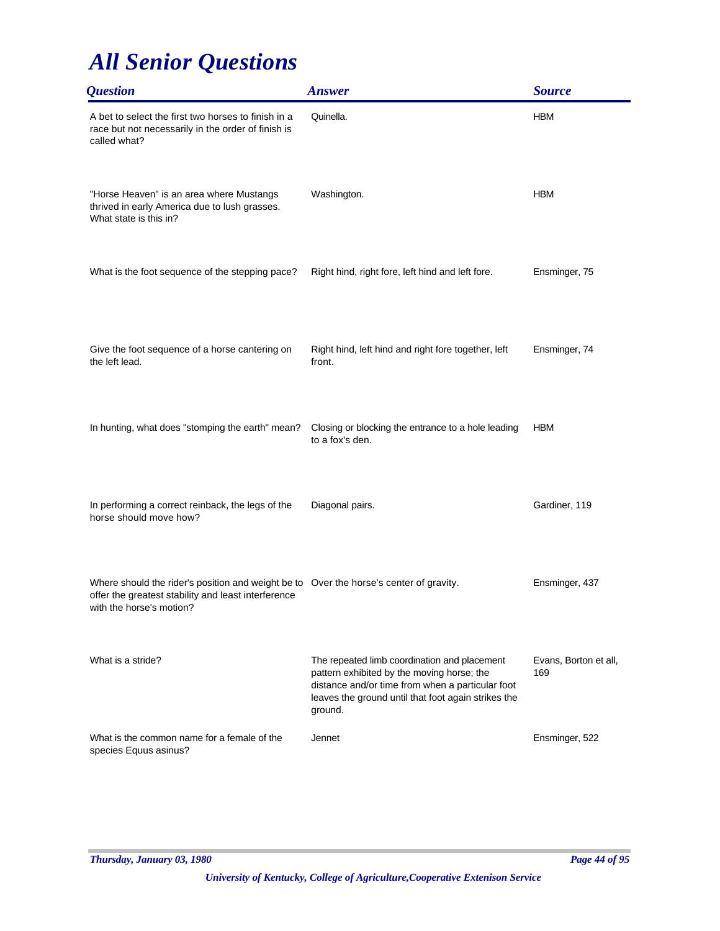| <i><b>Question</b></i>                                                                                                                                                    | <b>Answer</b>                                                                                                                                                                                                    | <b>Source</b>                |
|---------------------------------------------------------------------------------------------------------------------------------------------------------------------------|------------------------------------------------------------------------------------------------------------------------------------------------------------------------------------------------------------------|------------------------------|
| A bet to select the first two horses to finish in a<br>race but not necessarily in the order of finish is<br>called what?                                                 | Quinella.                                                                                                                                                                                                        | <b>HBM</b>                   |
| "Horse Heaven" is an area where Mustangs<br>thrived in early America due to lush grasses.<br>What state is this in?                                                       | Washington.                                                                                                                                                                                                      | <b>HBM</b>                   |
| What is the foot sequence of the stepping pace?                                                                                                                           | Right hind, right fore, left hind and left fore.                                                                                                                                                                 | Ensminger, 75                |
| Give the foot sequence of a horse cantering on<br>the left lead.                                                                                                          | Right hind, left hind and right fore together, left<br>front.                                                                                                                                                    | Ensminger, 74                |
| In hunting, what does "stomping the earth" mean?                                                                                                                          | Closing or blocking the entrance to a hole leading<br>to a fox's den.                                                                                                                                            | <b>HBM</b>                   |
| In performing a correct reinback, the legs of the<br>horse should move how?                                                                                               | Diagonal pairs.                                                                                                                                                                                                  | Gardiner, 119                |
| Where should the rider's position and weight be to Over the horse's center of gravity.<br>offer the greatest stability and least interference<br>with the horse's motion? |                                                                                                                                                                                                                  | Ensminger, 437               |
| What is a stride?                                                                                                                                                         | The repeated limb coordination and placement<br>pattern exhibited by the moving horse; the<br>distance and/or time from when a particular foot<br>leaves the ground until that foot again strikes the<br>ground. | Evans, Borton et all,<br>169 |
| What is the common name for a female of the<br>species Equus asinus?                                                                                                      | Jennet                                                                                                                                                                                                           | Ensminger, 522               |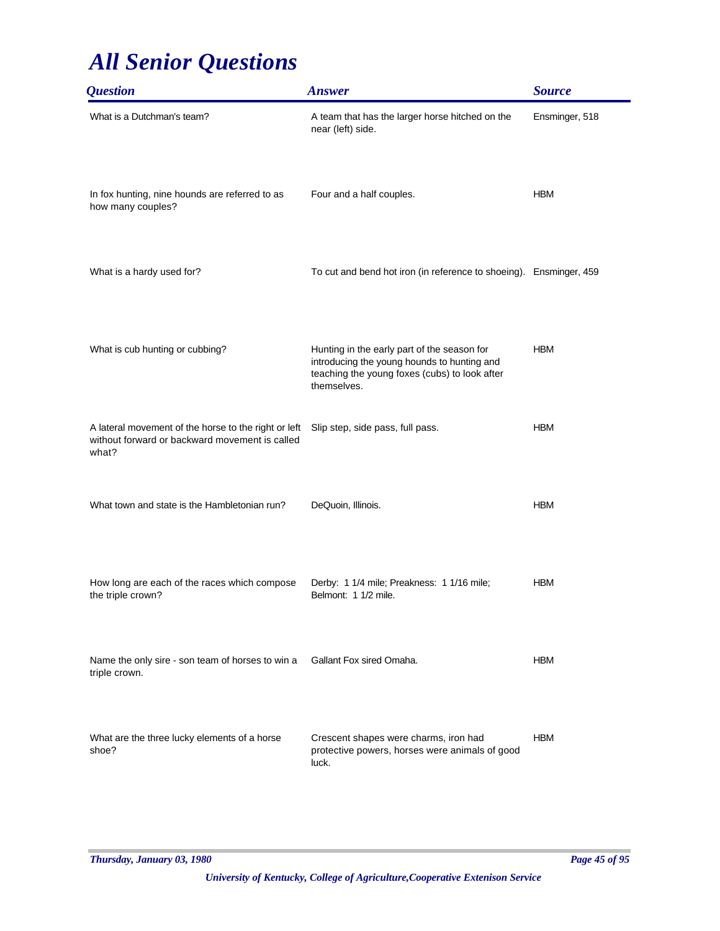| <i><b>Question</b></i>                                                                                          | <b>Answer</b>                                                                                                                                              | <b>Source</b>  |
|-----------------------------------------------------------------------------------------------------------------|------------------------------------------------------------------------------------------------------------------------------------------------------------|----------------|
| What is a Dutchman's team?                                                                                      | A team that has the larger horse hitched on the<br>near (left) side.                                                                                       | Ensminger, 518 |
| In fox hunting, nine hounds are referred to as<br>how many couples?                                             | Four and a half couples.                                                                                                                                   | <b>HBM</b>     |
| What is a hardy used for?                                                                                       | To cut and bend hot iron (in reference to shoeing). Ensminger, 459                                                                                         |                |
| What is cub hunting or cubbing?                                                                                 | Hunting in the early part of the season for<br>introducing the young hounds to hunting and<br>teaching the young foxes (cubs) to look after<br>themselves. | <b>HBM</b>     |
| A lateral movement of the horse to the right or left<br>without forward or backward movement is called<br>what? | Slip step, side pass, full pass.                                                                                                                           | <b>HBM</b>     |
| What town and state is the Hambletonian run?                                                                    | DeQuoin, Illinois.                                                                                                                                         | <b>HBM</b>     |
| How long are each of the races which compose<br>the triple crown?                                               | Derby: 1 1/4 mile; Preakness: 1 1/16 mile;<br>Belmont: 1 1/2 mile.                                                                                         | <b>HBM</b>     |
| Name the only sire - son team of horses to win a<br>triple crown.                                               | Gallant Fox sired Omaha.                                                                                                                                   | <b>HBM</b>     |
| What are the three lucky elements of a horse<br>shoe?                                                           | Crescent shapes were charms, iron had<br>protective powers, horses were animals of good<br>luck.                                                           | <b>HBM</b>     |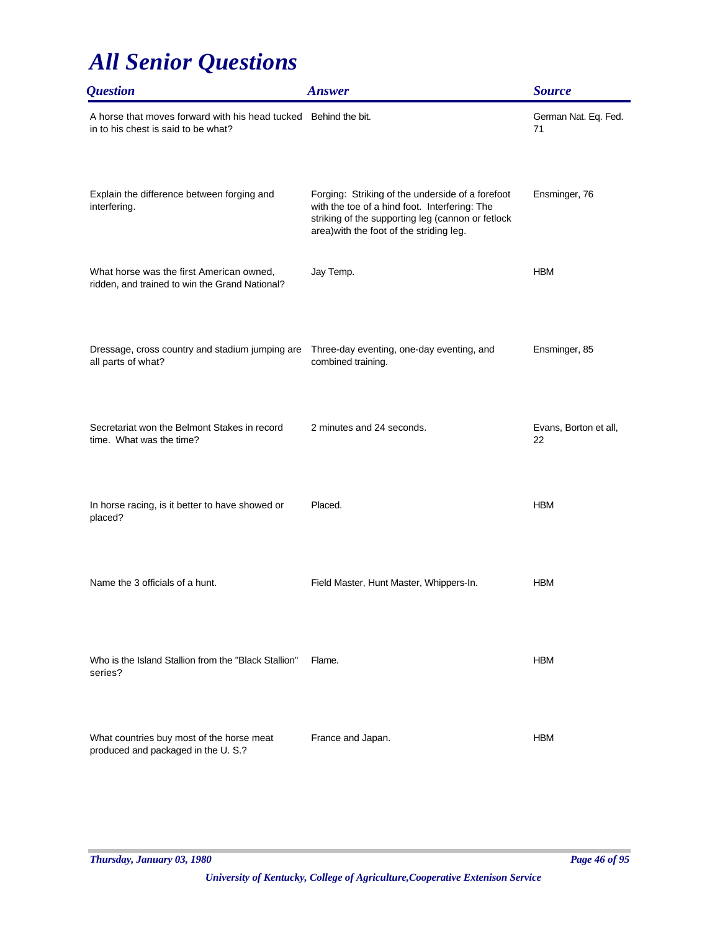| <i><b>Question</b></i>                                                                                 | <b>Answer</b>                                                                                                                                                                                      | <b>Source</b>               |
|--------------------------------------------------------------------------------------------------------|----------------------------------------------------------------------------------------------------------------------------------------------------------------------------------------------------|-----------------------------|
| A horse that moves forward with his head tucked Behind the bit.<br>in to his chest is said to be what? |                                                                                                                                                                                                    | German Nat. Eq. Fed.<br>71  |
| Explain the difference between forging and<br>interfering.                                             | Forging: Striking of the underside of a forefoot<br>with the toe of a hind foot. Interfering: The<br>striking of the supporting leg (cannon or fetlock<br>area) with the foot of the striding leg. | Ensminger, 76               |
| What horse was the first American owned,<br>ridden, and trained to win the Grand National?             | Jay Temp.                                                                                                                                                                                          | <b>HBM</b>                  |
| Dressage, cross country and stadium jumping are<br>all parts of what?                                  | Three-day eventing, one-day eventing, and<br>combined training.                                                                                                                                    | Ensminger, 85               |
| Secretariat won the Belmont Stakes in record<br>time. What was the time?                               | 2 minutes and 24 seconds.                                                                                                                                                                          | Evans, Borton et all,<br>22 |
| In horse racing, is it better to have showed or<br>placed?                                             | Placed.                                                                                                                                                                                            | <b>HBM</b>                  |
| Name the 3 officials of a hunt.                                                                        | Field Master, Hunt Master, Whippers-In.                                                                                                                                                            | <b>HBM</b>                  |
| Who is the Island Stallion from the "Black Stallion"<br>series?                                        | Flame.                                                                                                                                                                                             | <b>HBM</b>                  |
| What countries buy most of the horse meat<br>produced and packaged in the U.S.?                        | France and Japan.                                                                                                                                                                                  | <b>HBM</b>                  |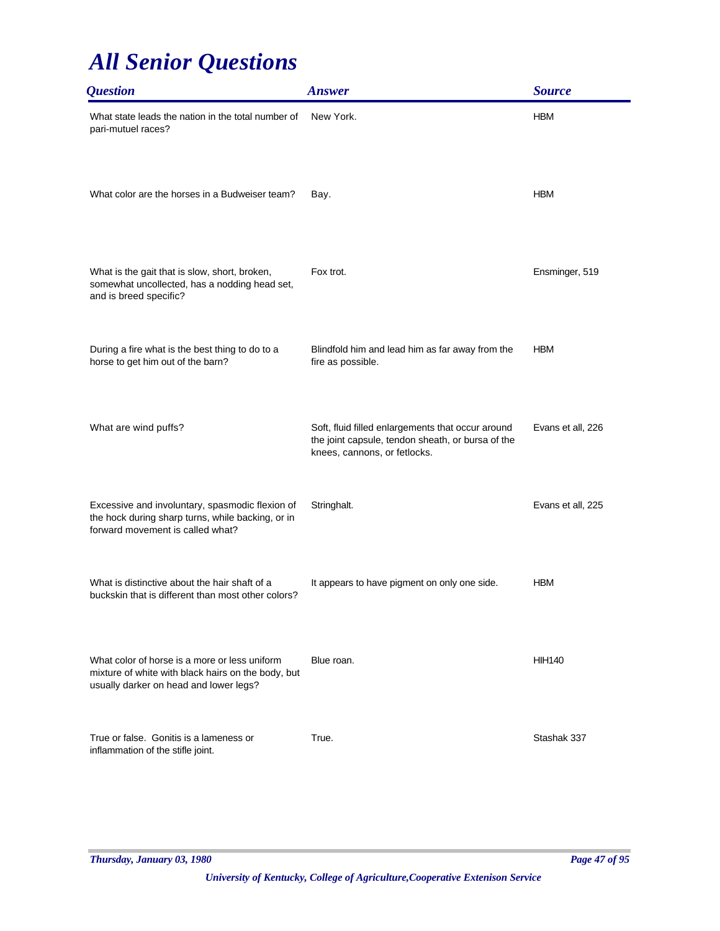| <i><b>Question</b></i>                                                                                                                        | <b>Answer</b>                                                                                                                          | <b>Source</b>     |
|-----------------------------------------------------------------------------------------------------------------------------------------------|----------------------------------------------------------------------------------------------------------------------------------------|-------------------|
| What state leads the nation in the total number of<br>pari-mutuel races?                                                                      | New York.                                                                                                                              | <b>HBM</b>        |
| What color are the horses in a Budweiser team?                                                                                                | Bay.                                                                                                                                   | <b>HBM</b>        |
| What is the gait that is slow, short, broken,<br>somewhat uncollected, has a nodding head set,<br>and is breed specific?                      | Fox trot.                                                                                                                              | Ensminger, 519    |
| During a fire what is the best thing to do to a<br>horse to get him out of the barn?                                                          | Blindfold him and lead him as far away from the<br>fire as possible.                                                                   | <b>HBM</b>        |
| What are wind puffs?                                                                                                                          | Soft, fluid filled enlargements that occur around<br>the joint capsule, tendon sheath, or bursa of the<br>knees, cannons, or fetlocks. | Evans et all, 226 |
| Excessive and involuntary, spasmodic flexion of<br>the hock during sharp turns, while backing, or in<br>forward movement is called what?      | Stringhalt.                                                                                                                            | Evans et all, 225 |
| What is distinctive about the hair shaft of a<br>buckskin that is different than most other colors?                                           | It appears to have pigment on only one side.                                                                                           | <b>HBM</b>        |
| What color of horse is a more or less uniform<br>mixture of white with black hairs on the body, but<br>usually darker on head and lower legs? | Blue roan.                                                                                                                             | <b>HIH140</b>     |
| True or false. Gonitis is a lameness or<br>inflammation of the stifle joint.                                                                  | True.                                                                                                                                  | Stashak 337       |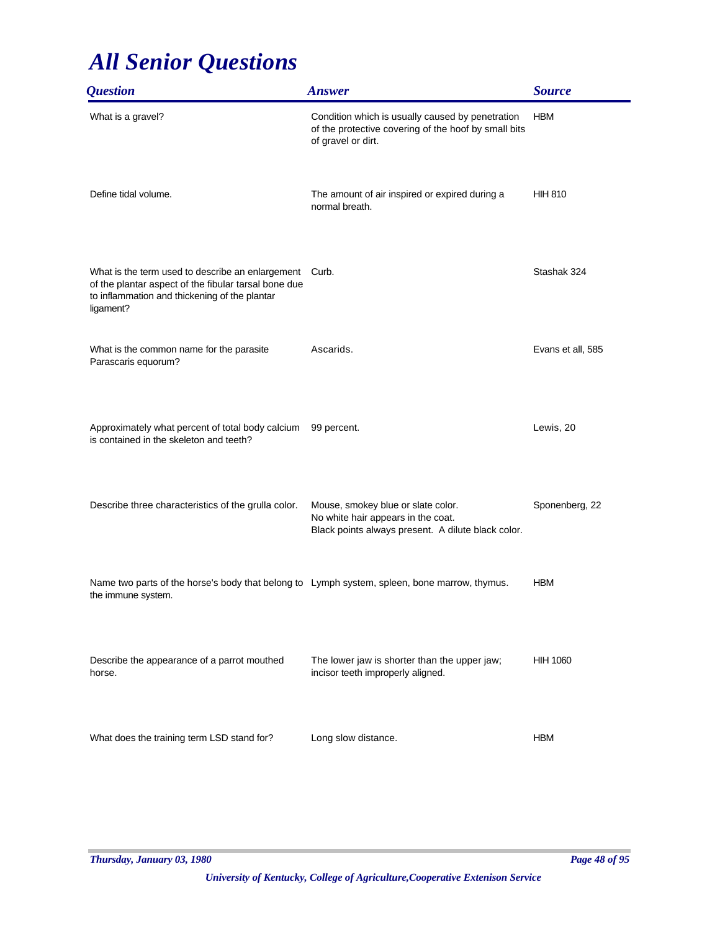| <i><b>Question</b></i>                                                                                                                                                       | <b>Answer</b>                                                                                                                  | <b>Source</b>     |
|------------------------------------------------------------------------------------------------------------------------------------------------------------------------------|--------------------------------------------------------------------------------------------------------------------------------|-------------------|
| What is a gravel?                                                                                                                                                            | Condition which is usually caused by penetration<br>of the protective covering of the hoof by small bits<br>of gravel or dirt. | <b>HBM</b>        |
| Define tidal volume.                                                                                                                                                         | The amount of air inspired or expired during a<br>normal breath.                                                               | <b>HIH 810</b>    |
| What is the term used to describe an enlargement Curb.<br>of the plantar aspect of the fibular tarsal bone due<br>to inflammation and thickening of the plantar<br>ligament? |                                                                                                                                | Stashak 324       |
| What is the common name for the parasite<br>Parascaris equorum?                                                                                                              | Ascarids.                                                                                                                      | Evans et all, 585 |
| Approximately what percent of total body calcium<br>is contained in the skeleton and teeth?                                                                                  | 99 percent.                                                                                                                    | Lewis, 20         |
| Describe three characteristics of the grulla color.                                                                                                                          | Mouse, smokey blue or slate color.<br>No white hair appears in the coat.<br>Black points always present. A dilute black color. | Sponenberg, 22    |
| Name two parts of the horse's body that belong to Lymph system, spleen, bone marrow, thymus.<br>the immune system.                                                           |                                                                                                                                | <b>HBM</b>        |
| Describe the appearance of a parrot mouthed<br>horse.                                                                                                                        | The lower jaw is shorter than the upper jaw;<br>incisor teeth improperly aligned.                                              | <b>HIH 1060</b>   |
| What does the training term LSD stand for?                                                                                                                                   | Long slow distance.                                                                                                            | <b>HBM</b>        |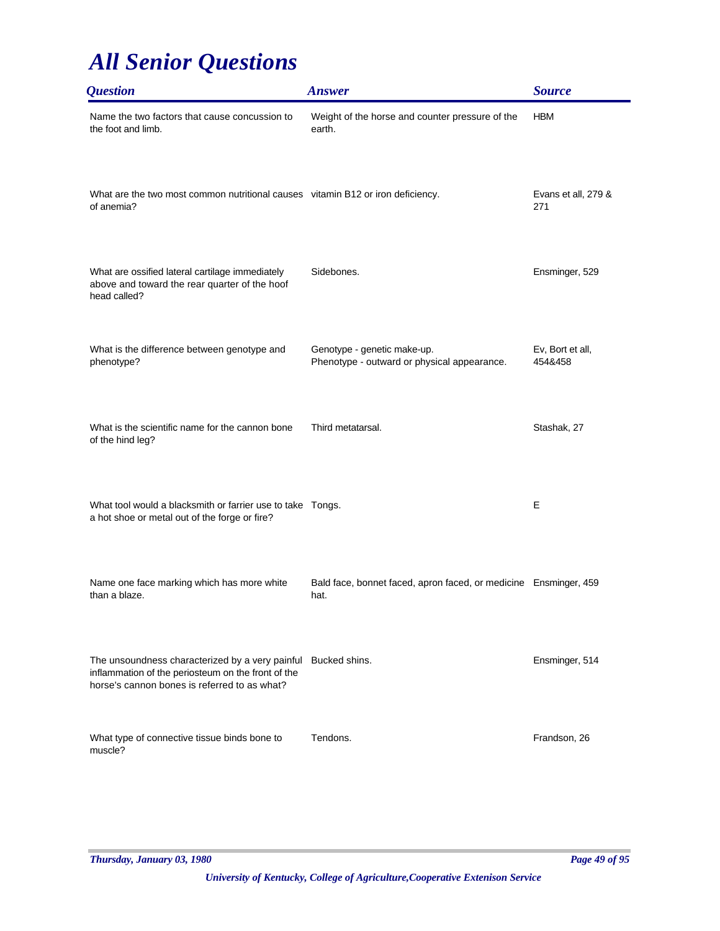| <i><b>Question</b></i>                                                                                                                                              | <b>Answer</b>                                                              | <b>Source</b>               |
|---------------------------------------------------------------------------------------------------------------------------------------------------------------------|----------------------------------------------------------------------------|-----------------------------|
| Name the two factors that cause concussion to<br>the foot and limb.                                                                                                 | Weight of the horse and counter pressure of the<br>earth.                  | <b>HBM</b>                  |
| What are the two most common nutritional causes vitamin B12 or iron deficiency.<br>of anemia?                                                                       |                                                                            | Evans et all, 279 &<br>271  |
| What are ossified lateral cartilage immediately<br>above and toward the rear quarter of the hoof<br>head called?                                                    | Sidebones.                                                                 | Ensminger, 529              |
| What is the difference between genotype and<br>phenotype?                                                                                                           | Genotype - genetic make-up.<br>Phenotype - outward or physical appearance. | Ev, Bort et all,<br>454&458 |
| What is the scientific name for the cannon bone<br>of the hind leg?                                                                                                 | Third metatarsal.                                                          | Stashak, 27                 |
| What tool would a blacksmith or farrier use to take Tongs.<br>a hot shoe or metal out of the forge or fire?                                                         |                                                                            | Е                           |
| Name one face marking which has more white<br>than a blaze.                                                                                                         | Bald face, bonnet faced, apron faced, or medicine Ensminger, 459<br>hat.   |                             |
| The unsoundness characterized by a very painful Bucked shins.<br>inflammation of the periosteum on the front of the<br>horse's cannon bones is referred to as what? |                                                                            | Ensminger, 514              |
| What type of connective tissue binds bone to<br>muscle?                                                                                                             | Tendons.                                                                   | Frandson, 26                |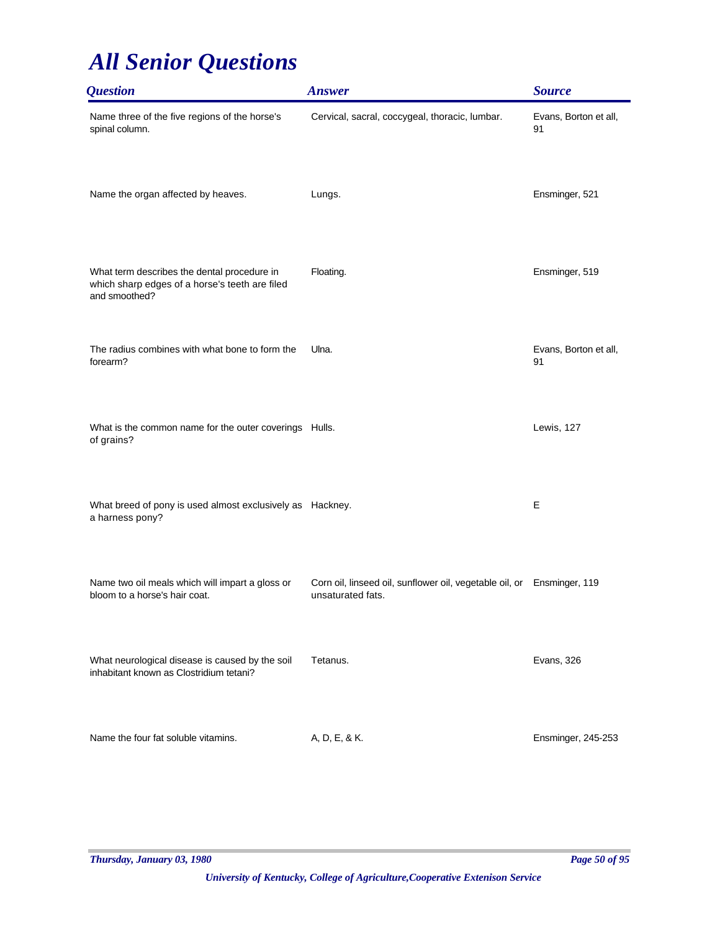| <b>Question</b>                                                                                                | <b>Answer</b>                                                                               | <b>Source</b>               |
|----------------------------------------------------------------------------------------------------------------|---------------------------------------------------------------------------------------------|-----------------------------|
| Name three of the five regions of the horse's<br>spinal column.                                                | Cervical, sacral, coccygeal, thoracic, lumbar.                                              | Evans, Borton et all,<br>91 |
| Name the organ affected by heaves.                                                                             | Lungs.                                                                                      | Ensminger, 521              |
| What term describes the dental procedure in<br>which sharp edges of a horse's teeth are filed<br>and smoothed? | Floating.                                                                                   | Ensminger, 519              |
| The radius combines with what bone to form the<br>forearm?                                                     | Ulna.                                                                                       | Evans, Borton et all,<br>91 |
| What is the common name for the outer coverings Hulls.<br>of grains?                                           |                                                                                             | Lewis, 127                  |
| What breed of pony is used almost exclusively as Hackney.<br>a harness pony?                                   |                                                                                             | E                           |
| Name two oil meals which will impart a gloss or<br>bloom to a horse's hair coat.                               | Corn oil, linseed oil, sunflower oil, vegetable oil, or Ensminger, 119<br>unsaturated fats. |                             |
| What neurological disease is caused by the soil<br>inhabitant known as Clostridium tetani?                     | Tetanus.                                                                                    | Evans, 326                  |
| Name the four fat soluble vitamins.                                                                            | A, D, E, & K.                                                                               | Ensminger, 245-253          |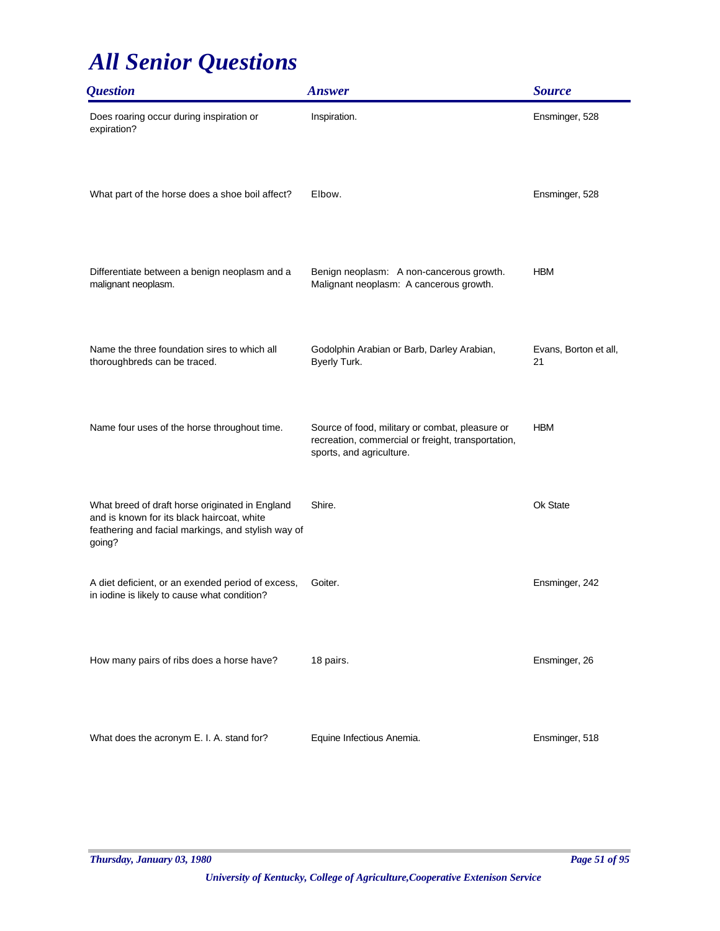| <b>Question</b>                                                                                                                                               | <b>Answer</b>                                                                                                                     | <b>Source</b>               |
|---------------------------------------------------------------------------------------------------------------------------------------------------------------|-----------------------------------------------------------------------------------------------------------------------------------|-----------------------------|
| Does roaring occur during inspiration or<br>expiration?                                                                                                       | Inspiration.                                                                                                                      | Ensminger, 528              |
| What part of the horse does a shoe boil affect?                                                                                                               | Elbow.                                                                                                                            | Ensminger, 528              |
| Differentiate between a benign neoplasm and a<br>malignant neoplasm.                                                                                          | Benign neoplasm: A non-cancerous growth.<br>Malignant neoplasm: A cancerous growth.                                               | <b>HBM</b>                  |
| Name the three foundation sires to which all<br>thoroughbreds can be traced.                                                                                  | Godolphin Arabian or Barb, Darley Arabian,<br>Byerly Turk.                                                                        | Evans, Borton et all,<br>21 |
| Name four uses of the horse throughout time.                                                                                                                  | Source of food, military or combat, pleasure or<br>recreation, commercial or freight, transportation,<br>sports, and agriculture. | <b>HBM</b>                  |
| What breed of draft horse originated in England<br>and is known for its black haircoat, white<br>feathering and facial markings, and stylish way of<br>going? | Shire.                                                                                                                            | Ok State                    |
| A diet deficient, or an exended period of excess,<br>in iodine is likely to cause what condition?                                                             | Goiter.                                                                                                                           | Ensminger, 242              |
| How many pairs of ribs does a horse have?                                                                                                                     | 18 pairs.                                                                                                                         | Ensminger, 26               |
| What does the acronym E. I. A. stand for?                                                                                                                     | Equine Infectious Anemia.                                                                                                         | Ensminger, 518              |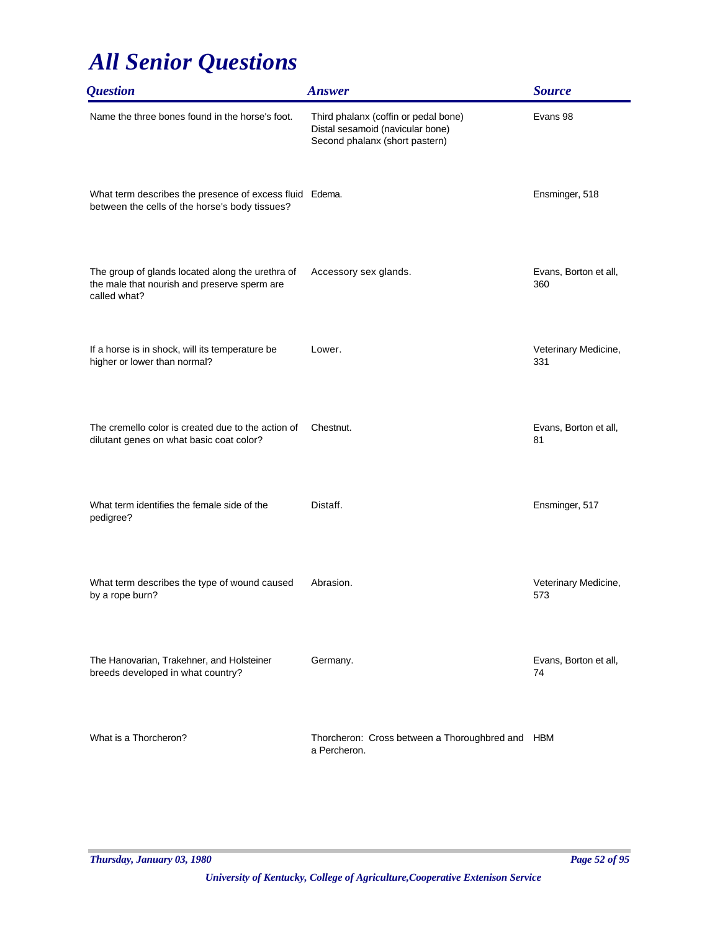| <i><b>Question</b></i>                                                                                           | <b>Answer</b>                                                                                              | <b>Source</b>                |
|------------------------------------------------------------------------------------------------------------------|------------------------------------------------------------------------------------------------------------|------------------------------|
| Name the three bones found in the horse's foot.                                                                  | Third phalanx (coffin or pedal bone)<br>Distal sesamoid (navicular bone)<br>Second phalanx (short pastern) | Evans 98                     |
| What term describes the presence of excess fluid Edema.<br>between the cells of the horse's body tissues?        |                                                                                                            | Ensminger, 518               |
| The group of glands located along the urethra of<br>the male that nourish and preserve sperm are<br>called what? | Accessory sex glands.                                                                                      | Evans, Borton et all,<br>360 |
| If a horse is in shock, will its temperature be<br>higher or lower than normal?                                  | Lower.                                                                                                     | Veterinary Medicine,<br>331  |
| The cremello color is created due to the action of<br>dilutant genes on what basic coat color?                   | Chestnut.                                                                                                  | Evans, Borton et all,<br>81  |
| What term identifies the female side of the<br>pedigree?                                                         | Distaff.                                                                                                   | Ensminger, 517               |
| What term describes the type of wound caused<br>by a rope burn?                                                  | Abrasion.                                                                                                  | Veterinary Medicine,<br>573  |
| The Hanovarian, Trakehner, and Holsteiner<br>breeds developed in what country?                                   | Germany.                                                                                                   | Evans, Borton et all,<br>74  |
| What is a Thorcheron?                                                                                            | Thorcheron: Cross between a Thoroughbred and HBM<br>a Percheron.                                           |                              |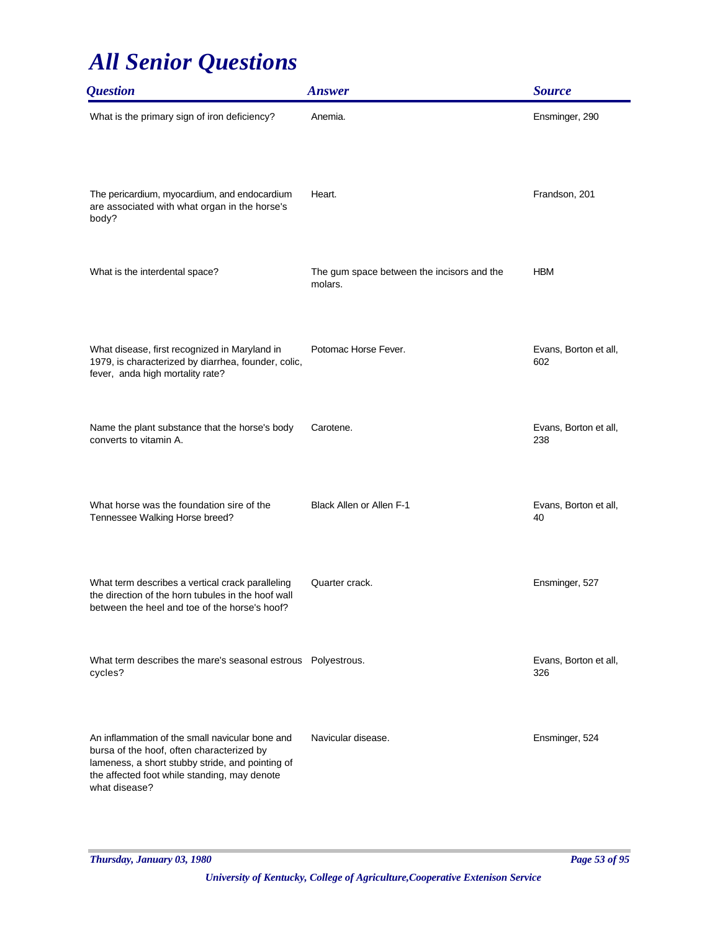| <b>Question</b>                                                                                                                                                                                                   | <b>Answer</b>                                         | <b>Source</b>                |
|-------------------------------------------------------------------------------------------------------------------------------------------------------------------------------------------------------------------|-------------------------------------------------------|------------------------------|
| What is the primary sign of iron deficiency?                                                                                                                                                                      | Anemia.                                               | Ensminger, 290               |
| The pericardium, myocardium, and endocardium<br>are associated with what organ in the horse's<br>body?                                                                                                            | Heart.                                                | Frandson, 201                |
| What is the interdental space?                                                                                                                                                                                    | The gum space between the incisors and the<br>molars. | <b>HBM</b>                   |
| What disease, first recognized in Maryland in<br>1979, is characterized by diarrhea, founder, colic,<br>fever, anda high mortality rate?                                                                          | Potomac Horse Fever.                                  | Evans, Borton et all,<br>602 |
| Name the plant substance that the horse's body<br>converts to vitamin A.                                                                                                                                          | Carotene.                                             | Evans, Borton et all,<br>238 |
| What horse was the foundation sire of the<br>Tennessee Walking Horse breed?                                                                                                                                       | <b>Black Allen or Allen F-1</b>                       | Evans, Borton et all,<br>40  |
| What term describes a vertical crack paralleling<br>the direction of the horn tubules in the hoof wall<br>between the heel and toe of the horse's hoof?                                                           | Quarter crack.                                        | Ensminger, 527               |
| What term describes the mare's seasonal estrous  Polyestrous.<br>cycles?                                                                                                                                          |                                                       | Evans, Borton et all,<br>326 |
| An inflammation of the small navicular bone and<br>bursa of the hoof, often characterized by<br>lameness, a short stubby stride, and pointing of<br>the affected foot while standing, may denote<br>what disease? | Navicular disease.                                    | Ensminger, 524               |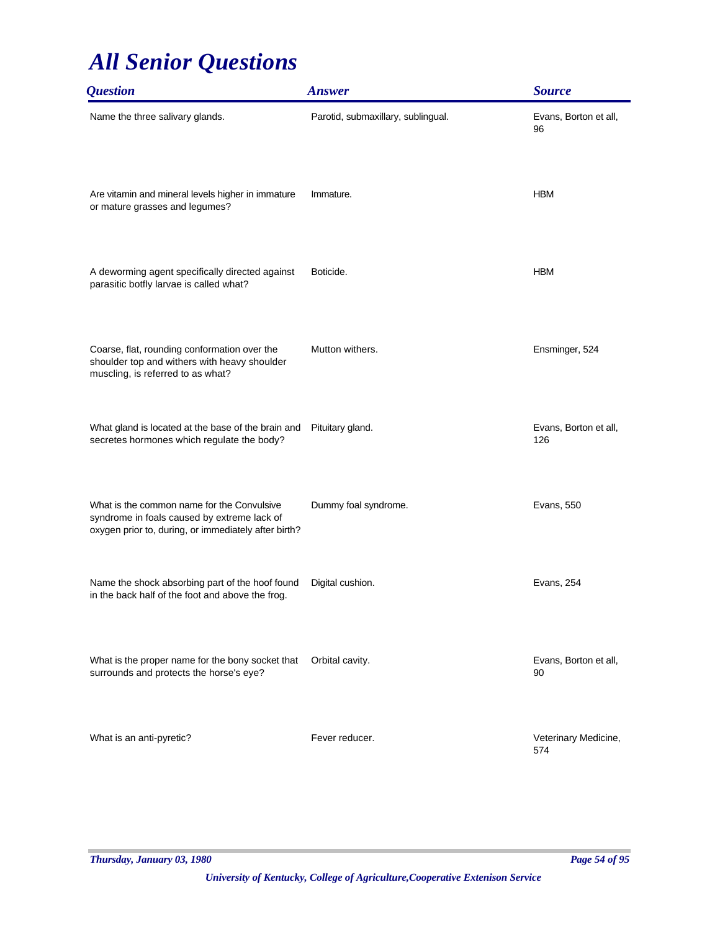| <i><b>Question</b></i>                                                                                                                            | <b>Answer</b>                      | <b>Source</b>                |
|---------------------------------------------------------------------------------------------------------------------------------------------------|------------------------------------|------------------------------|
| Name the three salivary glands.                                                                                                                   | Parotid, submaxillary, sublingual. | Evans, Borton et all,<br>96  |
| Are vitamin and mineral levels higher in immature<br>or mature grasses and legumes?                                                               | Immature.                          | <b>HBM</b>                   |
| A deworming agent specifically directed against<br>parasitic botfly larvae is called what?                                                        | Boticide.                          | <b>HBM</b>                   |
| Coarse, flat, rounding conformation over the<br>shoulder top and withers with heavy shoulder<br>muscling, is referred to as what?                 | Mutton withers.                    | Ensminger, 524               |
| What gland is located at the base of the brain and<br>secretes hormones which regulate the body?                                                  | Pituitary gland.                   | Evans, Borton et all,<br>126 |
| What is the common name for the Convulsive<br>syndrome in foals caused by extreme lack of<br>oxygen prior to, during, or immediately after birth? | Dummy foal syndrome.               | Evans, 550                   |
| Name the shock absorbing part of the hoof found<br>in the back half of the foot and above the frog.                                               | Digital cushion.                   | Evans, 254                   |
| What is the proper name for the bony socket that<br>surrounds and protects the horse's eye?                                                       | Orbital cavity.                    | Evans, Borton et all,<br>90  |
| What is an anti-pyretic?                                                                                                                          | Fever reducer.                     | Veterinary Medicine,<br>574  |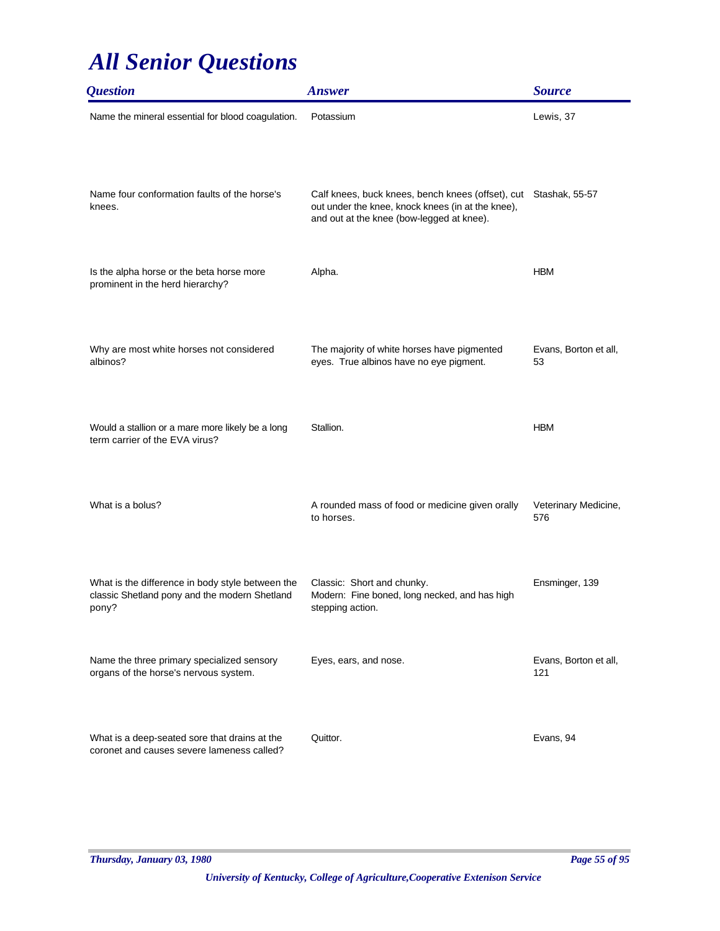| <b>Question</b>                                                                                            | <b>Answer</b>                                                                                                                                                      | <b>Source</b>                |
|------------------------------------------------------------------------------------------------------------|--------------------------------------------------------------------------------------------------------------------------------------------------------------------|------------------------------|
| Name the mineral essential for blood coagulation.                                                          | Potassium                                                                                                                                                          | Lewis, 37                    |
| Name four conformation faults of the horse's<br>knees.                                                     | Calf knees, buck knees, bench knees (offset), cut Stashak, 55-57<br>out under the knee, knock knees (in at the knee),<br>and out at the knee (bow-legged at knee). |                              |
| Is the alpha horse or the beta horse more<br>prominent in the herd hierarchy?                              | Alpha.                                                                                                                                                             | <b>HBM</b>                   |
| Why are most white horses not considered<br>albinos?                                                       | The majority of white horses have pigmented<br>eyes. True albinos have no eye pigment.                                                                             | Evans, Borton et all,<br>53  |
| Would a stallion or a mare more likely be a long<br>term carrier of the EVA virus?                         | Stallion.                                                                                                                                                          | <b>HBM</b>                   |
| What is a bolus?                                                                                           | A rounded mass of food or medicine given orally<br>to horses.                                                                                                      | Veterinary Medicine,<br>576  |
| What is the difference in body style between the<br>classic Shetland pony and the modern Shetland<br>pony? | Classic: Short and chunky.<br>Modern: Fine boned, long necked, and has high<br>stepping action.                                                                    | Ensminger, 139               |
| Name the three primary specialized sensory<br>organs of the horse's nervous system.                        | Eyes, ears, and nose.                                                                                                                                              | Evans, Borton et all,<br>121 |
| What is a deep-seated sore that drains at the<br>coronet and causes severe lameness called?                | Quittor.                                                                                                                                                           | Evans, 94                    |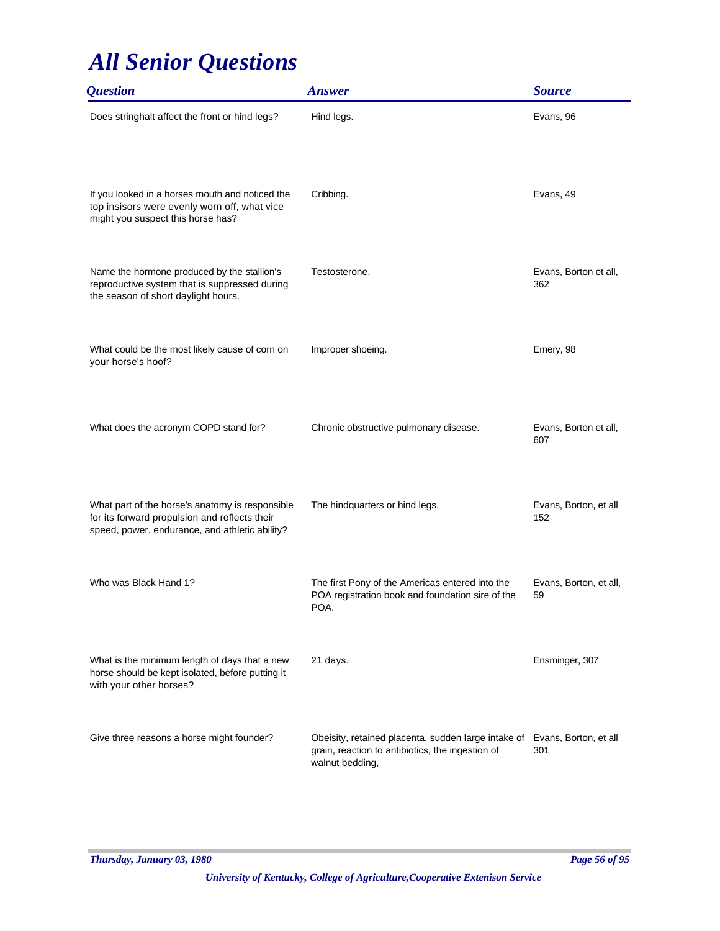| <i><b>Question</b></i>                                                                                                                             | <b>Answer</b>                                                                                                              | <b>Source</b>                |
|----------------------------------------------------------------------------------------------------------------------------------------------------|----------------------------------------------------------------------------------------------------------------------------|------------------------------|
| Does stringhalt affect the front or hind legs?                                                                                                     | Hind legs.                                                                                                                 | Evans, 96                    |
| If you looked in a horses mouth and noticed the<br>top insisors were evenly worn off, what vice<br>might you suspect this horse has?               | Cribbing.                                                                                                                  | Evans, 49                    |
| Name the hormone produced by the stallion's<br>reproductive system that is suppressed during<br>the season of short daylight hours.                | Testosterone.                                                                                                              | Evans, Borton et all,<br>362 |
| What could be the most likely cause of corn on<br>your horse's hoof?                                                                               | Improper shoeing.                                                                                                          | Emery, 98                    |
| What does the acronym COPD stand for?                                                                                                              | Chronic obstructive pulmonary disease.                                                                                     | Evans, Borton et all,<br>607 |
| What part of the horse's anatomy is responsible<br>for its forward propulsion and reflects their<br>speed, power, endurance, and athletic ability? | The hindquarters or hind legs.                                                                                             | Evans, Borton, et all<br>152 |
| Who was Black Hand 1?                                                                                                                              | The first Pony of the Americas entered into the<br>POA registration book and foundation sire of the<br>POA.                | Evans, Borton, et all,<br>59 |
| What is the minimum length of days that a new<br>horse should be kept isolated, before putting it<br>with your other horses?                       | 21 days.                                                                                                                   | Ensminger, 307               |
| Give three reasons a horse might founder?                                                                                                          | Obeisity, retained placenta, sudden large intake of<br>grain, reaction to antibiotics, the ingestion of<br>walnut bedding, | Evans, Borton, et all<br>301 |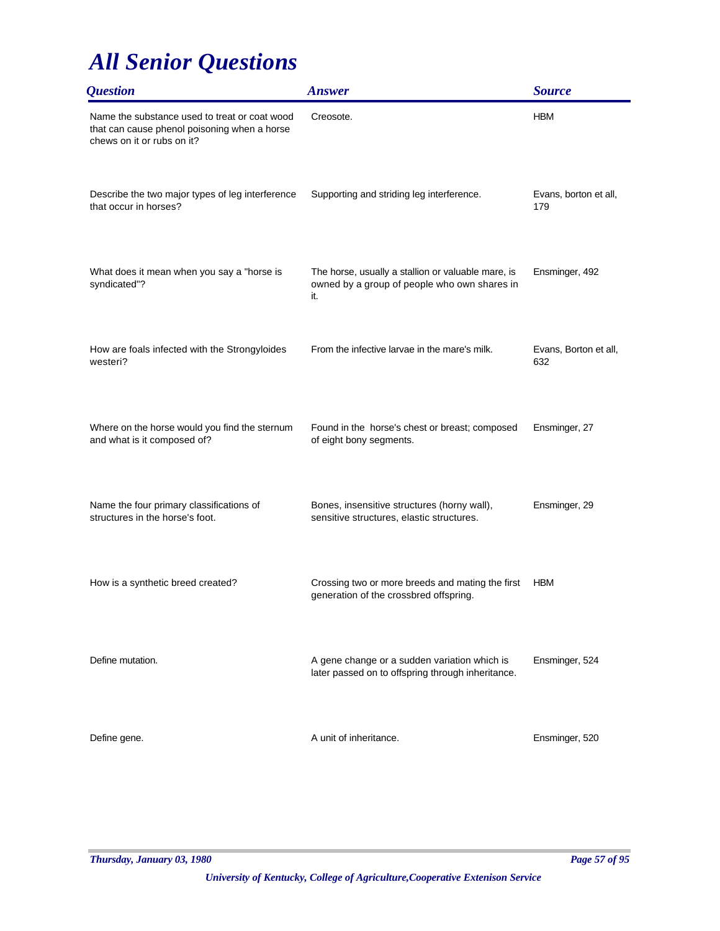| <i><b>Question</b></i>                                                                                                      | <b>Answer</b>                                                                                             | <b>Source</b>                |
|-----------------------------------------------------------------------------------------------------------------------------|-----------------------------------------------------------------------------------------------------------|------------------------------|
| Name the substance used to treat or coat wood<br>that can cause phenol poisoning when a horse<br>chews on it or rubs on it? | Creosote.                                                                                                 | <b>HBM</b>                   |
| Describe the two major types of leg interference<br>that occur in horses?                                                   | Supporting and striding leg interference.                                                                 | Evans, borton et all,<br>179 |
| What does it mean when you say a "horse is<br>syndicated"?                                                                  | The horse, usually a stallion or valuable mare, is<br>owned by a group of people who own shares in<br>it. | Ensminger, 492               |
| How are foals infected with the Strongyloides<br>westeri?                                                                   | From the infective larvae in the mare's milk.                                                             | Evans, Borton et all,<br>632 |
| Where on the horse would you find the sternum<br>and what is it composed of?                                                | Found in the horse's chest or breast; composed<br>of eight bony segments.                                 | Ensminger, 27                |
| Name the four primary classifications of<br>structures in the horse's foot.                                                 | Bones, insensitive structures (horny wall),<br>sensitive structures, elastic structures.                  | Ensminger, 29                |
| How is a synthetic breed created?                                                                                           | Crossing two or more breeds and mating the first<br>generation of the crossbred offspring.                | <b>HBM</b>                   |
| Define mutation.                                                                                                            | A gene change or a sudden variation which is<br>later passed on to offspring through inheritance.         | Ensminger, 524               |
| Define gene.                                                                                                                | A unit of inheritance.                                                                                    | Ensminger, 520               |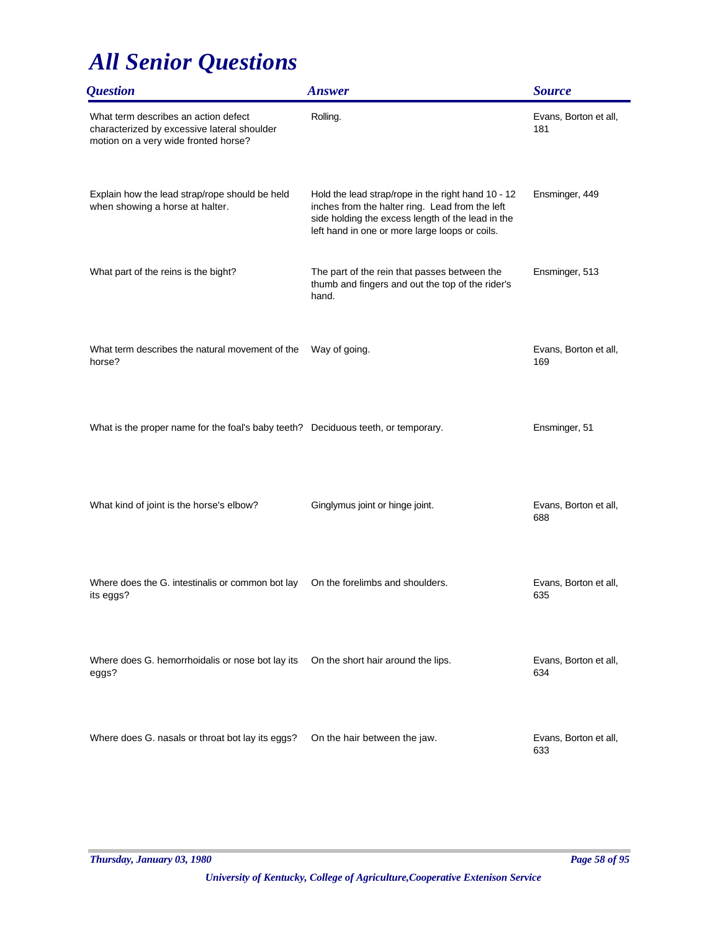| <i><b>Question</b></i>                                                                                                      | <b>Answer</b>                                                                                                                                                                                                | <b>Source</b>                |
|-----------------------------------------------------------------------------------------------------------------------------|--------------------------------------------------------------------------------------------------------------------------------------------------------------------------------------------------------------|------------------------------|
| What term describes an action defect<br>characterized by excessive lateral shoulder<br>motion on a very wide fronted horse? | Rolling.                                                                                                                                                                                                     | Evans, Borton et all,<br>181 |
| Explain how the lead strap/rope should be held<br>when showing a horse at halter.                                           | Hold the lead strap/rope in the right hand 10 - 12<br>inches from the halter ring. Lead from the left<br>side holding the excess length of the lead in the<br>left hand in one or more large loops or coils. | Ensminger, 449               |
| What part of the reins is the bight?                                                                                        | The part of the rein that passes between the<br>thumb and fingers and out the top of the rider's<br>hand.                                                                                                    | Ensminger, 513               |
| What term describes the natural movement of the<br>horse?                                                                   | Way of going.                                                                                                                                                                                                | Evans, Borton et all,<br>169 |
| What is the proper name for the foal's baby teeth? Deciduous teeth, or temporary.                                           |                                                                                                                                                                                                              | Ensminger, 51                |
| What kind of joint is the horse's elbow?                                                                                    | Ginglymus joint or hinge joint.                                                                                                                                                                              | Evans, Borton et all,<br>688 |
| Where does the G. intestinalis or common bot lay<br>its eggs?                                                               | On the forelimbs and shoulders.                                                                                                                                                                              | Evans, Borton et all,<br>635 |
| Where does G. hemorrhoidalis or nose bot lay its<br>eggs?                                                                   | On the short hair around the lips.                                                                                                                                                                           | Evans, Borton et all,<br>634 |
| Where does G. nasals or throat bot lay its eggs?                                                                            | On the hair between the jaw.                                                                                                                                                                                 | Evans, Borton et all,<br>633 |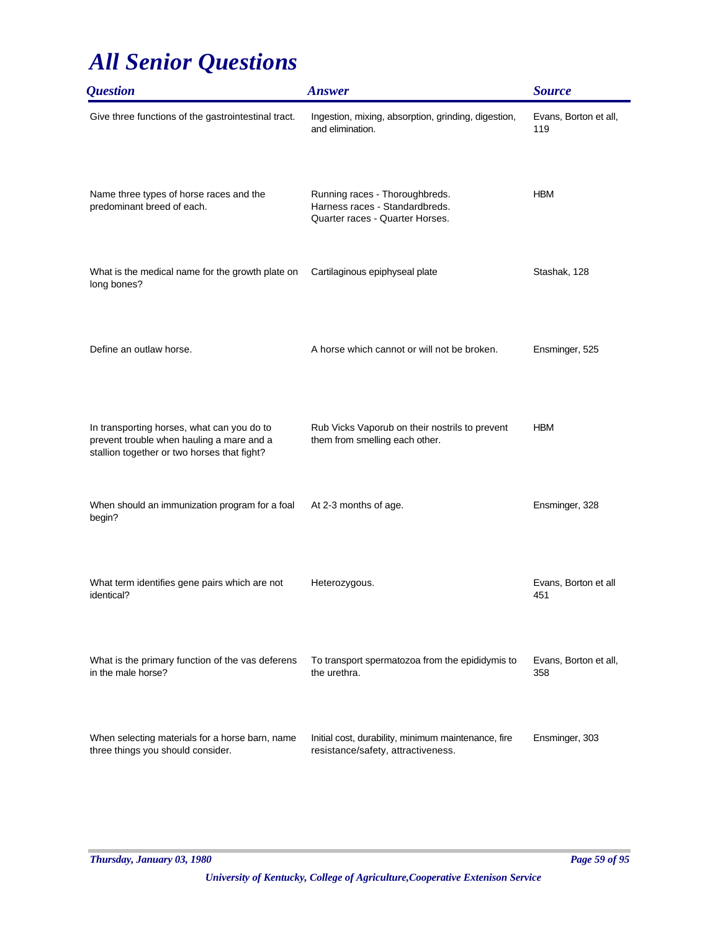| <i><b>Question</b></i>                                                                                                                 | <b>Answer</b>                                                                                       | <b>Source</b>                |
|----------------------------------------------------------------------------------------------------------------------------------------|-----------------------------------------------------------------------------------------------------|------------------------------|
| Give three functions of the gastrointestinal tract.                                                                                    | Ingestion, mixing, absorption, grinding, digestion,<br>and elimination.                             | Evans, Borton et all,<br>119 |
| Name three types of horse races and the<br>predominant breed of each.                                                                  | Running races - Thoroughbreds.<br>Harness races - Standardbreds.<br>Quarter races - Quarter Horses. | <b>HBM</b>                   |
| What is the medical name for the growth plate on<br>long bones?                                                                        | Cartilaginous epiphyseal plate                                                                      | Stashak, 128                 |
| Define an outlaw horse.                                                                                                                | A horse which cannot or will not be broken.                                                         | Ensminger, 525               |
| In transporting horses, what can you do to<br>prevent trouble when hauling a mare and a<br>stallion together or two horses that fight? | Rub Vicks Vaporub on their nostrils to prevent<br>them from smelling each other.                    | <b>HBM</b>                   |
| When should an immunization program for a foal<br>begin?                                                                               | At 2-3 months of age.                                                                               | Ensminger, 328               |
| What term identifies gene pairs which are not<br>identical?                                                                            | Heterozygous.                                                                                       | Evans, Borton et all<br>451  |
| What is the primary function of the vas deferens<br>in the male horse?                                                                 | To transport spermatozoa from the epididymis to<br>the urethra.                                     | Evans, Borton et all,<br>358 |
| When selecting materials for a horse barn, name<br>three things you should consider.                                                   | Initial cost, durability, minimum maintenance, fire<br>resistance/safety, attractiveness.           | Ensminger, 303               |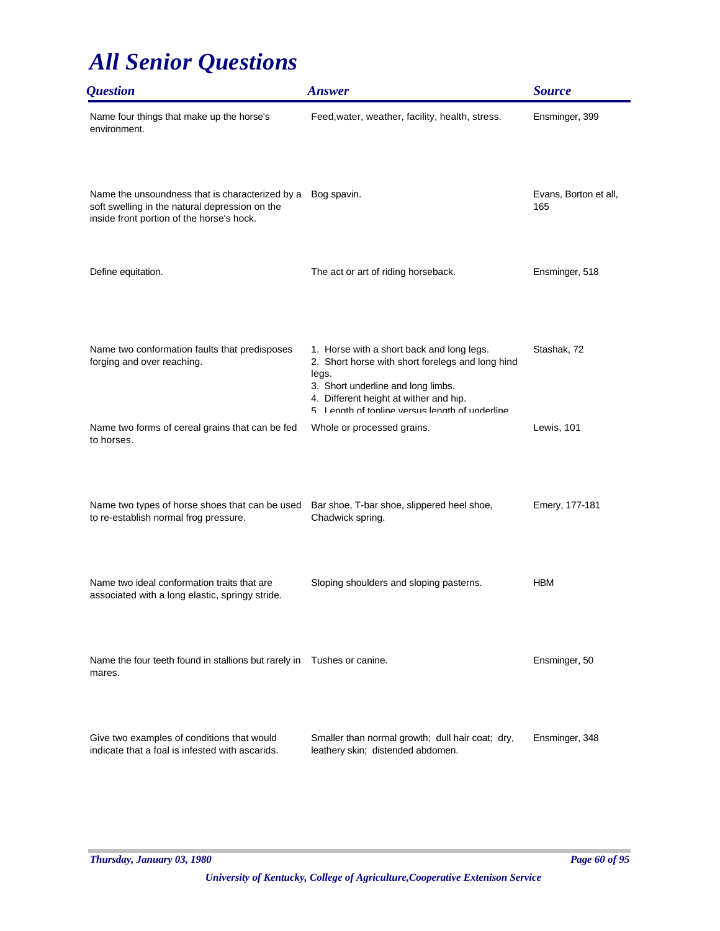| <i><b>Question</b></i>                                                                                                                         | <b>Answer</b>                                                                                                                                                                                                                             | <b>Source</b>                |
|------------------------------------------------------------------------------------------------------------------------------------------------|-------------------------------------------------------------------------------------------------------------------------------------------------------------------------------------------------------------------------------------------|------------------------------|
| Name four things that make up the horse's<br>environment.                                                                                      | Feed, water, weather, facility, health, stress.                                                                                                                                                                                           | Ensminger, 399               |
| Name the unsoundness that is characterized by a<br>soft swelling in the natural depression on the<br>inside front portion of the horse's hock. | Bog spavin.                                                                                                                                                                                                                               | Evans, Borton et all,<br>165 |
| Define equitation.                                                                                                                             | The act or art of riding horseback.                                                                                                                                                                                                       | Ensminger, 518               |
| Name two conformation faults that predisposes<br>forging and over reaching.                                                                    | 1. Horse with a short back and long legs.<br>2. Short horse with short forelegs and long hind<br>legs.<br>3. Short underline and long limbs.<br>4. Different height at wither and hip.<br>5 I enath of tonline versus lenath of underline | Stashak, 72                  |
| Name two forms of cereal grains that can be fed<br>to horses.                                                                                  | Whole or processed grains.                                                                                                                                                                                                                | Lewis, 101                   |
| Name two types of horse shoes that can be used<br>to re-establish normal frog pressure.                                                        | Bar shoe, T-bar shoe, slippered heel shoe,<br>Chadwick spring.                                                                                                                                                                            | Emery, 177-181               |
| Name two ideal conformation traits that are                                                                                                    | Sloping shoulders and sloping pasterns.                                                                                                                                                                                                   | <b>HBM</b>                   |
| associated with a long elastic, springy stride.<br>Name the four teeth found in stallions but rarely in Tushes or canine.<br>mares.            |                                                                                                                                                                                                                                           | Ensminger, 50                |
| Give two examples of conditions that would<br>indicate that a foal is infested with ascarids.                                                  | Smaller than normal growth; dull hair coat; dry,<br>leathery skin; distended abdomen.                                                                                                                                                     | Ensminger, 348               |
|                                                                                                                                                |                                                                                                                                                                                                                                           |                              |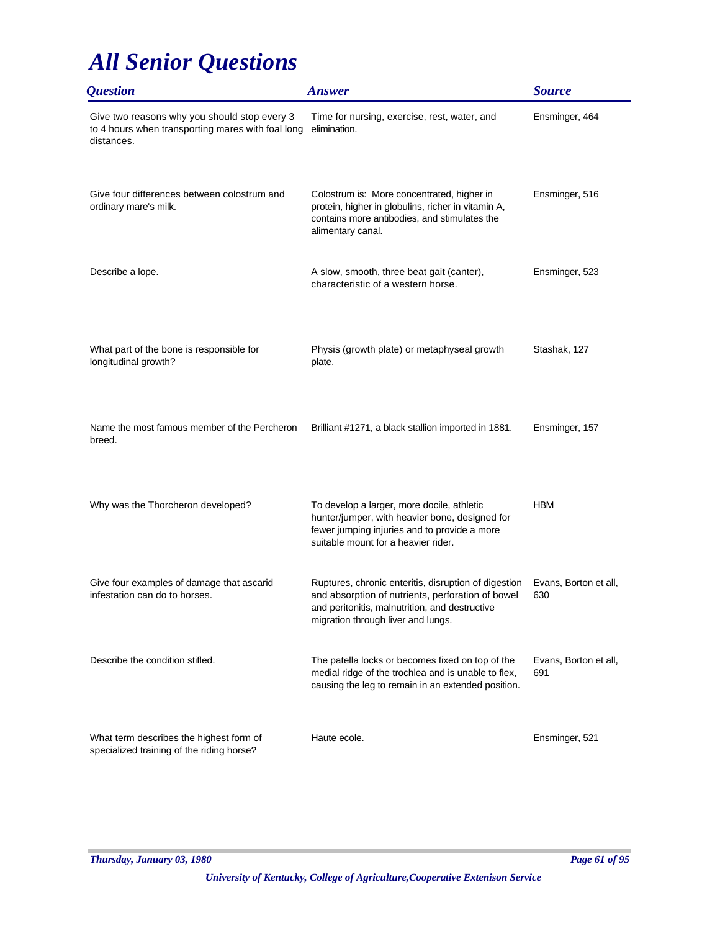| <i><b>Question</b></i>                                                                                          | <b>Answer</b>                                                                                                                                                                                     | <b>Source</b>                |
|-----------------------------------------------------------------------------------------------------------------|---------------------------------------------------------------------------------------------------------------------------------------------------------------------------------------------------|------------------------------|
| Give two reasons why you should stop every 3<br>to 4 hours when transporting mares with foal long<br>distances. | Time for nursing, exercise, rest, water, and<br>elimination.                                                                                                                                      | Ensminger, 464               |
| Give four differences between colostrum and<br>ordinary mare's milk.                                            | Colostrum is: More concentrated, higher in<br>protein, higher in globulins, richer in vitamin A,<br>contains more antibodies, and stimulates the<br>alimentary canal.                             | Ensminger, 516               |
| Describe a lope.                                                                                                | A slow, smooth, three beat gait (canter),<br>characteristic of a western horse.                                                                                                                   | Ensminger, 523               |
| What part of the bone is responsible for<br>longitudinal growth?                                                | Physis (growth plate) or metaphyseal growth<br>plate.                                                                                                                                             | Stashak, 127                 |
| Name the most famous member of the Percheron<br>breed.                                                          | Brilliant #1271, a black stallion imported in 1881.                                                                                                                                               | Ensminger, 157               |
| Why was the Thorcheron developed?                                                                               | To develop a larger, more docile, athletic<br>hunter/jumper, with heavier bone, designed for<br>fewer jumping injuries and to provide a more<br>suitable mount for a heavier rider.               | <b>HBM</b>                   |
| Give four examples of damage that ascarid<br>infestation can do to horses.                                      | Ruptures, chronic enteritis, disruption of digestion<br>and absorption of nutrients, perforation of bowel<br>and peritonitis, malnutrition, and destructive<br>migration through liver and lungs. | Evans, Borton et all,<br>630 |
| Describe the condition stifled.                                                                                 | The patella locks or becomes fixed on top of the<br>medial ridge of the trochlea and is unable to flex,<br>causing the leg to remain in an extended position.                                     | Evans, Borton et all,<br>691 |
| What term describes the highest form of<br>specialized training of the riding horse?                            | Haute ecole.                                                                                                                                                                                      | Ensminger, 521               |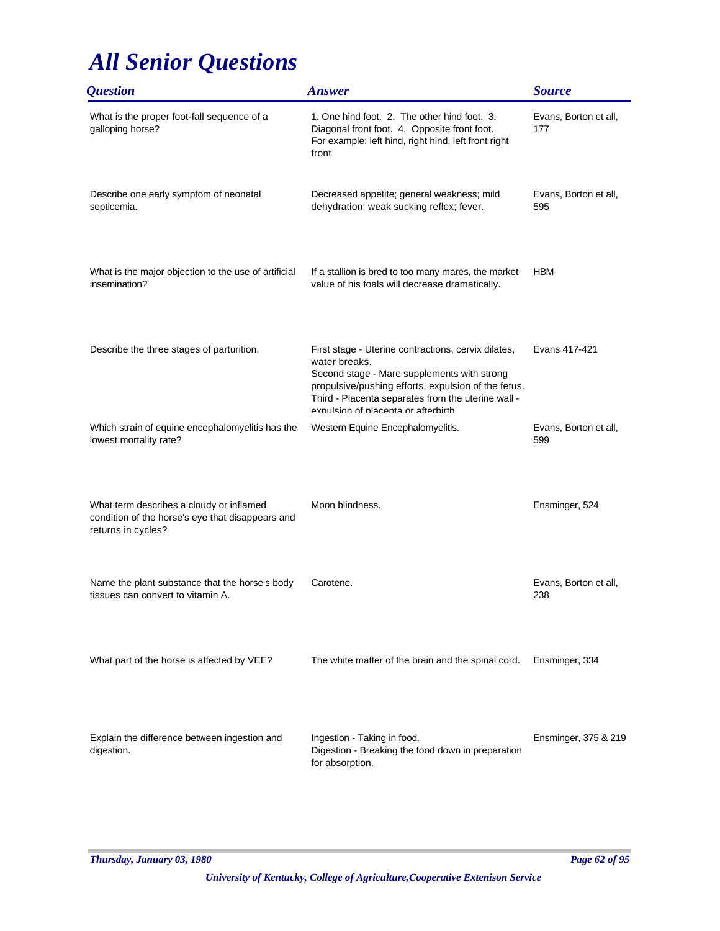| <b>Question</b>                                                                                                    | <b>Answer</b>                                                                                                                                                                                                                                                           | <b>Source</b>                |
|--------------------------------------------------------------------------------------------------------------------|-------------------------------------------------------------------------------------------------------------------------------------------------------------------------------------------------------------------------------------------------------------------------|------------------------------|
| What is the proper foot-fall sequence of a<br>galloping horse?                                                     | 1. One hind foot. 2. The other hind foot. 3.<br>Diagonal front foot. 4. Opposite front foot.<br>For example: left hind, right hind, left front right<br>front                                                                                                           | Evans, Borton et all,<br>177 |
| Describe one early symptom of neonatal<br>septicemia.                                                              | Decreased appetite; general weakness; mild<br>dehydration; weak sucking reflex; fever.                                                                                                                                                                                  | Evans, Borton et all,<br>595 |
| What is the major objection to the use of artificial<br>insemination?                                              | If a stallion is bred to too many mares, the market<br>value of his foals will decrease dramatically.                                                                                                                                                                   | <b>HBM</b>                   |
| Describe the three stages of parturition.                                                                          | First stage - Uterine contractions, cervix dilates,<br>water breaks.<br>Second stage - Mare supplements with strong<br>propulsive/pushing efforts, expulsion of the fetus.<br>Third - Placenta separates from the uterine wall -<br>expulsion of placenta or afterbirth | Evans 417-421                |
| Which strain of equine encephalomyelitis has the<br>lowest mortality rate?                                         | Western Equine Encephalomyelitis.                                                                                                                                                                                                                                       | Evans, Borton et all,<br>599 |
| What term describes a cloudy or inflamed<br>condition of the horse's eye that disappears and<br>returns in cycles? | Moon blindness.                                                                                                                                                                                                                                                         | Ensminger, 524               |
| Name the plant substance that the horse's body<br>tissues can convert to vitamin A.                                | Carotene.                                                                                                                                                                                                                                                               | Evans, Borton et all,<br>238 |
| What part of the horse is affected by VEE?                                                                         | The white matter of the brain and the spinal cord.                                                                                                                                                                                                                      | Ensminger, 334               |
| Explain the difference between ingestion and<br>digestion.                                                         | Ingestion - Taking in food.<br>Digestion - Breaking the food down in preparation<br>for absorption.                                                                                                                                                                     | Ensminger, 375 & 219         |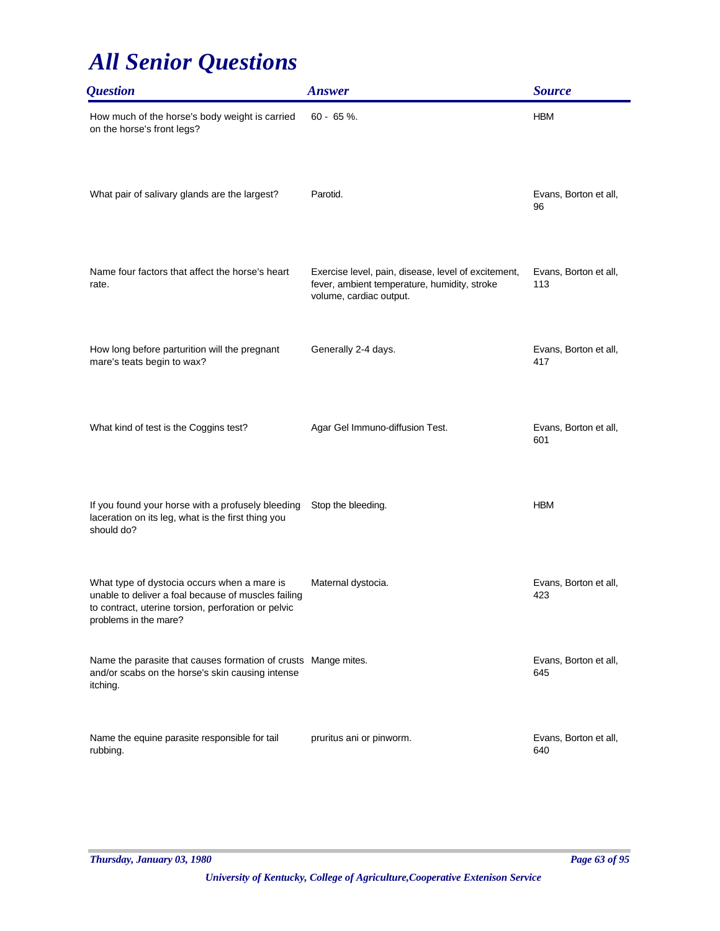| <i><b>Question</b></i>                                                                                                                                                             | <b>Answer</b>                                                                                                                  | <b>Source</b>                |
|------------------------------------------------------------------------------------------------------------------------------------------------------------------------------------|--------------------------------------------------------------------------------------------------------------------------------|------------------------------|
| How much of the horse's body weight is carried<br>on the horse's front legs?                                                                                                       | $60 - 65 \%$ .                                                                                                                 | <b>HBM</b>                   |
| What pair of salivary glands are the largest?                                                                                                                                      | Parotid.                                                                                                                       | Evans, Borton et all,<br>96  |
| Name four factors that affect the horse's heart<br>rate.                                                                                                                           | Exercise level, pain, disease, level of excitement,<br>fever, ambient temperature, humidity, stroke<br>volume, cardiac output. | Evans, Borton et all,<br>113 |
| How long before parturition will the pregnant<br>mare's teats begin to wax?                                                                                                        | Generally 2-4 days.                                                                                                            | Evans, Borton et all,<br>417 |
| What kind of test is the Coggins test?                                                                                                                                             | Agar Gel Immuno-diffusion Test.                                                                                                | Evans, Borton et all,<br>601 |
| If you found your horse with a profusely bleeding<br>laceration on its leg, what is the first thing you<br>should do?                                                              | Stop the bleeding.                                                                                                             | <b>HBM</b>                   |
| What type of dystocia occurs when a mare is<br>unable to deliver a foal because of muscles failing<br>to contract, uterine torsion, perforation or pelvic<br>problems in the mare? | Maternal dystocia.                                                                                                             | Evans, Borton et all,<br>423 |
| Name the parasite that causes formation of crusts Mange mites.<br>and/or scabs on the horse's skin causing intense<br>itching.                                                     |                                                                                                                                | Evans, Borton et all,<br>645 |
| Name the equine parasite responsible for tail<br>rubbing.                                                                                                                          | pruritus ani or pinworm.                                                                                                       | Evans, Borton et all,<br>640 |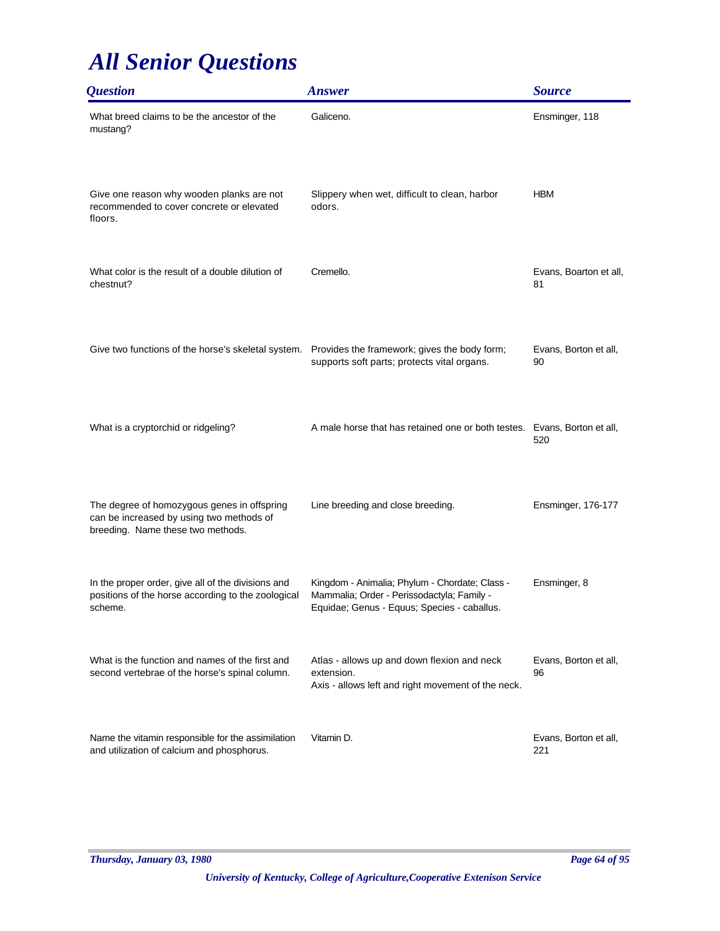| <i><b>Question</b></i>                                                                                                       | <b>Answer</b>                                                                                                                               | <b>Source</b>                |
|------------------------------------------------------------------------------------------------------------------------------|---------------------------------------------------------------------------------------------------------------------------------------------|------------------------------|
| What breed claims to be the ancestor of the<br>mustang?                                                                      | Galiceno.                                                                                                                                   | Ensminger, 118               |
| Give one reason why wooden planks are not<br>recommended to cover concrete or elevated<br>floors.                            | Slippery when wet, difficult to clean, harbor<br>odors.                                                                                     | <b>HBM</b>                   |
| What color is the result of a double dilution of<br>chestnut?                                                                | Cremello.                                                                                                                                   | Evans, Boarton et all,<br>81 |
| Give two functions of the horse's skeletal system. Provides the framework; gives the body form;                              | supports soft parts; protects vital organs.                                                                                                 | Evans, Borton et all,<br>90  |
| What is a cryptorchid or ridgeling?                                                                                          | A male horse that has retained one or both testes. Evans, Borton et all,                                                                    | 520                          |
| The degree of homozygous genes in offspring<br>can be increased by using two methods of<br>breeding. Name these two methods. | Line breeding and close breeding.                                                                                                           | Ensminger, 176-177           |
| In the proper order, give all of the divisions and<br>positions of the horse according to the zoological<br>scheme.          | Kingdom - Animalia; Phylum - Chordate; Class -<br>Mammalia; Order - Perissodactyla; Family -<br>Equidae; Genus - Equus; Species - caballus. | Ensminger, 8                 |
| What is the function and names of the first and<br>second vertebrae of the horse's spinal column.                            | Atlas - allows up and down flexion and neck<br>extension.<br>Axis - allows left and right movement of the neck.                             | Evans, Borton et all,<br>96  |
| Name the vitamin responsible for the assimilation<br>and utilization of calcium and phosphorus.                              | Vitamin D.                                                                                                                                  | Evans, Borton et all,<br>221 |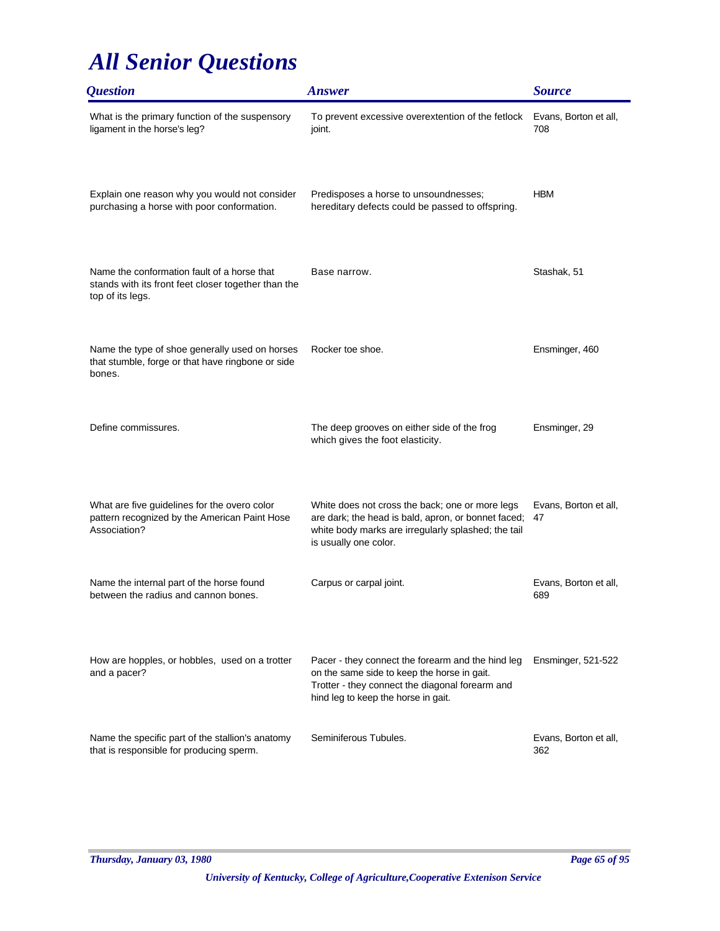| <i><b>Question</b></i>                                                                                                 | <b>Answer</b>                                                                                                                                                                              | <b>Source</b>                |
|------------------------------------------------------------------------------------------------------------------------|--------------------------------------------------------------------------------------------------------------------------------------------------------------------------------------------|------------------------------|
| What is the primary function of the suspensory<br>ligament in the horse's leg?                                         | To prevent excessive overextention of the fetlock<br>joint.                                                                                                                                | Evans, Borton et all,<br>708 |
| Explain one reason why you would not consider<br>purchasing a horse with poor conformation.                            | Predisposes a horse to unsoundnesses;<br>hereditary defects could be passed to offspring.                                                                                                  | <b>HBM</b>                   |
| Name the conformation fault of a horse that<br>stands with its front feet closer together than the<br>top of its legs. | Base narrow.                                                                                                                                                                               | Stashak, 51                  |
| Name the type of shoe generally used on horses<br>that stumble, forge or that have ringbone or side<br>bones.          | Rocker toe shoe.                                                                                                                                                                           | Ensminger, 460               |
| Define commissures.                                                                                                    | The deep grooves on either side of the frog<br>which gives the foot elasticity.                                                                                                            | Ensminger, 29                |
| What are five guidelines for the overo color<br>pattern recognized by the American Paint Hose<br>Association?          | White does not cross the back; one or more legs<br>are dark; the head is bald, apron, or bonnet faced;<br>white body marks are irregularly splashed; the tail<br>is usually one color.     | Evans, Borton et all,<br>47  |
| Name the internal part of the horse found<br>between the radius and cannon bones.                                      | Carpus or carpal joint.                                                                                                                                                                    | Evans, Borton et all,<br>689 |
| How are hopples, or hobbles, used on a trotter<br>and a pacer?                                                         | Pacer - they connect the forearm and the hind leg<br>on the same side to keep the horse in gait.<br>Trotter - they connect the diagonal forearm and<br>hind leg to keep the horse in gait. | Ensminger, 521-522           |
| Name the specific part of the stallion's anatomy<br>that is responsible for producing sperm.                           | Seminiferous Tubules.                                                                                                                                                                      | Evans, Borton et all,<br>362 |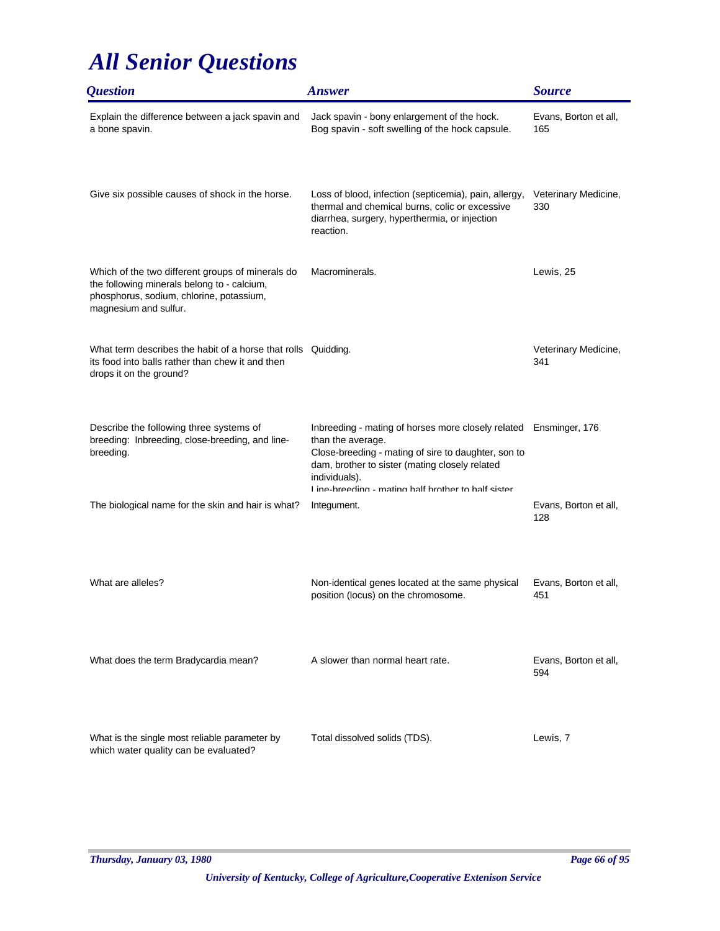| <i><b>Question</b></i>                                                                                                                                               | <b>Answer</b>                                                                                                                                                                                                                                                           | <b>Source</b>                |
|----------------------------------------------------------------------------------------------------------------------------------------------------------------------|-------------------------------------------------------------------------------------------------------------------------------------------------------------------------------------------------------------------------------------------------------------------------|------------------------------|
| Explain the difference between a jack spavin and<br>a bone spavin.                                                                                                   | Jack spavin - bony enlargement of the hock.<br>Bog spavin - soft swelling of the hock capsule.                                                                                                                                                                          | Evans, Borton et all,<br>165 |
| Give six possible causes of shock in the horse.                                                                                                                      | Loss of blood, infection (septicemia), pain, allergy,<br>thermal and chemical burns, colic or excessive<br>diarrhea, surgery, hyperthermia, or injection<br>reaction.                                                                                                   | Veterinary Medicine,<br>330  |
| Which of the two different groups of minerals do<br>the following minerals belong to - calcium,<br>phosphorus, sodium, chlorine, potassium,<br>magnesium and sulfur. | Macrominerals.                                                                                                                                                                                                                                                          | Lewis, 25                    |
| What term describes the habit of a horse that rolls Quidding.<br>its food into balls rather than chew it and then<br>drops it on the ground?                         |                                                                                                                                                                                                                                                                         | Veterinary Medicine,<br>341  |
| Describe the following three systems of<br>breeding: Inbreeding, close-breeding, and line-<br>breeding.                                                              | Inbreeding - mating of horses more closely related Ensminger, 176<br>than the average.<br>Close-breeding - mating of sire to daughter, son to<br>dam, brother to sister (mating closely related<br>individuals).<br>I ine-hreeding - mating half hrother to half sister |                              |
| The biological name for the skin and hair is what?                                                                                                                   | Integument.                                                                                                                                                                                                                                                             | Evans, Borton et all,<br>128 |
| What are alleles?                                                                                                                                                    | Non-identical genes located at the same physical<br>position (locus) on the chromosome.                                                                                                                                                                                 | Evans, Borton et all,<br>451 |
| What does the term Bradycardia mean?                                                                                                                                 | A slower than normal heart rate.                                                                                                                                                                                                                                        | Evans, Borton et all,<br>594 |
| What is the single most reliable parameter by<br>which water quality can be evaluated?                                                                               | Total dissolved solids (TDS).                                                                                                                                                                                                                                           | Lewis, 7                     |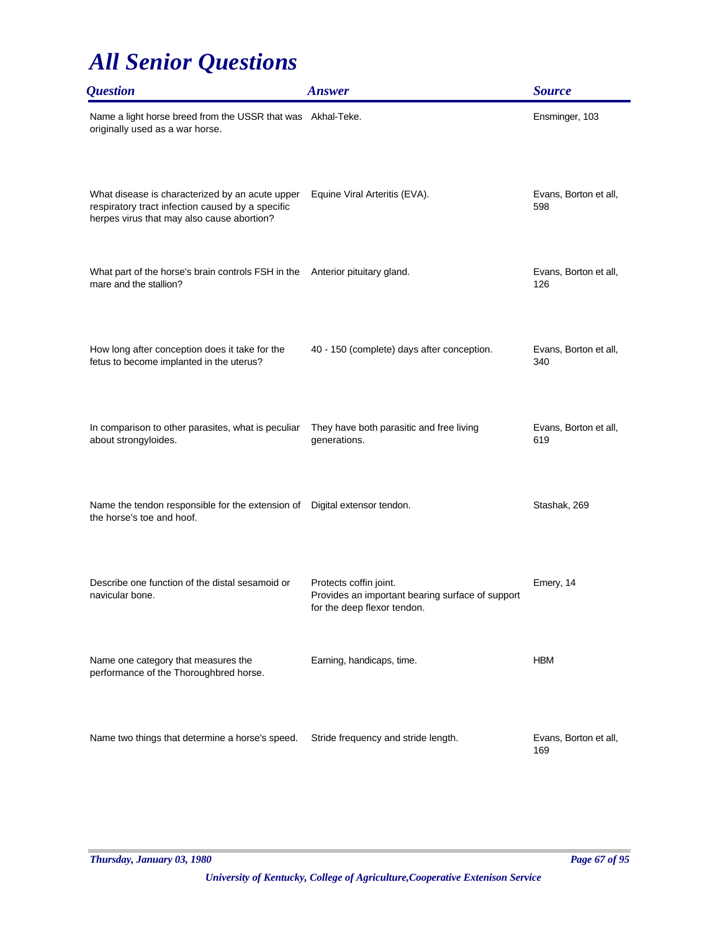| <i><b>Question</b></i>                                                                                                                            | <b>Answer</b>                                                                                             | <b>Source</b>                |
|---------------------------------------------------------------------------------------------------------------------------------------------------|-----------------------------------------------------------------------------------------------------------|------------------------------|
| Name a light horse breed from the USSR that was Akhal-Teke.<br>originally used as a war horse.                                                    |                                                                                                           | Ensminger, 103               |
| What disease is characterized by an acute upper<br>respiratory tract infection caused by a specific<br>herpes virus that may also cause abortion? | Equine Viral Arteritis (EVA).                                                                             | Evans, Borton et all,<br>598 |
| What part of the horse's brain controls FSH in the Anterior pituitary gland.<br>mare and the stallion?                                            |                                                                                                           | Evans, Borton et all,<br>126 |
| How long after conception does it take for the<br>fetus to become implanted in the uterus?                                                        | 40 - 150 (complete) days after conception.                                                                | Evans, Borton et all,<br>340 |
| In comparison to other parasites, what is peculiar<br>about strongyloides.                                                                        | They have both parasitic and free living<br>generations.                                                  | Evans, Borton et all,<br>619 |
| Name the tendon responsible for the extension of Digital extensor tendon.<br>the horse's toe and hoof.                                            |                                                                                                           | Stashak, 269                 |
| Describe one function of the distal sesamoid or<br>navicular bone.                                                                                | Protects coffin joint.<br>Provides an important bearing surface of support<br>for the deep flexor tendon. | Emery, 14                    |
| Name one category that measures the<br>performance of the Thoroughbred horse.                                                                     | Earning, handicaps, time.                                                                                 | <b>HBM</b>                   |
| Name two things that determine a horse's speed.                                                                                                   | Stride frequency and stride length.                                                                       | Evans, Borton et all,<br>169 |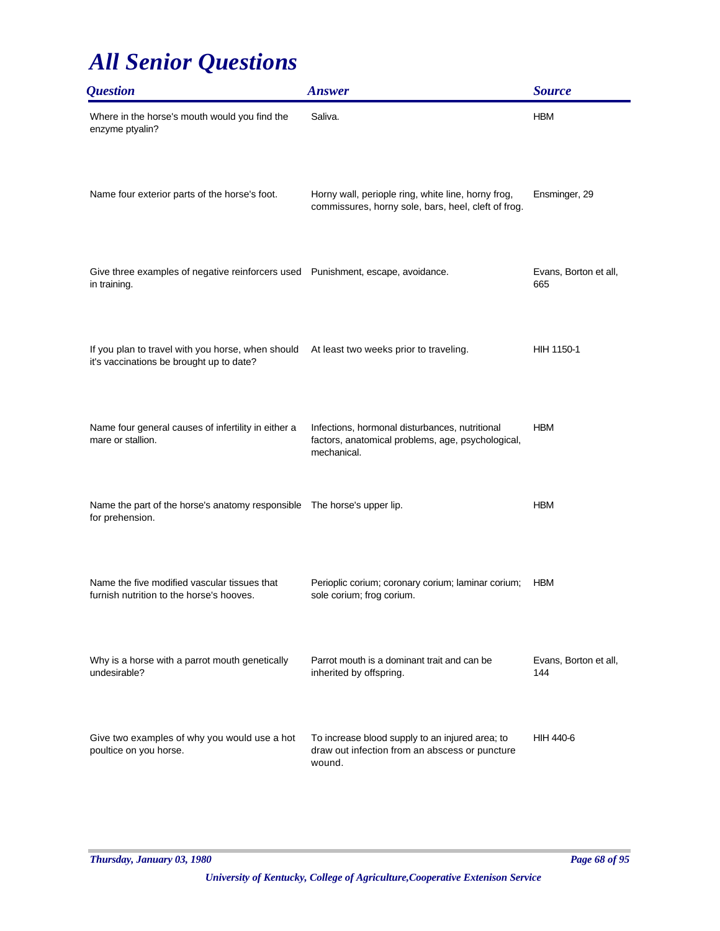| <i><b>Question</b></i>                                                                          | <b>Answer</b>                                                                                                      | <b>Source</b>                |
|-------------------------------------------------------------------------------------------------|--------------------------------------------------------------------------------------------------------------------|------------------------------|
| Where in the horse's mouth would you find the<br>enzyme ptyalin?                                | Saliva.                                                                                                            | <b>HBM</b>                   |
| Name four exterior parts of the horse's foot.                                                   | Horny wall, periople ring, white line, horny frog,<br>commissures, horny sole, bars, heel, cleft of frog.          | Ensminger, 29                |
| Give three examples of negative reinforcers used Punishment, escape, avoidance.<br>in training. |                                                                                                                    | Evans, Borton et all,<br>665 |
| If you plan to travel with you horse, when should<br>it's vaccinations be brought up to date?   | At least two weeks prior to traveling.                                                                             | HIH 1150-1                   |
| Name four general causes of infertility in either a<br>mare or stallion.                        | Infections, hormonal disturbances, nutritional<br>factors, anatomical problems, age, psychological,<br>mechanical. | <b>HBM</b>                   |
| Name the part of the horse's anatomy responsible The horse's upper lip.<br>for prehension.      |                                                                                                                    | <b>HBM</b>                   |
| Name the five modified vascular tissues that<br>furnish nutrition to the horse's hooves.        | Perioplic corium; coronary corium; laminar corium;<br>sole corium; frog corium.                                    | <b>HBM</b>                   |
| Why is a horse with a parrot mouth genetically<br>undesirable?                                  | Parrot mouth is a dominant trait and can be<br>inherited by offspring.                                             | Evans, Borton et all,<br>144 |
| Give two examples of why you would use a hot<br>poultice on you horse.                          | To increase blood supply to an injured area; to<br>draw out infection from an abscess or puncture<br>wound.        | HIH 440-6                    |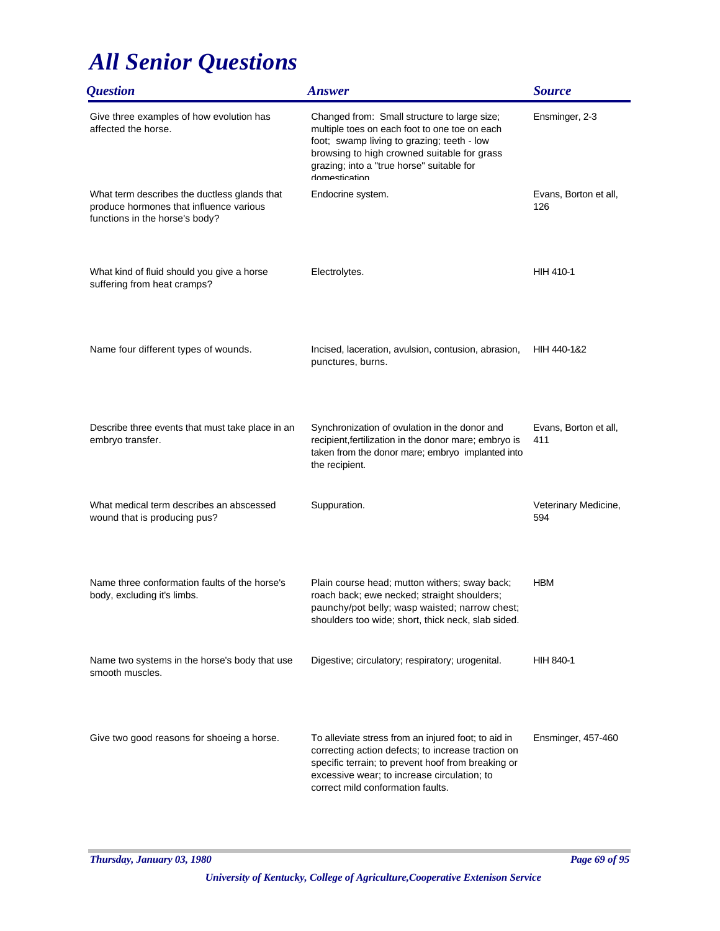| <i><b>Question</b></i>                                                                                                    | <b>Answer</b>                                                                                                                                                                                                                                            | <b>Source</b>                |
|---------------------------------------------------------------------------------------------------------------------------|----------------------------------------------------------------------------------------------------------------------------------------------------------------------------------------------------------------------------------------------------------|------------------------------|
| Give three examples of how evolution has<br>affected the horse.                                                           | Changed from: Small structure to large size;<br>multiple toes on each foot to one toe on each<br>foot; swamp living to grazing; teeth - low<br>browsing to high crowned suitable for grass<br>grazing; into a "true horse" suitable for<br>domestication | Ensminger, 2-3               |
| What term describes the ductless glands that<br>produce hormones that influence various<br>functions in the horse's body? | Endocrine system.                                                                                                                                                                                                                                        | Evans, Borton et all,<br>126 |
| What kind of fluid should you give a horse<br>suffering from heat cramps?                                                 | Electrolytes.                                                                                                                                                                                                                                            | HIH 410-1                    |
| Name four different types of wounds.                                                                                      | Incised, laceration, avulsion, contusion, abrasion,<br>punctures, burns.                                                                                                                                                                                 | HIH 440-1&2                  |
| Describe three events that must take place in an<br>embryo transfer.                                                      | Synchronization of ovulation in the donor and<br>recipient, fertilization in the donor mare; embryo is<br>taken from the donor mare; embryo implanted into<br>the recipient.                                                                             | Evans, Borton et all,<br>411 |
| What medical term describes an abscessed<br>wound that is producing pus?                                                  | Suppuration.                                                                                                                                                                                                                                             | Veterinary Medicine,<br>594  |
| Name three conformation faults of the horse's<br>body, excluding it's limbs.                                              | Plain course head; mutton withers; sway back;<br>roach back; ewe necked; straight shoulders;<br>paunchy/pot belly; wasp waisted; narrow chest;<br>shoulders too wide; short, thick neck, slab sided.                                                     | <b>HBM</b>                   |
| Name two systems in the horse's body that use<br>smooth muscles.                                                          | Digestive; circulatory; respiratory; urogenital.                                                                                                                                                                                                         | HIH 840-1                    |
| Give two good reasons for shoeing a horse.                                                                                | To alleviate stress from an injured foot; to aid in<br>correcting action defects; to increase traction on<br>specific terrain; to prevent hoof from breaking or<br>excessive wear; to increase circulation; to<br>correct mild conformation faults.      | Ensminger, 457-460           |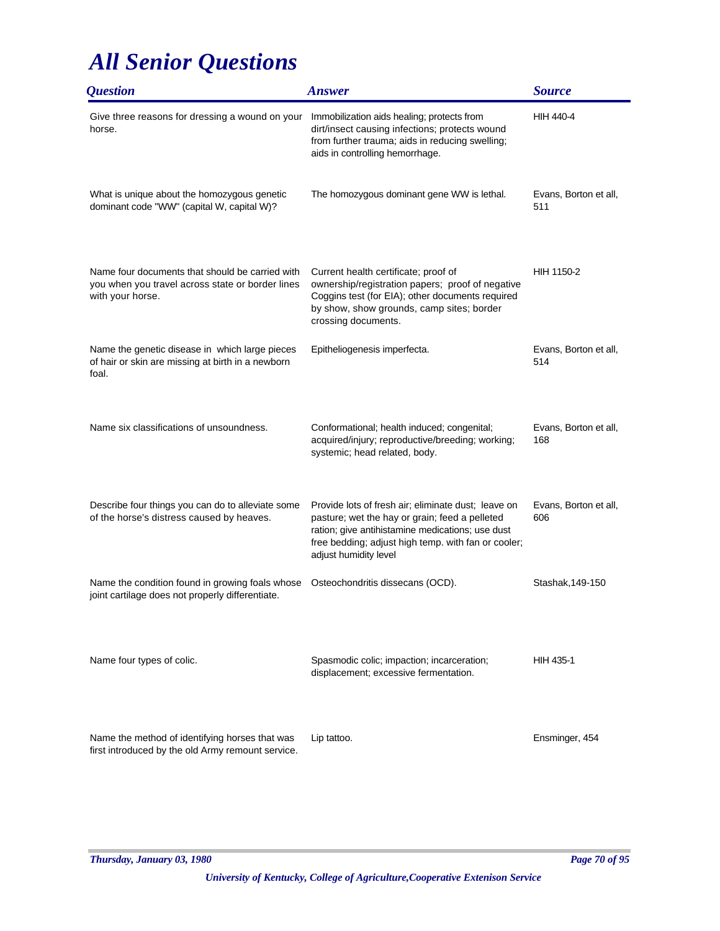| <i><b>Question</b></i>                                                                                                  | <b>Answer</b>                                                                                                                                                                                                                             | <b>Source</b>                |
|-------------------------------------------------------------------------------------------------------------------------|-------------------------------------------------------------------------------------------------------------------------------------------------------------------------------------------------------------------------------------------|------------------------------|
| Give three reasons for dressing a wound on your<br>horse.                                                               | Immobilization aids healing; protects from<br>dirt/insect causing infections; protects wound<br>from further trauma; aids in reducing swelling;<br>aids in controlling hemorrhage.                                                        | HIH 440-4                    |
| What is unique about the homozygous genetic<br>dominant code "WW" (capital W, capital W)?                               | The homozygous dominant gene WW is lethal.                                                                                                                                                                                                | Evans, Borton et all,<br>511 |
| Name four documents that should be carried with<br>you when you travel across state or border lines<br>with your horse. | Current health certificate; proof of<br>ownership/registration papers; proof of negative<br>Coggins test (for EIA); other documents required<br>by show, show grounds, camp sites; border<br>crossing documents.                          | HIH 1150-2                   |
| Name the genetic disease in which large pieces<br>of hair or skin are missing at birth in a newborn<br>foal.            | Epitheliogenesis imperfecta.                                                                                                                                                                                                              | Evans, Borton et all,<br>514 |
| Name six classifications of unsoundness.                                                                                | Conformational; health induced; congenital;<br>acquired/injury; reproductive/breeding; working;<br>systemic; head related, body.                                                                                                          | Evans, Borton et all,<br>168 |
| Describe four things you can do to alleviate some<br>of the horse's distress caused by heaves.                          | Provide lots of fresh air; eliminate dust; leave on<br>pasture; wet the hay or grain; feed a pelleted<br>ration; give antihistamine medications; use dust<br>free bedding; adjust high temp. with fan or cooler;<br>adjust humidity level | Evans, Borton et all,<br>606 |
| Name the condition found in growing foals whose<br>joint cartilage does not properly differentiate.                     | Osteochondritis dissecans (OCD).                                                                                                                                                                                                          | Stashak, 149-150             |
| Name four types of colic.                                                                                               | Spasmodic colic; impaction; incarceration;<br>displacement; excessive fermentation.                                                                                                                                                       | <b>HIH 435-1</b>             |
| Name the method of identifying horses that was<br>first introduced by the old Army remount service.                     | Lip tattoo.                                                                                                                                                                                                                               | Ensminger, 454               |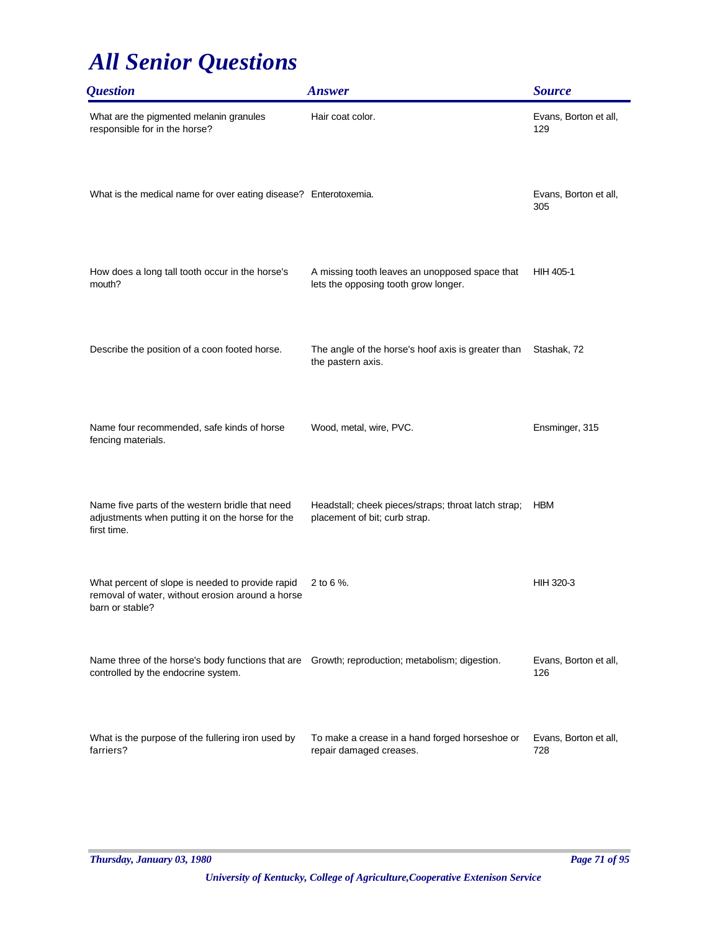| <i><b>Question</b></i>                                                                                                                | <b>Answer</b>                                                                          | <b>Source</b>                |
|---------------------------------------------------------------------------------------------------------------------------------------|----------------------------------------------------------------------------------------|------------------------------|
| What are the pigmented melanin granules<br>responsible for in the horse?                                                              | Hair coat color.                                                                       | Evans, Borton et all,<br>129 |
| What is the medical name for over eating disease? Enterotoxemia.                                                                      |                                                                                        | Evans, Borton et all,<br>305 |
| How does a long tall tooth occur in the horse's<br>mouth?                                                                             | A missing tooth leaves an unopposed space that<br>lets the opposing tooth grow longer. | HIH 405-1                    |
| Describe the position of a coon footed horse.                                                                                         | The angle of the horse's hoof axis is greater than<br>the pastern axis.                | Stashak, 72                  |
| Name four recommended, safe kinds of horse<br>fencing materials.                                                                      | Wood, metal, wire, PVC.                                                                | Ensminger, 315               |
| Name five parts of the western bridle that need<br>adjustments when putting it on the horse for the<br>first time.                    | Headstall; cheek pieces/straps; throat latch strap;<br>placement of bit; curb strap.   | <b>HBM</b>                   |
| What percent of slope is needed to provide rapid<br>removal of water, without erosion around a horse<br>barn or stable?               | 2 to 6 %.                                                                              | HIH 320-3                    |
| Name three of the horse's body functions that are Growth; reproduction; metabolism; digestion.<br>controlled by the endocrine system. |                                                                                        | Evans, Borton et all,<br>126 |
| What is the purpose of the fullering iron used by<br>farriers?                                                                        | To make a crease in a hand forged horseshoe or<br>repair damaged creases.              | Evans, Borton et all,<br>728 |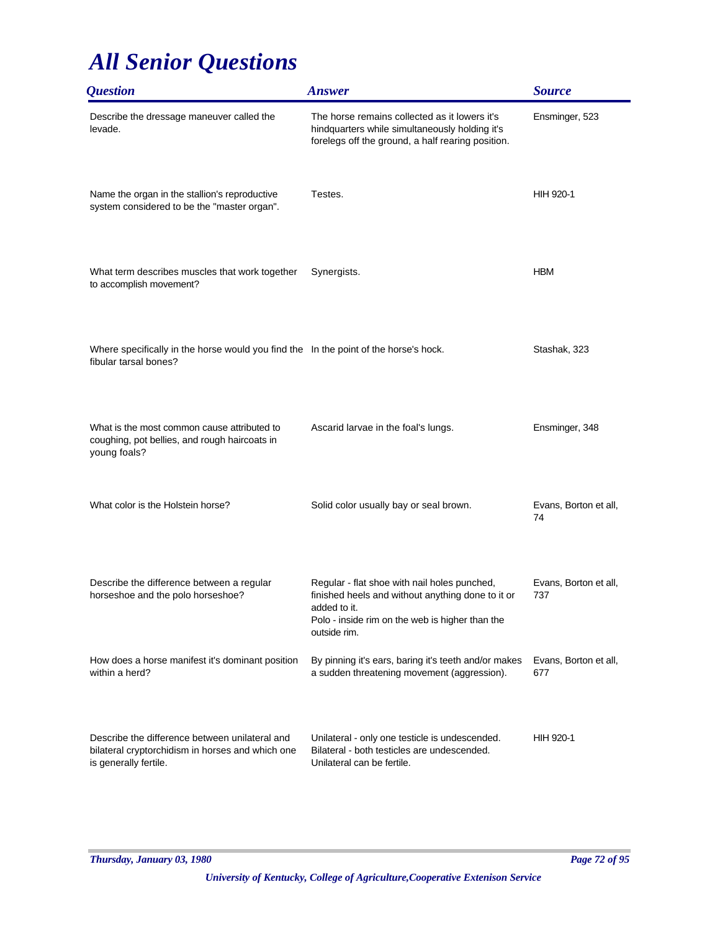| <i><b>Question</b></i>                                                                                                      | <b>Answer</b>                                                                                                                                                                        | <b>Source</b>                |
|-----------------------------------------------------------------------------------------------------------------------------|--------------------------------------------------------------------------------------------------------------------------------------------------------------------------------------|------------------------------|
| Describe the dressage maneuver called the<br>levade.                                                                        | The horse remains collected as it lowers it's<br>hindquarters while simultaneously holding it's<br>forelegs off the ground, a half rearing position.                                 | Ensminger, 523               |
| Name the organ in the stallion's reproductive<br>system considered to be the "master organ".                                | Testes.                                                                                                                                                                              | HIH 920-1                    |
| What term describes muscles that work together<br>to accomplish movement?                                                   | Synergists.                                                                                                                                                                          | <b>HBM</b>                   |
| Where specifically in the horse would you find the In the point of the horse's hock.<br>fibular tarsal bones?               |                                                                                                                                                                                      | Stashak, 323                 |
| What is the most common cause attributed to<br>coughing, pot bellies, and rough haircoats in<br>young foals?                | Ascarid larvae in the foal's lungs.                                                                                                                                                  | Ensminger, 348               |
| What color is the Holstein horse?                                                                                           | Solid color usually bay or seal brown.                                                                                                                                               | Evans, Borton et all,<br>74  |
| Describe the difference between a regular<br>horseshoe and the polo horseshoe?                                              | Regular - flat shoe with nail holes punched,<br>finished heels and without anything done to it or<br>added to it.<br>Polo - inside rim on the web is higher than the<br>outside rim. | Evans, Borton et all,<br>737 |
| How does a horse manifest it's dominant position<br>within a herd?                                                          | By pinning it's ears, baring it's teeth and/or makes<br>a sudden threatening movement (aggression).                                                                                  | Evans, Borton et all,<br>677 |
| Describe the difference between unilateral and<br>bilateral cryptorchidism in horses and which one<br>is generally fertile. | Unilateral - only one testicle is undescended.<br>Bilateral - both testicles are undescended.<br>Unilateral can be fertile.                                                          | HIH 920-1                    |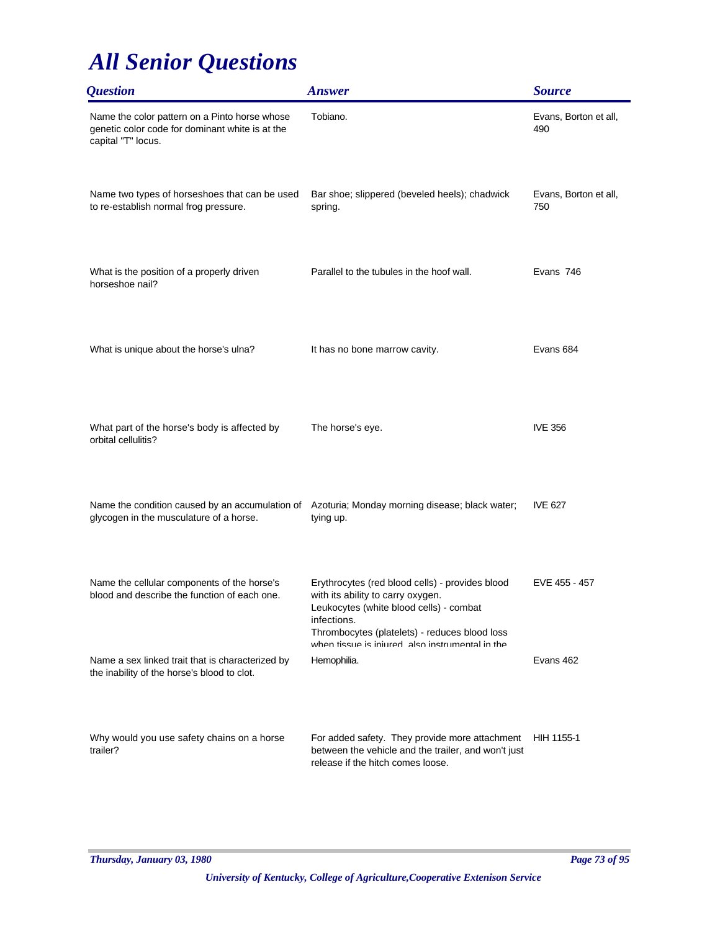| <i><b>Question</b></i>                                                                                                                    | <b>Answer</b>                                                                                                                                                                                   | <b>Source</b>                |
|-------------------------------------------------------------------------------------------------------------------------------------------|-------------------------------------------------------------------------------------------------------------------------------------------------------------------------------------------------|------------------------------|
| Name the color pattern on a Pinto horse whose<br>genetic color code for dominant white is at the<br>capital "T" locus.                    | Tobiano.                                                                                                                                                                                        | Evans, Borton et all,<br>490 |
| Name two types of horseshoes that can be used<br>to re-establish normal frog pressure.                                                    | Bar shoe; slippered (beveled heels); chadwick<br>spring.                                                                                                                                        | Evans, Borton et all,<br>750 |
| What is the position of a properly driven<br>horseshoe nail?                                                                              | Parallel to the tubules in the hoof wall.                                                                                                                                                       | Evans 746                    |
| What is unique about the horse's ulna?                                                                                                    | It has no bone marrow cavity.                                                                                                                                                                   | Evans 684                    |
| What part of the horse's body is affected by<br>orbital cellulitis?                                                                       | The horse's eye.                                                                                                                                                                                | <b>IVE 356</b>               |
| Name the condition caused by an accumulation of Azoturia; Monday morning disease; black water;<br>glycogen in the musculature of a horse. | tying up.                                                                                                                                                                                       | <b>IVE 627</b>               |
| Name the cellular components of the horse's<br>blood and describe the function of each one.                                               | Erythrocytes (red blood cells) - provides blood<br>with its ability to carry oxygen.<br>Leukocytes (white blood cells) - combat<br>infections.<br>Thrombocytes (platelets) - reduces blood loss | EVE 455 - 457                |
| Name a sex linked trait that is characterized by<br>the inability of the horse's blood to clot.                                           | when tissue is injured also instrumental in the<br>Hemophilia.                                                                                                                                  | Evans 462                    |
| Why would you use safety chains on a horse<br>trailer?                                                                                    | For added safety. They provide more attachment<br>between the vehicle and the trailer, and won't just<br>release if the hitch comes loose.                                                      | HIH 1155-1                   |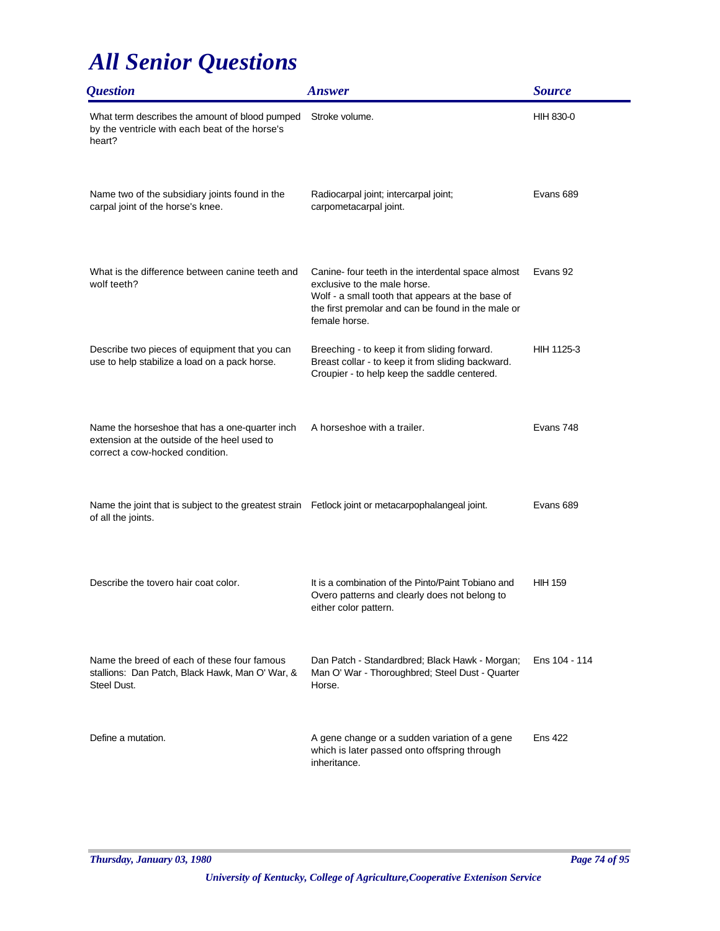| <i><b>Question</b></i>                                                                                                            | <b>Answer</b>                                                                                                                                                                                                 | <b>Source</b>    |
|-----------------------------------------------------------------------------------------------------------------------------------|---------------------------------------------------------------------------------------------------------------------------------------------------------------------------------------------------------------|------------------|
| What term describes the amount of blood pumped<br>by the ventricle with each beat of the horse's<br>heart?                        | Stroke volume.                                                                                                                                                                                                | <b>HIH 830-0</b> |
| Name two of the subsidiary joints found in the<br>carpal joint of the horse's knee.                                               | Radiocarpal joint; intercarpal joint;<br>carpometacarpal joint.                                                                                                                                               | Evans 689        |
| What is the difference between canine teeth and<br>wolf teeth?                                                                    | Canine- four teeth in the interdental space almost<br>exclusive to the male horse.<br>Wolf - a small tooth that appears at the base of<br>the first premolar and can be found in the male or<br>female horse. | Evans 92         |
| Describe two pieces of equipment that you can<br>use to help stabilize a load on a pack horse.                                    | Breeching - to keep it from sliding forward.<br>Breast collar - to keep it from sliding backward.<br>Croupier - to help keep the saddle centered.                                                             | HIH 1125-3       |
| Name the horseshoe that has a one-quarter inch<br>extension at the outside of the heel used to<br>correct a cow-hocked condition. | A horseshoe with a trailer.                                                                                                                                                                                   | Evans 748        |
| Name the joint that is subject to the greatest strain Fetlock joint or metacarpophalangeal joint.<br>of all the joints.           |                                                                                                                                                                                                               | Evans 689        |
| Describe the tovero hair coat color.                                                                                              | It is a combination of the Pinto/Paint Tobiano and<br>Overo patterns and clearly does not belong to<br>either color pattern.                                                                                  | <b>HIH 159</b>   |
| Name the breed of each of these four famous<br>stallions: Dan Patch, Black Hawk, Man O' War, &<br>Steel Dust.                     | Dan Patch - Standardbred; Black Hawk - Morgan;<br>Man O' War - Thoroughbred; Steel Dust - Quarter<br>Horse.                                                                                                   | Ens 104 - 114    |
| Define a mutation.                                                                                                                | A gene change or a sudden variation of a gene<br>which is later passed onto offspring through<br>inheritance.                                                                                                 | <b>Ens 422</b>   |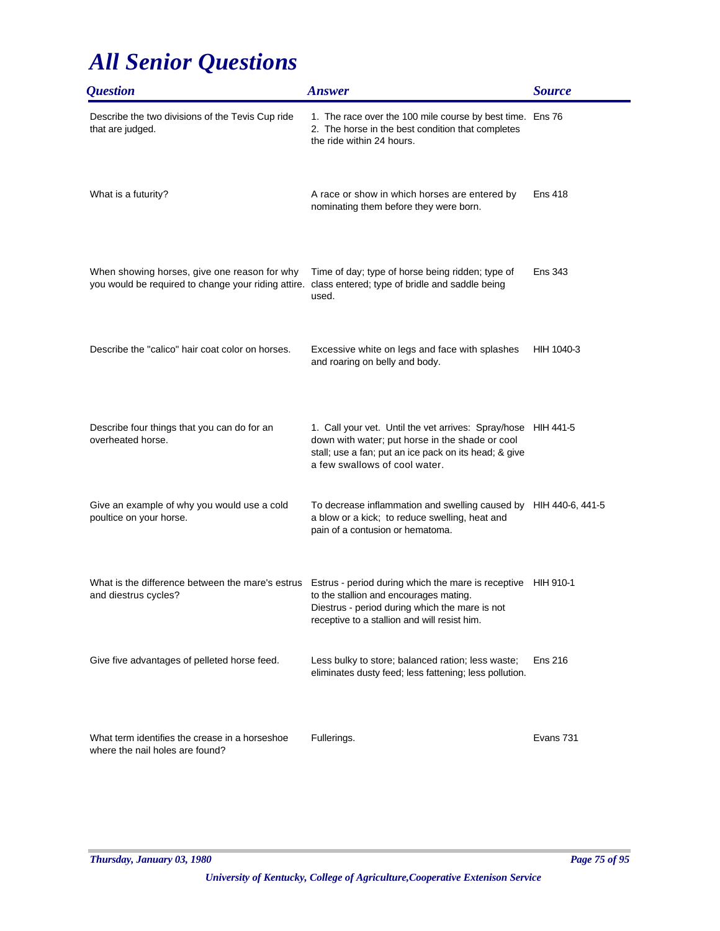| <i><b>Question</b></i>                                                                              | <b>Answer</b>                                                                                                                                                                                              | <b>Source</b>  |
|-----------------------------------------------------------------------------------------------------|------------------------------------------------------------------------------------------------------------------------------------------------------------------------------------------------------------|----------------|
| Describe the two divisions of the Tevis Cup ride<br>that are judged.                                | 1. The race over the 100 mile course by best time. Ens 76<br>2. The horse in the best condition that completes<br>the ride within 24 hours.                                                                |                |
| What is a futurity?                                                                                 | A race or show in which horses are entered by<br>nominating them before they were born.                                                                                                                    | Ens 418        |
| When showing horses, give one reason for why<br>you would be required to change your riding attire. | Time of day; type of horse being ridden; type of<br>class entered; type of bridle and saddle being<br>used.                                                                                                | <b>Ens 343</b> |
| Describe the "calico" hair coat color on horses.                                                    | Excessive white on legs and face with splashes<br>and roaring on belly and body.                                                                                                                           | HIH 1040-3     |
| Describe four things that you can do for an<br>overheated horse.                                    | 1. Call your vet. Until the vet arrives: Spray/hose HIH 441-5<br>down with water; put horse in the shade or cool<br>stall; use a fan; put an ice pack on its head; & give<br>a few swallows of cool water. |                |
| Give an example of why you would use a cold<br>poultice on your horse.                              | To decrease inflammation and swelling caused by HIH 440-6, 441-5<br>a blow or a kick; to reduce swelling, heat and<br>pain of a contusion or hematoma.                                                     |                |
| What is the difference between the mare's estrus<br>and diestrus cycles?                            | Estrus - period during which the mare is receptive HIH 910-1<br>to the stallion and encourages mating.<br>Diestrus - period during which the mare is not<br>receptive to a stallion and will resist him.   |                |
| Give five advantages of pelleted horse feed.                                                        | Less bulky to store; balanced ration; less waste;<br>eliminates dusty feed; less fattening; less pollution.                                                                                                | <b>Ens 216</b> |
| What term identifies the crease in a horseshoe<br>where the nail holes are found?                   | Fullerings.                                                                                                                                                                                                | Evans 731      |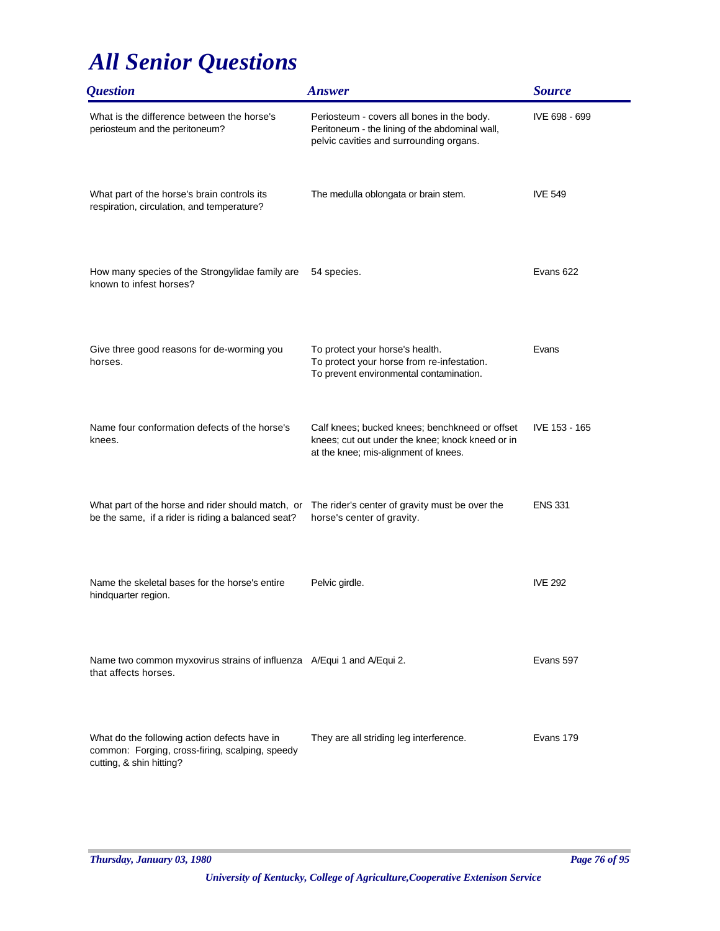| <i><b>Question</b></i>                                                                                                      | <b>Answer</b>                                                                                                                              | <b>Source</b>  |
|-----------------------------------------------------------------------------------------------------------------------------|--------------------------------------------------------------------------------------------------------------------------------------------|----------------|
| What is the difference between the horse's<br>periosteum and the peritoneum?                                                | Periosteum - covers all bones in the body.<br>Peritoneum - the lining of the abdominal wall,<br>pelvic cavities and surrounding organs.    | IVE 698 - 699  |
| What part of the horse's brain controls its<br>respiration, circulation, and temperature?                                   | The medulla oblongata or brain stem.                                                                                                       | <b>IVE 549</b> |
| How many species of the Strongylidae family are<br>known to infest horses?                                                  | 54 species.                                                                                                                                | Evans 622      |
| Give three good reasons for de-worming you<br>horses.                                                                       | To protect your horse's health.<br>To protect your horse from re-infestation.<br>To prevent environmental contamination.                   | Evans          |
| Name four conformation defects of the horse's<br>knees.                                                                     | Calf knees; bucked knees; benchkneed or offset<br>knees; cut out under the knee; knock kneed or in<br>at the knee; mis-alignment of knees. | IVE 153 - 165  |
| What part of the horse and rider should match, or<br>be the same, if a rider is riding a balanced seat?                     | The rider's center of gravity must be over the<br>horse's center of gravity.                                                               | <b>ENS 331</b> |
| Name the skeletal bases for the horse's entire<br>hindquarter region.                                                       | Pelvic girdle.                                                                                                                             | <b>IVE 292</b> |
| Name two common myxovirus strains of influenza A/Equi 1 and A/Equi 2.<br>that affects horses.                               |                                                                                                                                            | Evans 597      |
| What do the following action defects have in<br>common: Forging, cross-firing, scalping, speedy<br>cutting, & shin hitting? | They are all striding leg interference.                                                                                                    | Evans 179      |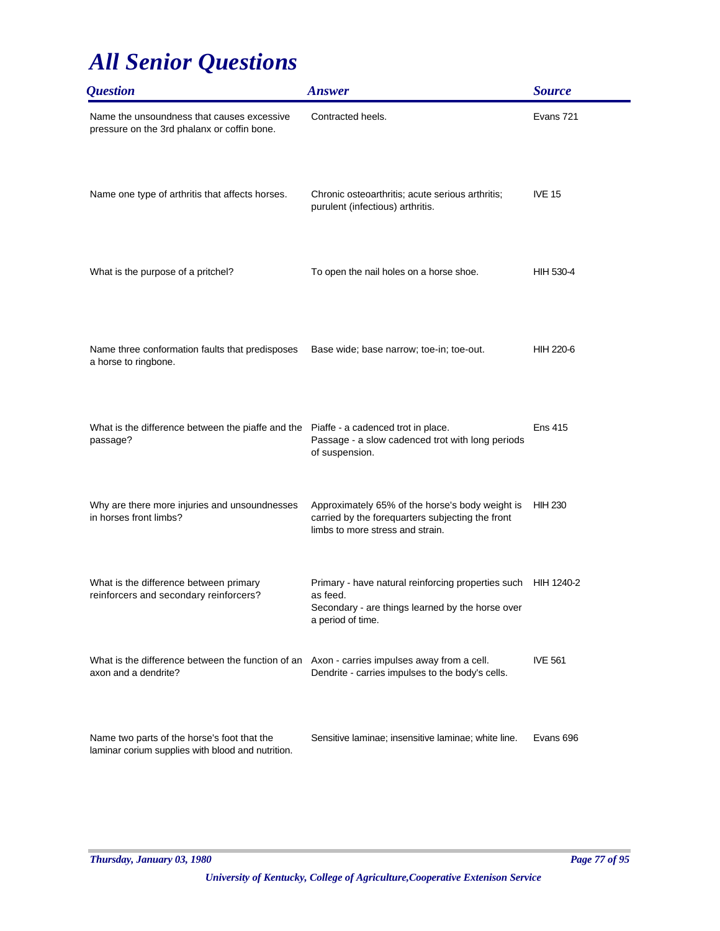| <i><b>Question</b></i>                                                                           | <b>Answer</b>                                                                                                                                      | <b>Source</b>  |
|--------------------------------------------------------------------------------------------------|----------------------------------------------------------------------------------------------------------------------------------------------------|----------------|
| Name the unsoundness that causes excessive<br>pressure on the 3rd phalanx or coffin bone.        | Contracted heels.                                                                                                                                  | Evans 721      |
| Name one type of arthritis that affects horses.                                                  | Chronic osteoarthritis; acute serious arthritis;<br>purulent (infectious) arthritis.                                                               | <b>IVE 15</b>  |
| What is the purpose of a pritchel?                                                               | To open the nail holes on a horse shoe.                                                                                                            | HIH 530-4      |
| Name three conformation faults that predisposes<br>a horse to ringbone.                          | Base wide; base narrow; toe-in; toe-out.                                                                                                           | HIH 220-6      |
| What is the difference between the piaffe and the Piaffe - a cadenced trot in place.<br>passage? | Passage - a slow cadenced trot with long periods<br>of suspension.                                                                                 | <b>Ens 415</b> |
| Why are there more injuries and unsoundnesses<br>in horses front limbs?                          | Approximately 65% of the horse's body weight is<br>carried by the forequarters subjecting the front<br>limbs to more stress and strain.            | <b>HIH 230</b> |
| What is the difference between primary<br>reinforcers and secondary reinforcers?                 | Primary - have natural reinforcing properties such HIH 1240-2<br>as feed.<br>Secondary - are things learned by the horse over<br>a period of time. |                |
| What is the difference between the function of an<br>axon and a dendrite?                        | Axon - carries impulses away from a cell.<br>Dendrite - carries impulses to the body's cells.                                                      | <b>IVE 561</b> |
| Name two parts of the horse's foot that the<br>laminar corium supplies with blood and nutrition. | Sensitive laminae; insensitive laminae; white line.                                                                                                | Evans 696      |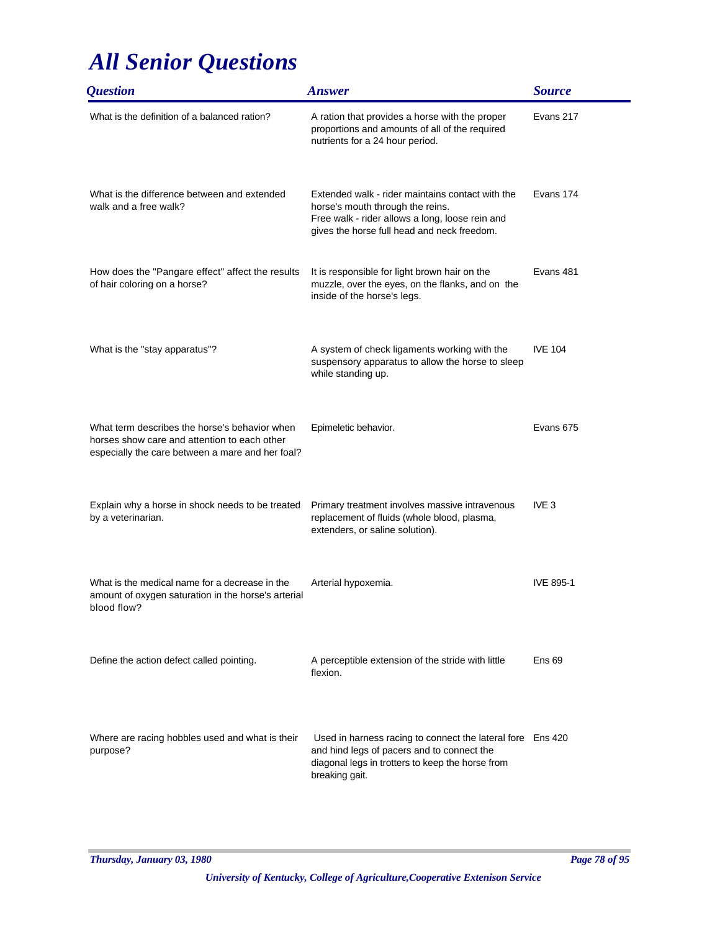| <i><b>Question</b></i>                                                                                                                            | <b>Answer</b>                                                                                                                                                                          | <b>Source</b>    |
|---------------------------------------------------------------------------------------------------------------------------------------------------|----------------------------------------------------------------------------------------------------------------------------------------------------------------------------------------|------------------|
| What is the definition of a balanced ration?                                                                                                      | A ration that provides a horse with the proper<br>proportions and amounts of all of the required<br>nutrients for a 24 hour period.                                                    | Evans 217        |
| What is the difference between and extended<br>walk and a free walk?                                                                              | Extended walk - rider maintains contact with the<br>horse's mouth through the reins.<br>Free walk - rider allows a long, loose rein and<br>gives the horse full head and neck freedom. | Evans 174        |
| How does the "Pangare effect" affect the results<br>of hair coloring on a horse?                                                                  | It is responsible for light brown hair on the<br>muzzle, over the eyes, on the flanks, and on the<br>inside of the horse's legs.                                                       | Evans 481        |
| What is the "stay apparatus"?                                                                                                                     | A system of check ligaments working with the<br>suspensory apparatus to allow the horse to sleep<br>while standing up.                                                                 | <b>IVE 104</b>   |
| What term describes the horse's behavior when<br>horses show care and attention to each other<br>especially the care between a mare and her foal? | Epimeletic behavior.                                                                                                                                                                   | Evans 675        |
| Explain why a horse in shock needs to be treated<br>by a veterinarian.                                                                            | Primary treatment involves massive intravenous<br>replacement of fluids (whole blood, plasma,<br>extenders, or saline solution).                                                       | IVE <sub>3</sub> |
| What is the medical name for a decrease in the<br>amount of oxygen saturation in the horse's arterial<br>blood flow?                              | Arterial hypoxemia.                                                                                                                                                                    | <b>IVE 895-1</b> |
| Define the action defect called pointing.                                                                                                         | A perceptible extension of the stride with little<br>flexion.                                                                                                                          | Ens 69           |
| Where are racing hobbles used and what is their<br>purpose?                                                                                       | Used in harness racing to connect the lateral fore Ens 420<br>and hind legs of pacers and to connect the<br>diagonal legs in trotters to keep the horse from<br>breaking gait.         |                  |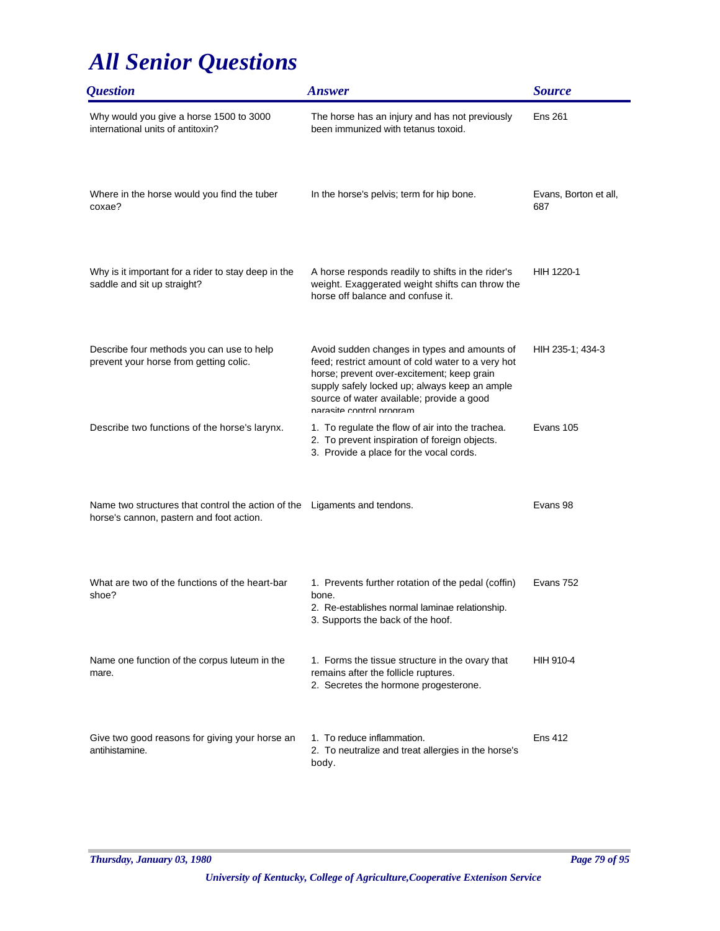| <i><b>Question</b></i>                                                                                                | <b>Answer</b>                                                                                                                                                                                                                                                             | <b>Source</b>                |
|-----------------------------------------------------------------------------------------------------------------------|---------------------------------------------------------------------------------------------------------------------------------------------------------------------------------------------------------------------------------------------------------------------------|------------------------------|
| Why would you give a horse 1500 to 3000<br>international units of antitoxin?                                          | The horse has an injury and has not previously<br>been immunized with tetanus toxoid.                                                                                                                                                                                     | <b>Ens 261</b>               |
| Where in the horse would you find the tuber<br>coxae?                                                                 | In the horse's pelvis; term for hip bone.                                                                                                                                                                                                                                 | Evans, Borton et all,<br>687 |
| Why is it important for a rider to stay deep in the<br>saddle and sit up straight?                                    | A horse responds readily to shifts in the rider's<br>weight. Exaggerated weight shifts can throw the<br>horse off balance and confuse it.                                                                                                                                 | HIH 1220-1                   |
| Describe four methods you can use to help<br>prevent your horse from getting colic.                                   | Avoid sudden changes in types and amounts of<br>feed; restrict amount of cold water to a very hot<br>horse; prevent over-excitement; keep grain<br>supply safely locked up; always keep an ample<br>source of water available; provide a good<br>narasite control program | HIH 235-1; 434-3             |
| Describe two functions of the horse's larynx.                                                                         | 1. To regulate the flow of air into the trachea.<br>2. To prevent inspiration of foreign objects.<br>3. Provide a place for the vocal cords.                                                                                                                              | Evans 105                    |
| Name two structures that control the action of the Ligaments and tendons.<br>horse's cannon, pastern and foot action. |                                                                                                                                                                                                                                                                           | Evans 98                     |
| What are two of the functions of the heart-bar<br>shoe?                                                               | 1. Prevents further rotation of the pedal (coffin)<br>bone.<br>2. Re-establishes normal laminae relationship.<br>3. Supports the back of the hoof.                                                                                                                        | Evans 752                    |
| Name one function of the corpus luteum in the<br>mare.                                                                | 1. Forms the tissue structure in the ovary that<br>remains after the follicle ruptures.<br>2. Secretes the hormone progesterone.                                                                                                                                          | HIH 910-4                    |
| Give two good reasons for giving your horse an<br>antihistamine.                                                      | 1. To reduce inflammation.<br>2. To neutralize and treat allergies in the horse's<br>body.                                                                                                                                                                                | <b>Ens 412</b>               |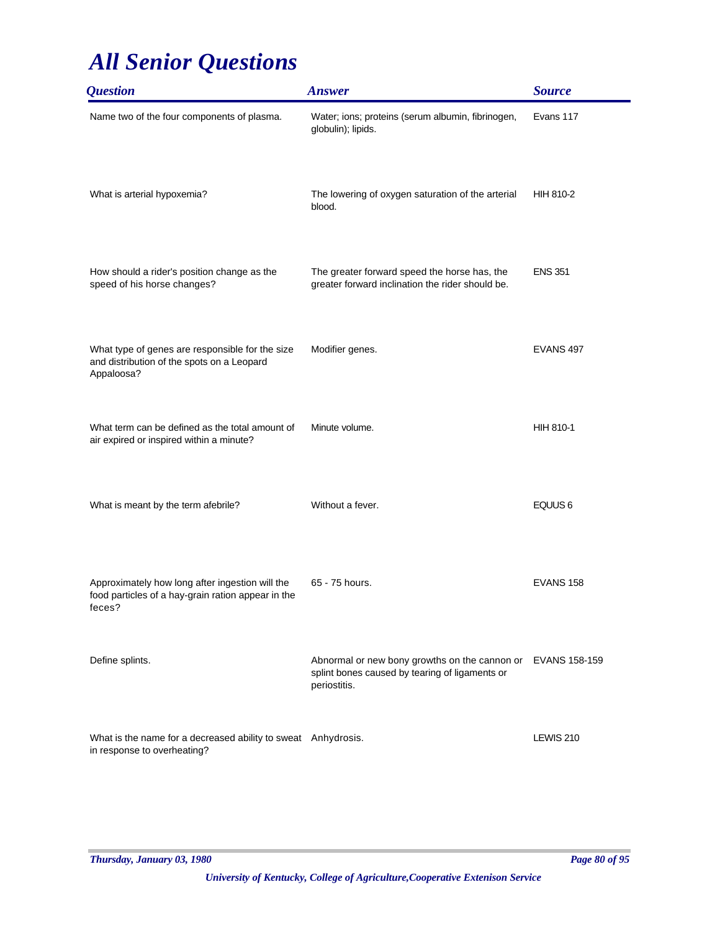| <b>Question</b>                                                                                                 | <b>Answer</b>                                                                                                                 | <b>Source</b>      |
|-----------------------------------------------------------------------------------------------------------------|-------------------------------------------------------------------------------------------------------------------------------|--------------------|
| Name two of the four components of plasma.                                                                      | Water; ions; proteins (serum albumin, fibrinogen,<br>globulin); lipids.                                                       | Evans 117          |
| What is arterial hypoxemia?                                                                                     | The lowering of oxygen saturation of the arterial<br>blood.                                                                   | HIH 810-2          |
| How should a rider's position change as the<br>speed of his horse changes?                                      | The greater forward speed the horse has, the<br>greater forward inclination the rider should be.                              | <b>ENS 351</b>     |
| What type of genes are responsible for the size<br>and distribution of the spots on a Leopard<br>Appaloosa?     | Modifier genes.                                                                                                               | EVANS 497          |
| What term can be defined as the total amount of<br>air expired or inspired within a minute?                     | Minute volume.                                                                                                                | <b>HIH 810-1</b>   |
| What is meant by the term afebrile?                                                                             | Without a fever.                                                                                                              | EQUUS <sub>6</sub> |
| Approximately how long after ingestion will the<br>food particles of a hay-grain ration appear in the<br>feces? | 65 - 75 hours.                                                                                                                | EVANS 158          |
| Define splints.                                                                                                 | Abnormal or new bony growths on the cannon or EVANS 158-159<br>splint bones caused by tearing of ligaments or<br>periostitis. |                    |
| What is the name for a decreased ability to sweat Anhydrosis.<br>in response to overheating?                    |                                                                                                                               | LEWIS 210          |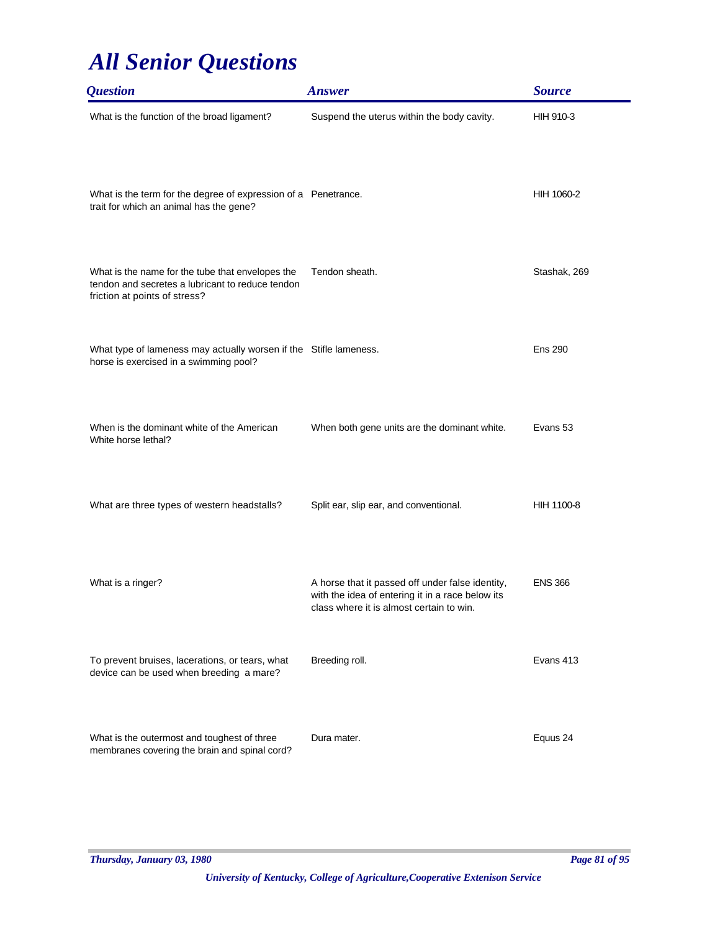| <i><b>Question</b></i>                                                                                                                | <b>Answer</b>                                                                                                                                    | <b>Source</b>  |
|---------------------------------------------------------------------------------------------------------------------------------------|--------------------------------------------------------------------------------------------------------------------------------------------------|----------------|
| What is the function of the broad ligament?                                                                                           | Suspend the uterus within the body cavity.                                                                                                       | HIH 910-3      |
| What is the term for the degree of expression of a Penetrance.<br>trait for which an animal has the gene?                             |                                                                                                                                                  | HIH 1060-2     |
| What is the name for the tube that envelopes the<br>tendon and secretes a lubricant to reduce tendon<br>friction at points of stress? | Tendon sheath.                                                                                                                                   | Stashak, 269   |
| What type of lameness may actually worsen if the Stifle lameness.<br>horse is exercised in a swimming pool?                           |                                                                                                                                                  | <b>Ens 290</b> |
| When is the dominant white of the American<br>White horse lethal?                                                                     | When both gene units are the dominant white.                                                                                                     | Evans 53       |
| What are three types of western headstalls?                                                                                           | Split ear, slip ear, and conventional.                                                                                                           | HIH 1100-8     |
| What is a ringer?                                                                                                                     | A horse that it passed off under false identity,<br>with the idea of entering it in a race below its<br>class where it is almost certain to win. | <b>ENS 366</b> |
| To prevent bruises, lacerations, or tears, what<br>device can be used when breeding a mare?                                           | Breeding roll.                                                                                                                                   | Evans 413      |
| What is the outermost and toughest of three<br>membranes covering the brain and spinal cord?                                          | Dura mater.                                                                                                                                      | Equus 24       |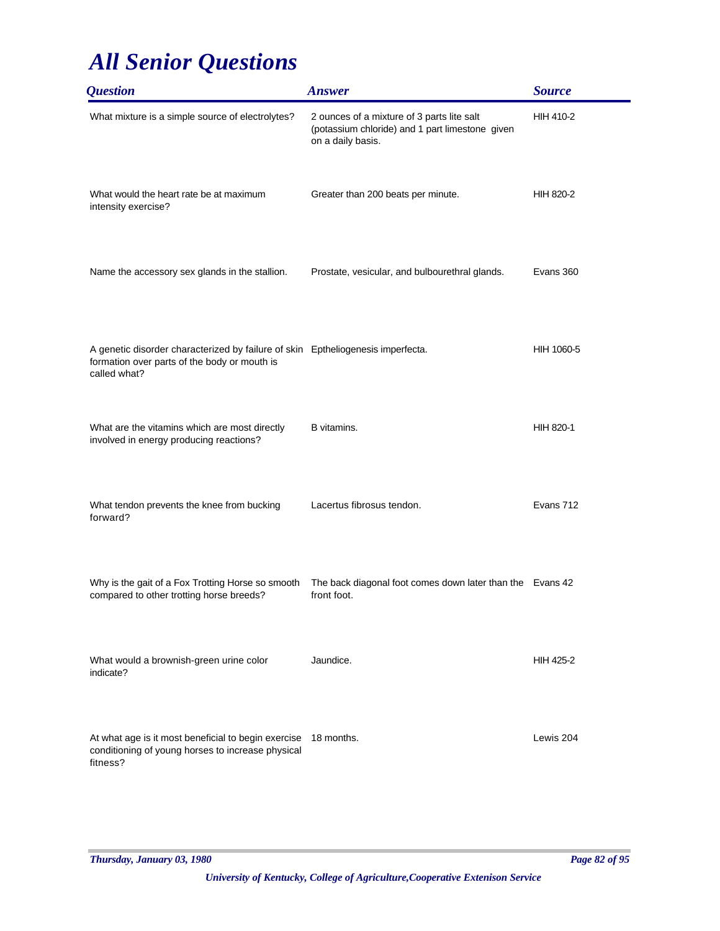| <i><b>Question</b></i>                                                                                                                          | <b>Answer</b>                                                                                                      | <b>Source</b>    |
|-------------------------------------------------------------------------------------------------------------------------------------------------|--------------------------------------------------------------------------------------------------------------------|------------------|
| What mixture is a simple source of electrolytes?                                                                                                | 2 ounces of a mixture of 3 parts lite salt<br>(potassium chloride) and 1 part limestone given<br>on a daily basis. | <b>HIH 410-2</b> |
| What would the heart rate be at maximum<br>intensity exercise?                                                                                  | Greater than 200 beats per minute.                                                                                 | HIH 820-2        |
| Name the accessory sex glands in the stallion.                                                                                                  | Prostate, vesicular, and bulbourethral glands.                                                                     | Evans 360        |
| A genetic disorder characterized by failure of skin Eptheliogenesis imperfecta.<br>formation over parts of the body or mouth is<br>called what? |                                                                                                                    | HIH 1060-5       |
| What are the vitamins which are most directly<br>involved in energy producing reactions?                                                        | B vitamins.                                                                                                        | HIH 820-1        |
| What tendon prevents the knee from bucking<br>forward?                                                                                          | Lacertus fibrosus tendon.                                                                                          | Evans 712        |
| Why is the gait of a Fox Trotting Horse so smooth<br>compared to other trotting horse breeds?                                                   | The back diagonal foot comes down later than the Evans 42<br>front foot.                                           |                  |
| What would a brownish-green urine color<br>indicate?                                                                                            | Jaundice.                                                                                                          | <b>HIH 425-2</b> |
| At what age is it most beneficial to begin exercise<br>conditioning of young horses to increase physical<br>fitness?                            | 18 months.                                                                                                         | Lewis 204        |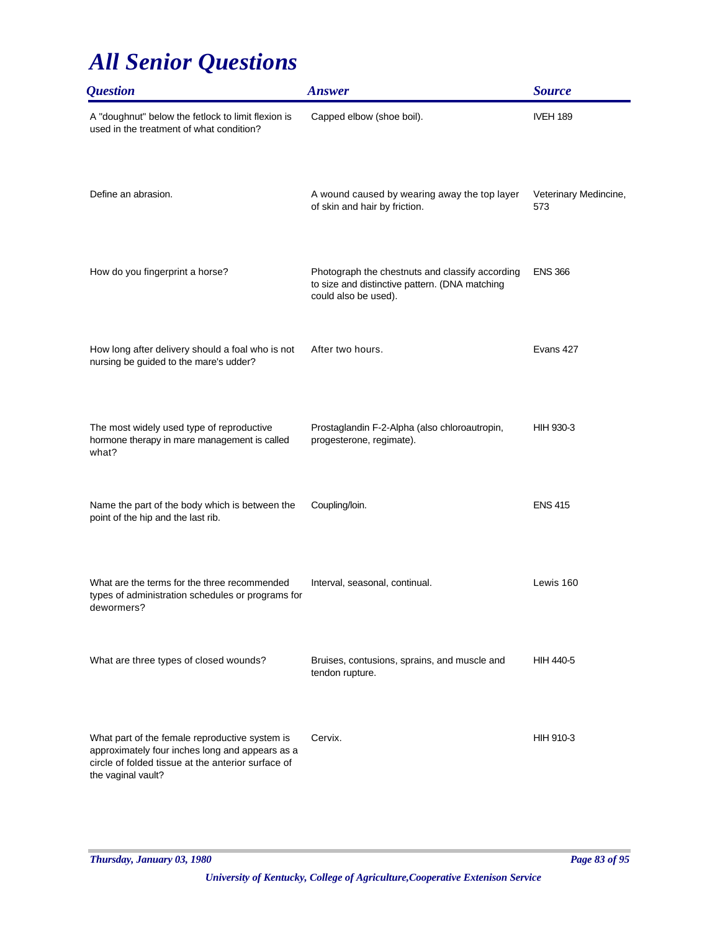| <i><b>Question</b></i>                                                                                                                                                        | <b>Answer</b>                                                                                                             | <b>Source</b>                |
|-------------------------------------------------------------------------------------------------------------------------------------------------------------------------------|---------------------------------------------------------------------------------------------------------------------------|------------------------------|
| A "doughnut" below the fetlock to limit flexion is<br>used in the treatment of what condition?                                                                                | Capped elbow (shoe boil).                                                                                                 | <b>IVEH 189</b>              |
| Define an abrasion.                                                                                                                                                           | A wound caused by wearing away the top layer<br>of skin and hair by friction.                                             | Veterinary Medincine,<br>573 |
| How do you fingerprint a horse?                                                                                                                                               | Photograph the chestnuts and classify according<br>to size and distinctive pattern. (DNA matching<br>could also be used). | <b>ENS 366</b>               |
| How long after delivery should a foal who is not<br>nursing be guided to the mare's udder?                                                                                    | After two hours.                                                                                                          | Evans 427                    |
| The most widely used type of reproductive<br>hormone therapy in mare management is called<br>what?                                                                            | Prostaglandin F-2-Alpha (also chloroautropin,<br>progesterone, regimate).                                                 | HIH 930-3                    |
| Name the part of the body which is between the<br>point of the hip and the last rib.                                                                                          | Coupling/loin.                                                                                                            | <b>ENS 415</b>               |
| What are the terms for the three recommended<br>types of administration schedules or programs for<br>dewormers?                                                               | Interval, seasonal, continual.                                                                                            | Lewis 160                    |
| What are three types of closed wounds?                                                                                                                                        | Bruises, contusions, sprains, and muscle and<br>tendon rupture.                                                           | <b>HIH 440-5</b>             |
| What part of the female reproductive system is<br>approximately four inches long and appears as a<br>circle of folded tissue at the anterior surface of<br>the vaginal vault? | Cervix.                                                                                                                   | HIH 910-3                    |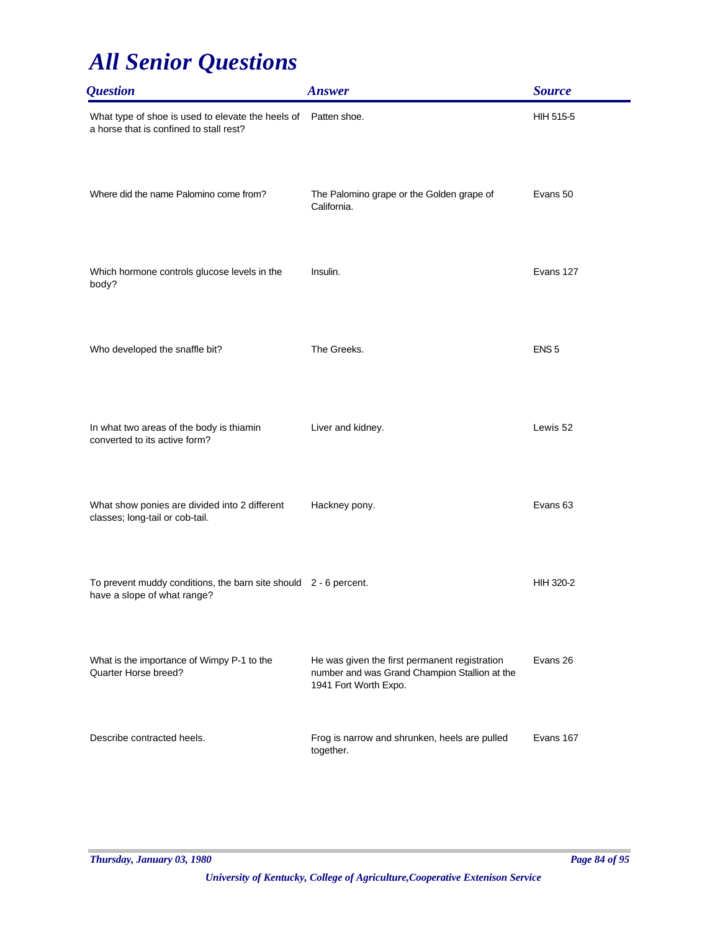| <b>Question</b>                                                                                           | <b>Answer</b>                                                                                                           | <b>Source</b>       |
|-----------------------------------------------------------------------------------------------------------|-------------------------------------------------------------------------------------------------------------------------|---------------------|
| What type of shoe is used to elevate the heels of Patten shoe.<br>a horse that is confined to stall rest? |                                                                                                                         | HIH 515-5           |
| Where did the name Palomino come from?                                                                    | The Palomino grape or the Golden grape of<br>California.                                                                | Evans 50            |
| Which hormone controls glucose levels in the<br>body?                                                     | Insulin.                                                                                                                | Evans 127           |
| Who developed the snaffle bit?                                                                            | The Greeks.                                                                                                             | ENS <sub>5</sub>    |
| In what two areas of the body is thiamin<br>converted to its active form?                                 | Liver and kidney.                                                                                                       | Lewis 52            |
| What show ponies are divided into 2 different<br>classes; long-tail or cob-tail.                          | Hackney pony.                                                                                                           | Evans <sub>63</sub> |
| To prevent muddy conditions, the barn site should 2 - 6 percent.<br>have a slope of what range?           |                                                                                                                         | <b>HIH 320-2</b>    |
| What is the importance of Wimpy P-1 to the<br>Quarter Horse breed?                                        | He was given the first permanent registration<br>number and was Grand Champion Stallion at the<br>1941 Fort Worth Expo. | Evans 26            |
| Describe contracted heels.                                                                                | Frog is narrow and shrunken, heels are pulled<br>together.                                                              | Evans 167           |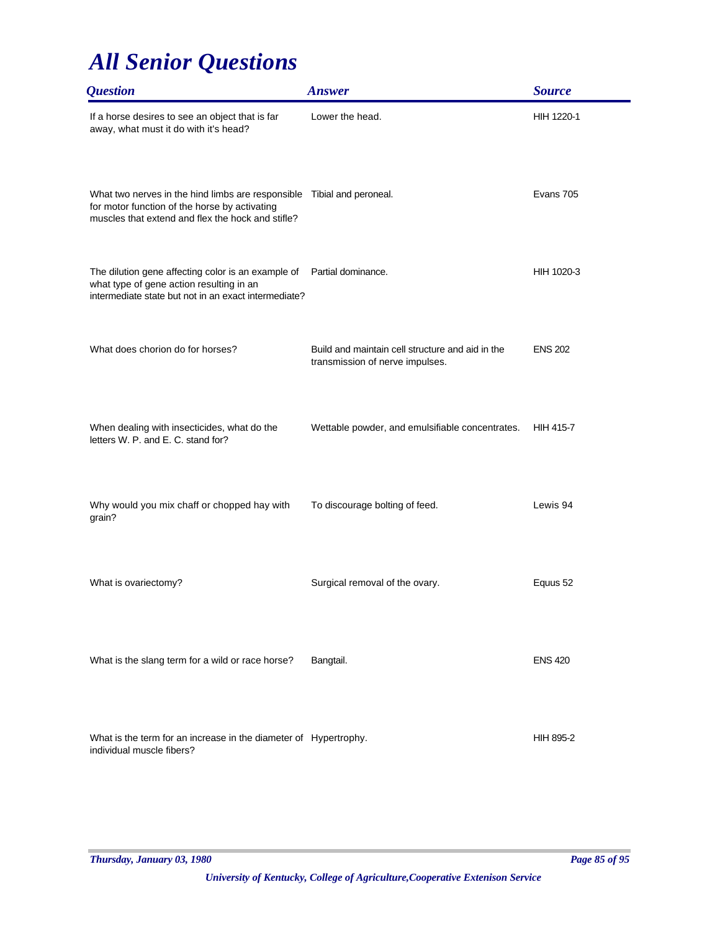| <i><b>Question</b></i>                                                                                                                                                       | <b>Answer</b>                                                                       | <b>Source</b>    |
|------------------------------------------------------------------------------------------------------------------------------------------------------------------------------|-------------------------------------------------------------------------------------|------------------|
| If a horse desires to see an object that is far<br>away, what must it do with it's head?                                                                                     | Lower the head.                                                                     | HIH 1220-1       |
| What two nerves in the hind limbs are responsible Tibial and peroneal.<br>for motor function of the horse by activating<br>muscles that extend and flex the hock and stifle? |                                                                                     | Evans 705        |
| The dilution gene affecting color is an example of<br>what type of gene action resulting in an<br>intermediate state but not in an exact intermediate?                       | Partial dominance.                                                                  | HIH 1020-3       |
| What does chorion do for horses?                                                                                                                                             | Build and maintain cell structure and aid in the<br>transmission of nerve impulses. | <b>ENS 202</b>   |
| When dealing with insecticides, what do the<br>letters W. P. and E. C. stand for?                                                                                            | Wettable powder, and emulsifiable concentrates.                                     | <b>HIH 415-7</b> |
| Why would you mix chaff or chopped hay with<br>grain?                                                                                                                        | To discourage bolting of feed.                                                      | Lewis 94         |
| What is ovariectomy?                                                                                                                                                         | Surgical removal of the ovary.                                                      | Equus 52         |
| What is the slang term for a wild or race horse?                                                                                                                             | Bangtail.                                                                           | <b>ENS 420</b>   |
| What is the term for an increase in the diameter of Hypertrophy.<br>individual muscle fibers?                                                                                |                                                                                     | HIH 895-2        |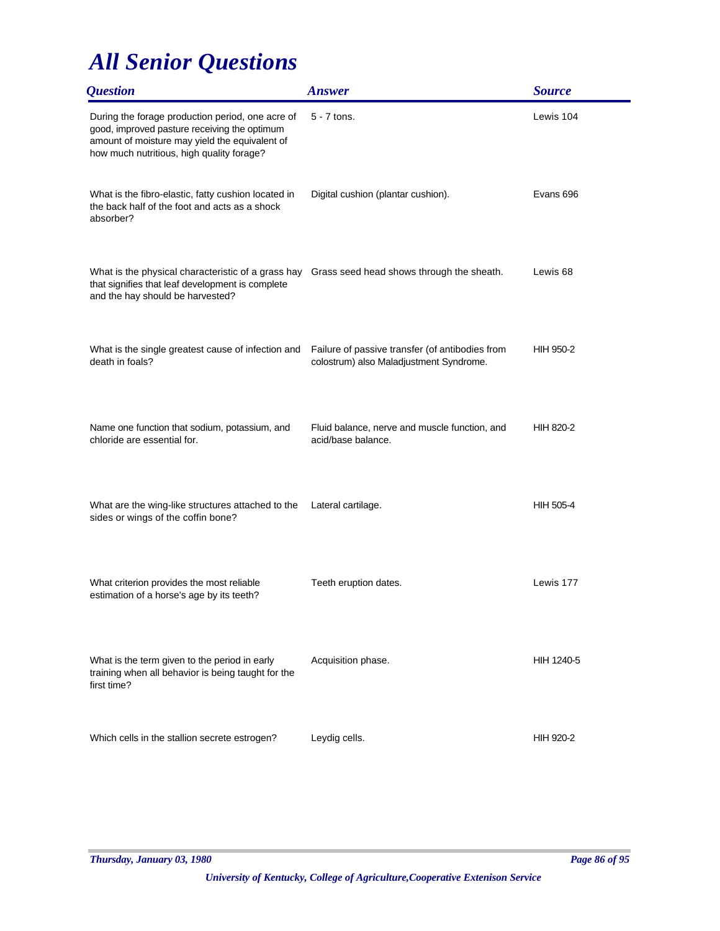| <i><b>Question</b></i>                                                                                                                                                                          | <b>Answer</b>                                                                              | <b>Source</b>       |
|-------------------------------------------------------------------------------------------------------------------------------------------------------------------------------------------------|--------------------------------------------------------------------------------------------|---------------------|
| During the forage production period, one acre of<br>good, improved pasture receiving the optimum<br>amount of moisture may yield the equivalent of<br>how much nutritious, high quality forage? | $5 - 7$ tons.                                                                              | Lewis 104           |
| What is the fibro-elastic, fatty cushion located in<br>the back half of the foot and acts as a shock<br>absorber?                                                                               | Digital cushion (plantar cushion).                                                         | Evans 696           |
| What is the physical characteristic of a grass hay Grass seed head shows through the sheath.<br>that signifies that leaf development is complete<br>and the hay should be harvested?            |                                                                                            | Lewis <sub>68</sub> |
| What is the single greatest cause of infection and<br>death in foals?                                                                                                                           | Failure of passive transfer (of antibodies from<br>colostrum) also Maladjustment Syndrome. | <b>HIH 950-2</b>    |
| Name one function that sodium, potassium, and<br>chloride are essential for.                                                                                                                    | Fluid balance, nerve and muscle function, and<br>acid/base balance.                        | HIH 820-2           |
| What are the wing-like structures attached to the<br>sides or wings of the coffin bone?                                                                                                         | Lateral cartilage.                                                                         | HIH 505-4           |
| What criterion provides the most reliable<br>estimation of a horse's age by its teeth?                                                                                                          | Teeth eruption dates.                                                                      | Lewis 177           |
| What is the term given to the period in early<br>training when all behavior is being taught for the<br>first time?                                                                              | Acquisition phase.                                                                         | HIH 1240-5          |
| Which cells in the stallion secrete estrogen?                                                                                                                                                   | Leydig cells.                                                                              | HIH 920-2           |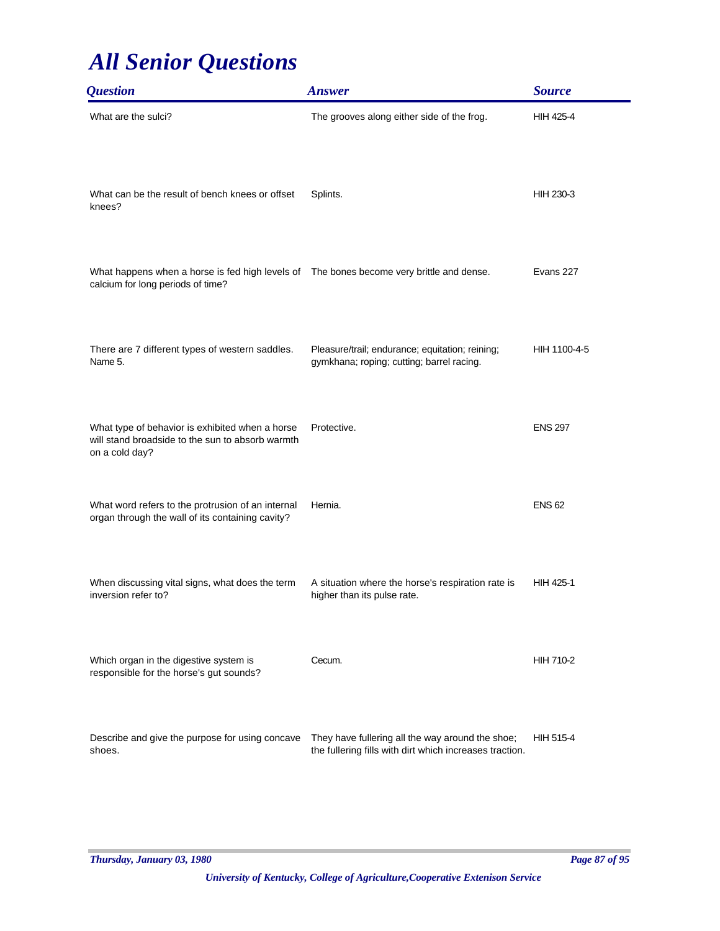| <i><b>Question</b></i>                                                                                                         | <b>Answer</b>                                                                                               | <b>Source</b>    |
|--------------------------------------------------------------------------------------------------------------------------------|-------------------------------------------------------------------------------------------------------------|------------------|
| What are the sulci?                                                                                                            | The grooves along either side of the frog.                                                                  | HIH 425-4        |
| What can be the result of bench knees or offset<br>knees?                                                                      | Splints.                                                                                                    | HIH 230-3        |
| What happens when a horse is fed high levels of  The bones become very brittle and dense.<br>calcium for long periods of time? |                                                                                                             | Evans 227        |
| There are 7 different types of western saddles.<br>Name 5.                                                                     | Pleasure/trail; endurance; equitation; reining;<br>gymkhana; roping; cutting; barrel racing.                | HIH 1100-4-5     |
| What type of behavior is exhibited when a horse<br>will stand broadside to the sun to absorb warmth<br>on a cold day?          | Protective.                                                                                                 | <b>ENS 297</b>   |
| What word refers to the protrusion of an internal<br>organ through the wall of its containing cavity?                          | Hernia.                                                                                                     | <b>ENS 62</b>    |
| When discussing vital signs, what does the term<br>inversion refer to?                                                         | A situation where the horse's respiration rate is<br>higher than its pulse rate.                            | <b>HIH 425-1</b> |
| Which organ in the digestive system is<br>responsible for the horse's gut sounds?                                              | Cecum.                                                                                                      | HIH 710-2        |
| Describe and give the purpose for using concave<br>shoes.                                                                      | They have fullering all the way around the shoe;<br>the fullering fills with dirt which increases traction. | <b>HIH 515-4</b> |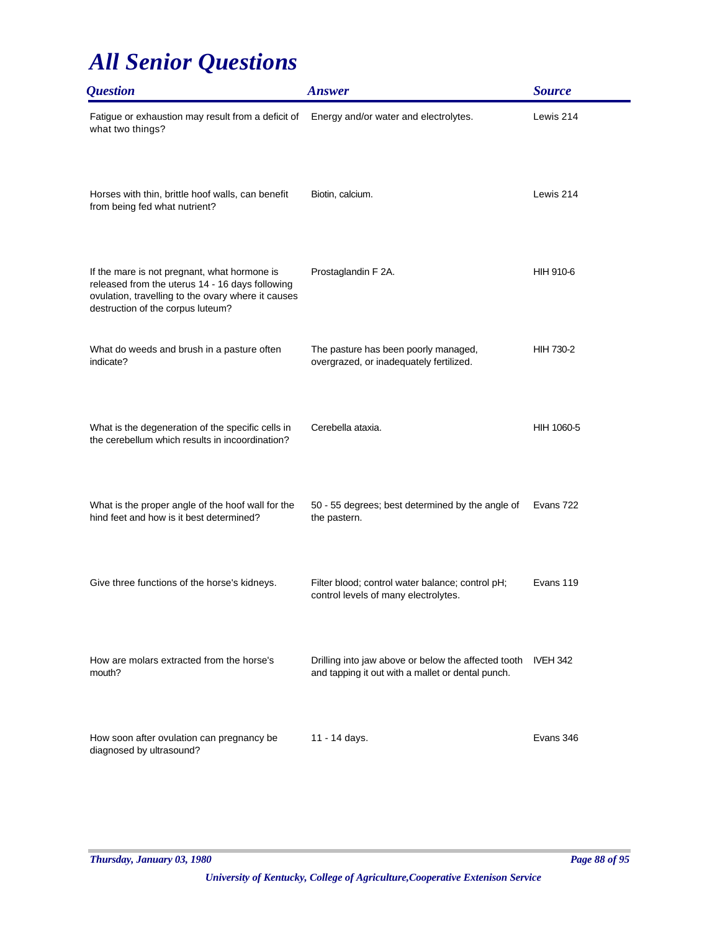| <i><b>Question</b></i>                                                                                                                                                                     | <b>Answer</b>                                                                                            | <b>Source</b>    |
|--------------------------------------------------------------------------------------------------------------------------------------------------------------------------------------------|----------------------------------------------------------------------------------------------------------|------------------|
| Fatigue or exhaustion may result from a deficit of<br>what two things?                                                                                                                     | Energy and/or water and electrolytes.                                                                    | Lewis 214        |
| Horses with thin, brittle hoof walls, can benefit<br>from being fed what nutrient?                                                                                                         | Biotin, calcium.                                                                                         | Lewis 214        |
| If the mare is not pregnant, what hormone is<br>released from the uterus 14 - 16 days following<br>ovulation, travelling to the ovary where it causes<br>destruction of the corpus luteum? | Prostaglandin F 2A.                                                                                      | HIH 910-6        |
| What do weeds and brush in a pasture often<br>indicate?                                                                                                                                    | The pasture has been poorly managed,<br>overgrazed, or inadequately fertilized.                          | <b>HIH 730-2</b> |
| What is the degeneration of the specific cells in<br>the cerebellum which results in incoordination?                                                                                       | Cerebella ataxia.                                                                                        | HIH 1060-5       |
| What is the proper angle of the hoof wall for the<br>hind feet and how is it best determined?                                                                                              | 50 - 55 degrees; best determined by the angle of<br>the pastern.                                         | Evans 722        |
| Give three functions of the horse's kidneys.                                                                                                                                               | Filter blood; control water balance; control pH;<br>control levels of many electrolytes.                 | Evans 119        |
| How are molars extracted from the horse's<br>mouth?                                                                                                                                        | Drilling into jaw above or below the affected tooth<br>and tapping it out with a mallet or dental punch. | <b>IVEH 342</b>  |
| How soon after ovulation can pregnancy be<br>diagnosed by ultrasound?                                                                                                                      | 11 - 14 days.                                                                                            | Evans 346        |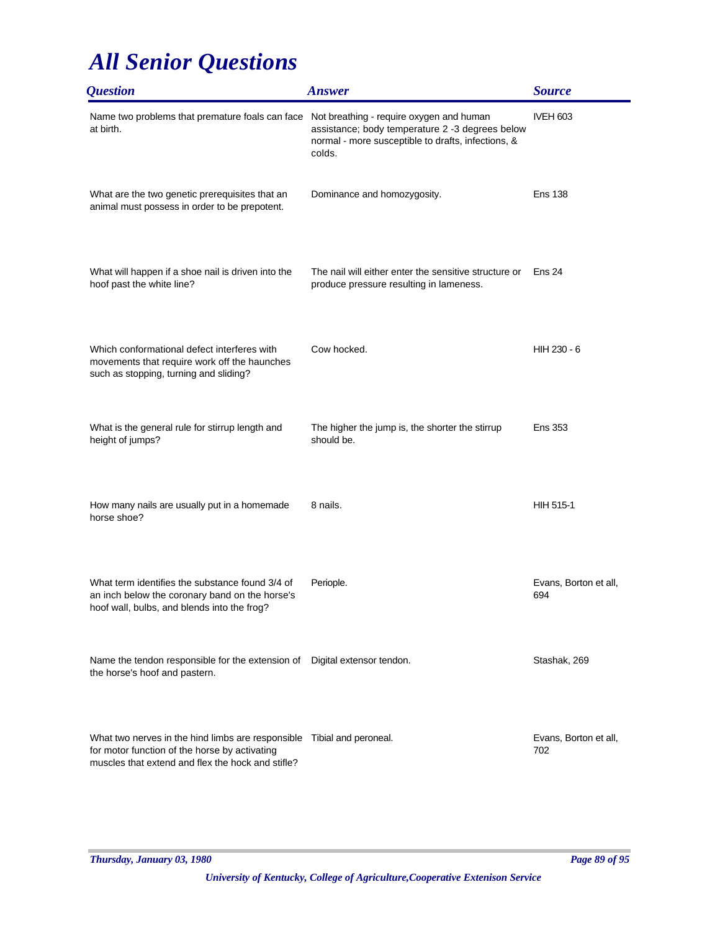| <i><b>Question</b></i>                                                                                                                                                       | <b>Answer</b>                                                                                                                                               | <b>Source</b>                |
|------------------------------------------------------------------------------------------------------------------------------------------------------------------------------|-------------------------------------------------------------------------------------------------------------------------------------------------------------|------------------------------|
| Name two problems that premature foals can face<br>at birth.                                                                                                                 | Not breathing - require oxygen and human<br>assistance; body temperature 2 -3 degrees below<br>normal - more susceptible to drafts, infections, &<br>colds. | <b>IVEH 603</b>              |
| What are the two genetic prerequisites that an<br>animal must possess in order to be prepotent.                                                                              | Dominance and homozygosity.                                                                                                                                 | <b>Ens 138</b>               |
| What will happen if a shoe nail is driven into the<br>hoof past the white line?                                                                                              | The nail will either enter the sensitive structure or<br>produce pressure resulting in lameness.                                                            | Ens 24                       |
| Which conformational defect interferes with<br>movements that require work off the haunches<br>such as stopping, turning and sliding?                                        | Cow hocked.                                                                                                                                                 | HIH 230 - 6                  |
| What is the general rule for stirrup length and<br>height of jumps?                                                                                                          | The higher the jump is, the shorter the stirrup<br>should be.                                                                                               | <b>Ens 353</b>               |
| How many nails are usually put in a homemade<br>horse shoe?                                                                                                                  | 8 nails.                                                                                                                                                    | HIH 515-1                    |
| What term identifies the substance found 3/4 of<br>an inch below the coronary band on the horse's<br>hoof wall, bulbs, and blends into the frog?                             | Periople.                                                                                                                                                   | Evans, Borton et all,<br>694 |
| Name the tendon responsible for the extension of Digital extensor tendon.<br>the horse's hoof and pastern.                                                                   |                                                                                                                                                             | Stashak, 269                 |
| What two nerves in the hind limbs are responsible Tibial and peroneal.<br>for motor function of the horse by activating<br>muscles that extend and flex the hock and stifle? |                                                                                                                                                             | Evans, Borton et all,<br>702 |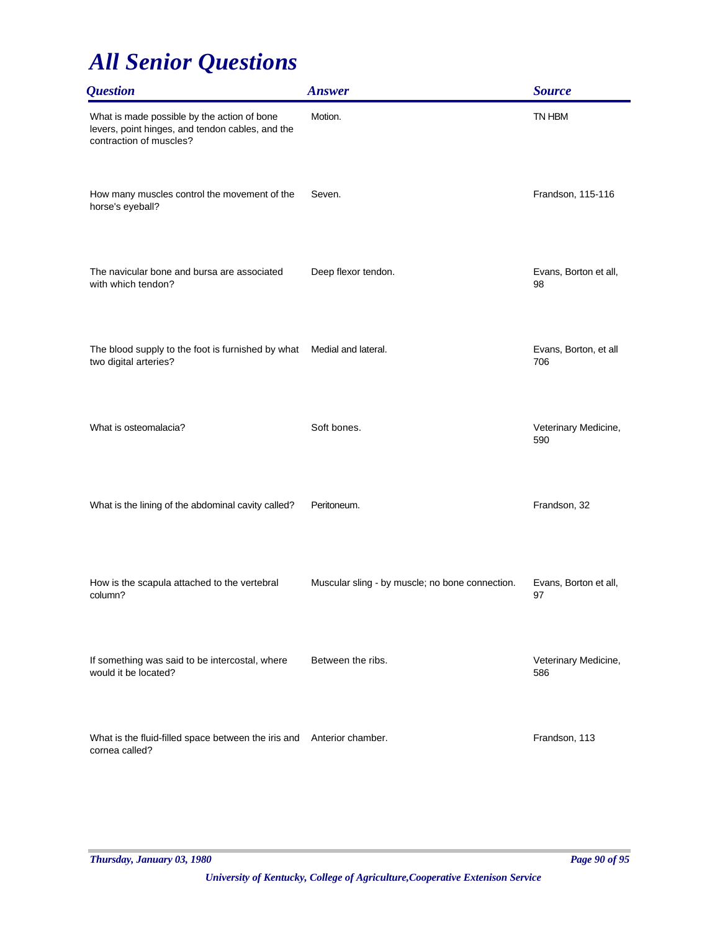| <i><b>Question</b></i>                                                                                                     | <b>Answer</b>                                   | <b>Source</b>                |
|----------------------------------------------------------------------------------------------------------------------------|-------------------------------------------------|------------------------------|
| What is made possible by the action of bone<br>levers, point hinges, and tendon cables, and the<br>contraction of muscles? | Motion.                                         | TN HBM                       |
| How many muscles control the movement of the<br>horse's eyeball?                                                           | Seven.                                          | Frandson, 115-116            |
| The navicular bone and bursa are associated<br>with which tendon?                                                          | Deep flexor tendon.                             | Evans, Borton et all,<br>98  |
| The blood supply to the foot is furnished by what<br>two digital arteries?                                                 | Medial and lateral.                             | Evans, Borton, et all<br>706 |
| What is osteomalacia?                                                                                                      | Soft bones.                                     | Veterinary Medicine,<br>590  |
| What is the lining of the abdominal cavity called?                                                                         | Peritoneum.                                     | Frandson, 32                 |
| How is the scapula attached to the vertebral<br>column?                                                                    | Muscular sling - by muscle; no bone connection. | Evans, Borton et all,<br>97  |
| If something was said to be intercostal, where<br>would it be located?                                                     | Between the ribs.                               | Veterinary Medicine,<br>586  |
| What is the fluid-filled space between the iris and Anterior chamber.<br>cornea called?                                    |                                                 | Frandson, 113                |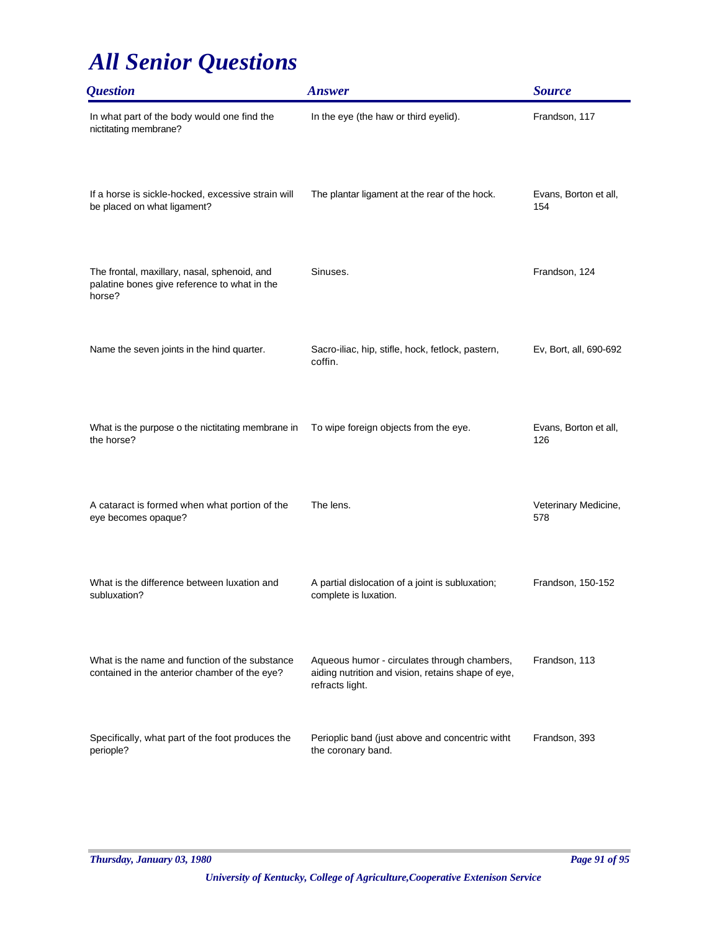| <i><b>Question</b></i>                                                                                 | <b>Answer</b>                                                                                                         | <b>Source</b>                |
|--------------------------------------------------------------------------------------------------------|-----------------------------------------------------------------------------------------------------------------------|------------------------------|
| In what part of the body would one find the<br>nictitating membrane?                                   | In the eye (the haw or third eyelid).                                                                                 | Frandson, 117                |
| If a horse is sickle-hocked, excessive strain will<br>be placed on what ligament?                      | The plantar ligament at the rear of the hock.                                                                         | Evans, Borton et all,<br>154 |
| The frontal, maxillary, nasal, sphenoid, and<br>palatine bones give reference to what in the<br>horse? | Sinuses.                                                                                                              | Frandson, 124                |
| Name the seven joints in the hind quarter.                                                             | Sacro-iliac, hip, stifle, hock, fetlock, pastern,<br>coffin.                                                          | Ev, Bort, all, 690-692       |
| What is the purpose o the nictitating membrane in<br>the horse?                                        | To wipe foreign objects from the eye.                                                                                 | Evans, Borton et all,<br>126 |
| A cataract is formed when what portion of the<br>eye becomes opaque?                                   | The lens.                                                                                                             | Veterinary Medicine,<br>578  |
| What is the difference between luxation and<br>subluxation?                                            | A partial dislocation of a joint is subluxation;<br>complete is luxation.                                             | Frandson, 150-152            |
| What is the name and function of the substance<br>contained in the anterior chamber of the eye?        | Aqueous humor - circulates through chambers,<br>aiding nutrition and vision, retains shape of eye,<br>refracts light. | Frandson, 113                |
| Specifically, what part of the foot produces the<br>periople?                                          | Perioplic band (just above and concentric witht<br>the coronary band.                                                 | Frandson, 393                |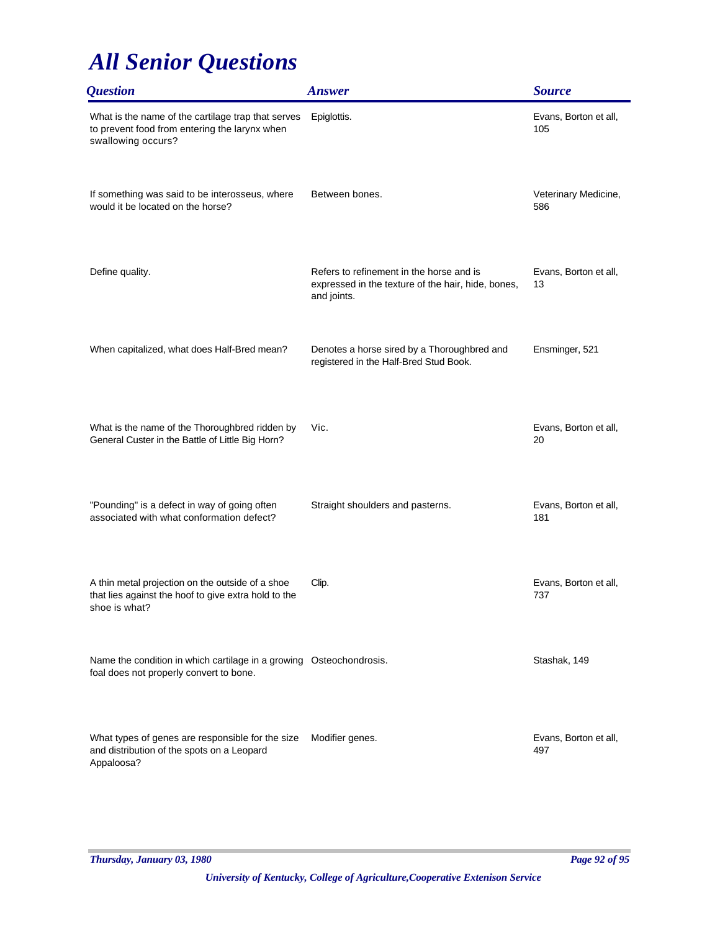| <i><b>Question</b></i>                                                                                                    | <b>Answer</b>                                                                                                 | <b>Source</b>                |
|---------------------------------------------------------------------------------------------------------------------------|---------------------------------------------------------------------------------------------------------------|------------------------------|
| What is the name of the cartilage trap that serves<br>to prevent food from entering the larynx when<br>swallowing occurs? | Epiglottis.                                                                                                   | Evans, Borton et all,<br>105 |
| If something was said to be interosseus, where<br>would it be located on the horse?                                       | Between bones.                                                                                                | Veterinary Medicine,<br>586  |
| Define quality.                                                                                                           | Refers to refinement in the horse and is<br>expressed in the texture of the hair, hide, bones,<br>and joints. | Evans, Borton et all,<br>13  |
| When capitalized, what does Half-Bred mean?                                                                               | Denotes a horse sired by a Thoroughbred and<br>registered in the Half-Bred Stud Book.                         | Ensminger, 521               |
| What is the name of the Thoroughbred ridden by<br>General Custer in the Battle of Little Big Horn?                        | Vic.                                                                                                          | Evans, Borton et all,<br>20  |
| "Pounding" is a defect in way of going often<br>associated with what conformation defect?                                 | Straight shoulders and pasterns.                                                                              | Evans, Borton et all,<br>181 |
| A thin metal projection on the outside of a shoe<br>that lies against the hoof to give extra hold to the<br>shoe is what? | Clip.                                                                                                         | Evans, Borton et all,<br>737 |
| Name the condition in which cartilage in a growing Osteochondrosis.<br>foal does not properly convert to bone.            |                                                                                                               | Stashak, 149                 |
| What types of genes are responsible for the size<br>and distribution of the spots on a Leopard<br>Appaloosa?              | Modifier genes.                                                                                               | Evans, Borton et all,<br>497 |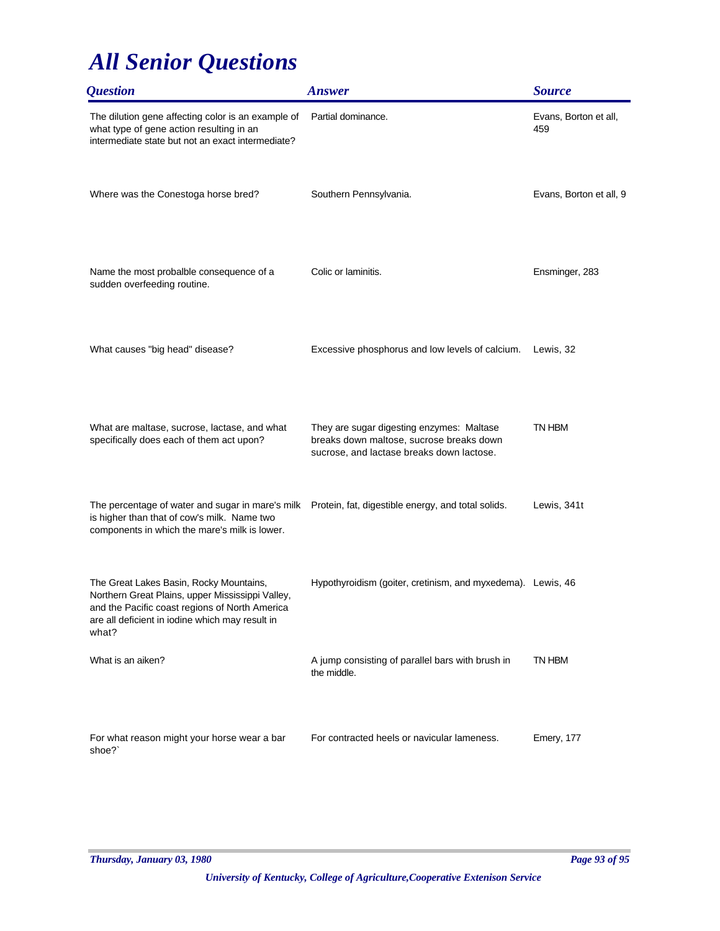| <i><b>Question</b></i>                                                                                                                                                                                    | <b>Answer</b>                                                                                                                      | <b>Source</b>                |
|-----------------------------------------------------------------------------------------------------------------------------------------------------------------------------------------------------------|------------------------------------------------------------------------------------------------------------------------------------|------------------------------|
| The dilution gene affecting color is an example of<br>what type of gene action resulting in an<br>intermediate state but not an exact intermediate?                                                       | Partial dominance.                                                                                                                 | Evans, Borton et all,<br>459 |
| Where was the Conestoga horse bred?                                                                                                                                                                       | Southern Pennsylvania.                                                                                                             | Evans, Borton et all, 9      |
| Name the most probalble consequence of a<br>sudden overfeeding routine.                                                                                                                                   | Colic or laminitis.                                                                                                                | Ensminger, 283               |
| What causes "big head" disease?                                                                                                                                                                           | Excessive phosphorus and low levels of calcium.                                                                                    | Lewis, 32                    |
| What are maltase, sucrose, lactase, and what<br>specifically does each of them act upon?                                                                                                                  | They are sugar digesting enzymes: Maltase<br>breaks down maltose, sucrose breaks down<br>sucrose, and lactase breaks down lactose. | TN HBM                       |
| The percentage of water and sugar in mare's milk Protein, fat, digestible energy, and total solids.<br>is higher than that of cow's milk. Name two<br>components in which the mare's milk is lower.       |                                                                                                                                    | Lewis, 341t                  |
| The Great Lakes Basin, Rocky Mountains,<br>Northern Great Plains, upper Mississippi Valley,<br>and the Pacific coast regions of North America<br>are all deficient in iodine which may result in<br>what? | Hypothyroidism (goiter, cretinism, and myxedema). Lewis, 46                                                                        |                              |
| What is an aiken?                                                                                                                                                                                         | A jump consisting of parallel bars with brush in<br>the middle.                                                                    | TN HBM                       |
| For what reason might your horse wear a bar<br>shoe?`                                                                                                                                                     | For contracted heels or navicular lameness.                                                                                        | Emery, 177                   |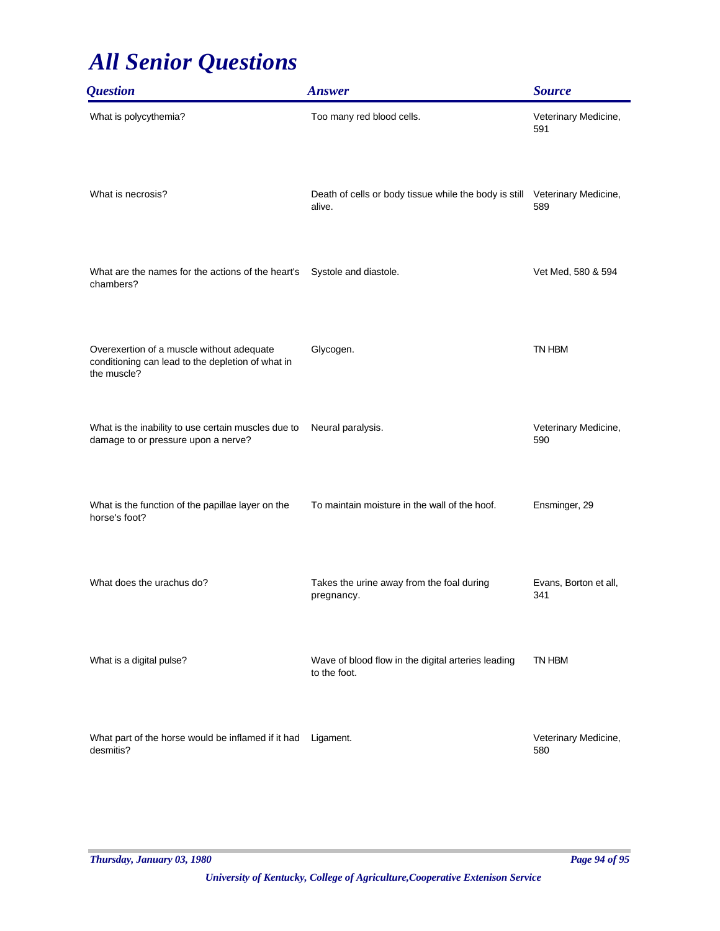| <b>Question</b>                                                                                               | <b>Answer</b>                                                      | <b>Source</b>                |
|---------------------------------------------------------------------------------------------------------------|--------------------------------------------------------------------|------------------------------|
| What is polycythemia?                                                                                         | Too many red blood cells.                                          | Veterinary Medicine,<br>591  |
| What is necrosis?                                                                                             | Death of cells or body tissue while the body is still<br>alive.    | Veterinary Medicine,<br>589  |
| What are the names for the actions of the heart's<br>chambers?                                                | Systole and diastole.                                              | Vet Med, 580 & 594           |
| Overexertion of a muscle without adequate<br>conditioning can lead to the depletion of what in<br>the muscle? | Glycogen.                                                          | TN HBM                       |
| What is the inability to use certain muscles due to<br>damage to or pressure upon a nerve?                    | Neural paralysis.                                                  | Veterinary Medicine,<br>590  |
| What is the function of the papillae layer on the<br>horse's foot?                                            | To maintain moisture in the wall of the hoof.                      | Ensminger, 29                |
| What does the urachus do?                                                                                     | Takes the urine away from the foal during<br>pregnancy.            | Evans, Borton et all,<br>341 |
| What is a digital pulse?                                                                                      | Wave of blood flow in the digital arteries leading<br>to the foot. | TN HBM                       |
| What part of the horse would be inflamed if it had<br>desmitis?                                               | Ligament.                                                          | Veterinary Medicine,<br>580  |